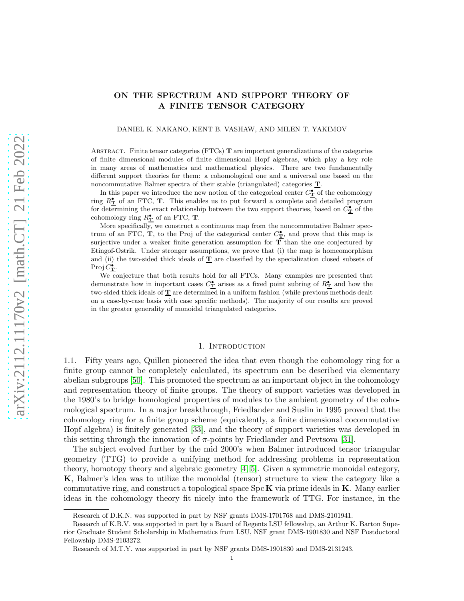# ON THE SPECTRUM AND SUPPORT THEORY OF A FINITE TENSOR CATEGORY

#### DANIEL K. NAKANO, KENT B. VASHAW, AND MILEN T. YAKIMOV

ABSTRACT. Finite tensor categories (FTCs)  **are important generalizations of the categories** of finite dimensional modules of finite dimensional Hopf algebras, which play a key role in many areas of mathematics and mathematical physics. There are two fundamentally different support theories for them: a cohomological one and a universal one based on the noncommutative Balmer spectra of their stable (triangulated) categories T.

In this paper we introduce the new notion of the categorical center  $C^{\bullet}_{\mathbf{T}}$  of the cohomology ring  $R^{\bullet}_{\mathbf{T}}$  of an FTC, **T**. This enables us to put forward a complete and detailed program for determining the exact relationship between the two support theories, based on  $C^{\bullet}_{\mathbf{T}}$  of the cohomology ring  $R_{\mathbf{T}}^{\bullet}$  of an FTC, **T**.

More specifically, we construct a continuous map from the noncommutative Balmer spectrum of an FTC,  $\mathbf{T}$ , to the Proj of the categorical center  $C_{\mathbf{T}}^{\bullet}$ , and prove that this map is surjective under a weaker finite generation assumption for  $T$  than the one conjectured by Etingof-Ostrik. Under stronger assumptions, we prove that (i) the map is homeomorphism and (ii) the two-sided thick ideals of  $\underline{T}$  are classified by the specialization closed subsets of Proj $\overline{C_{\mathbf{T}}^{\bullet}}$ .

We conjecture that both results hold for all FTCs. Many examples are presented that demonstrate how in important cases  $C_T^{\bullet}$  arises as a fixed point subring of  $R_T^{\bullet}$  and how the two-sided thick ideals of  $\underline{T}$  are determined in a uniform fashion (while previous methods dealt on a case-by-case basis with case specific methods). The majority of our results are proved in the greater generality of monoidal triangulated categories.

#### 1. INTRODUCTION

1.1. Fifty years ago, Quillen pioneered the idea that even though the cohomology ring for a finite group cannot be completely calculated, its spectrum can be described via elementary abelian subgroups [\[50\]](#page-37-0). This promoted the spectrum as an important object in the cohomology and representation theory of finite groups. The theory of support varieties was developed in the 1980's to bridge homological properties of modules to the ambient geometry of the cohomological spectrum. In a major breakthrough, Friedlander and Suslin in 1995 proved that the cohomology ring for a finite group scheme (equivalently, a finite dimensional cocommutative Hopf algebra) is finitely generated [\[33\]](#page-37-1), and the theory of support varieties was developed in this setting through the innovation of  $\pi$ -points by Friedlander and Pevtsova [\[31\]](#page-37-2).

The subject evolved further by the mid 2000's when Balmer introduced tensor triangular geometry (TTG) to provide a unifying method for addressing problems in representation theory, homotopy theory and algebraic geometry [\[4,](#page-36-0) [5\]](#page-36-1). Given a symmetric monoidal category, K, Balmer's idea was to utilize the monoidal (tensor) structure to view the category like a commutative ring, and construct a topological space  $\text{Spc } K$  via prime ideals in K. Many earlier ideas in the cohomology theory fit nicely into the framework of TTG. For instance, in the

Research of D.K.N. was supported in part by NSF grants DMS-1701768 and DMS-2101941.

Research of K.B.V. was supported in part by a Board of Regents LSU fellowship, an Arthur K. Barton Superior Graduate Student Scholarship in Mathematics from LSU, NSF grant DMS-1901830 and NSF Postdoctoral Fellowship DMS-2103272.

Research of M.T.Y. was supported in part by NSF grants DMS-1901830 and DMS-2131243.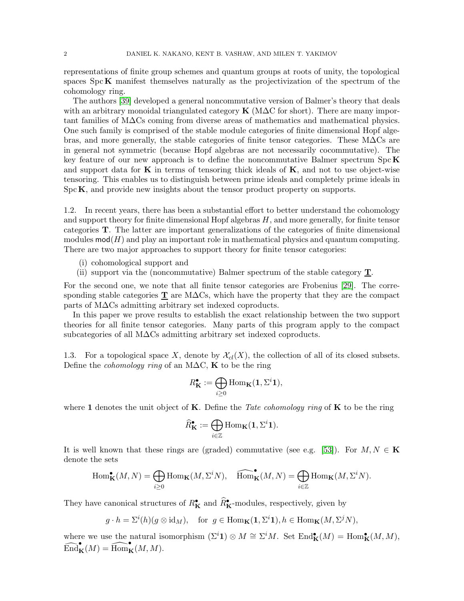representations of finite group schemes and quantum groups at roots of unity, the topological spaces  $\text{Spc}\,\mathbf{K}$  manifest themselves naturally as the projectivization of the spectrum of the cohomology ring.

The authors [\[39\]](#page-37-3) developed a general noncommutative version of Balmer's theory that deals with an arbitrary monoidal triangulated category  $\bf{K}$  (M $\Delta$ C for short). There are many important families of M∆Cs coming from diverse areas of mathematics and mathematical physics. One such family is comprised of the stable module categories of finite dimensional Hopf algebras, and more generally, the stable categories of finite tensor categories. These M∆Cs are in general not symmetric (because Hopf algebras are not necessarily cocommutative). The key feature of our new approach is to define the noncommutative Balmer spectrum  $\text{Spc } K$ and support data for  $\bf{K}$  in terms of tensoring thick ideals of  $\bf{K}$ , and not to use object-wise tensoring. This enables us to distinguish between prime ideals and completely prime ideals in  $Spc\mathbf{K}$ , and provide new insights about the tensor product property on supports.

1.2. In recent years, there has been a substantial effort to better understand the cohomology and support theory for finite dimensional Hopf algebras  $H$ , and more generally, for finite tensor categories T. The latter are important generalizations of the categories of finite dimensional modules  $mod(H)$  and play an important role in mathematical physics and quantum computing. There are two major approaches to support theory for finite tensor categories:

- (i) cohomological support and
- (ii) support via the (noncommutative) Balmer spectrum of the stable category T.

For the second one, we note that all finite tensor categories are Frobenius [\[29\]](#page-37-4). The corresponding stable categories  $\underline{T}$  are M $\Delta$ Cs, which have the property that they are the compact parts of M∆Cs admitting arbitrary set indexed coproducts.

In this paper we prove results to establish the exact relationship between the two support theories for all finite tensor categories. Many parts of this program apply to the compact subcategories of all M∆Cs admitting arbitrary set indexed coproducts.

1.3. For a topological space X, denote by  $\mathcal{X}_{cl}(X)$ , the collection of all of its closed subsets. Define the *cohomology ring* of an M $\Delta C$ , K to be the ring

$$
R_{\mathbf{K}}^{\bullet} := \bigoplus_{i \geq 0} \mathrm{Hom}_{\mathbf{K}}(\mathbf{1}, \Sigma^{i} \mathbf{1}),
$$

where 1 denotes the unit object of **K**. Define the Tate cohomology ring of **K** to be the ring

$$
\widehat{R}_{\mathbf{K}}^{\bullet}:=\bigoplus_{i\in\mathbb{Z}}\mathrm{Hom}_{\mathbf{K}}(\mathbf{1},\Sigma^{i}\mathbf{1}).
$$

It is well known that these rings are (graded) commutative (see e.g. [\[53\]](#page-38-0)). For  $M, N \in \mathbf{K}$ denote the sets

$$
\operatorname{Hom}\nolimits^\bullet_{\mathbf K}(M,N)=\bigoplus_{i\geq 0}\operatorname{Hom}\nolimits_{\mathbf K}(M,\Sigma^iN),\quad \widehat{\operatorname{Hom}\nolimits}_{\mathbf K}(M,N)=\bigoplus_{i\in\mathbb Z}\operatorname{Hom}\nolimits_{\mathbf K}(M,\Sigma^iN).
$$

They have canonical structures of  $R_K^{\bullet}$  and  $\widehat{R}_K^{\bullet}$ -modules, respectively, given by

$$
g \cdot h = \Sigma^{i}(h)(g \otimes id_{M}),
$$
 for  $g \in \text{Hom}_{\mathbf{K}}(\mathbf{1}, \Sigma^{i}\mathbf{1}), h \in \text{Hom}_{\mathbf{K}}(M, \Sigma^{j}N),$ 

where we use the natural isomorphism  $(\Sigma^i \mathbf{1}) \otimes M \cong \Sigma^i M$ . Set  $\text{End}_{\mathbf{K}}^{\bullet}(M) = \text{Hom}_{\mathbf{K}}^{\bullet}(M, M)$ ,  $\widehat{\mathrm{End}}_{\mathbf{K}}^{\bullet}(M) = \widehat{\mathrm{Hom}}_{\mathbf{K}}^{\bullet}(M, M).$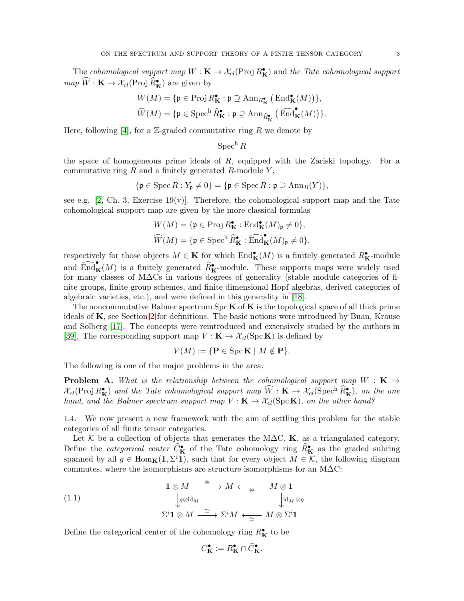The cohomological support map  $W : K \to \mathcal{X}_{cl}(\text{Proj } R_K^{\bullet})$  and the Tate cohomological support  $map \ \widetilde{W} : \mathbf{K} \to \mathcal{X}_{cl}(\text{Proj } \widehat{R}_{\mathbf{K}}^{\bullet})$  are given by

$$
W(M) = \{ \mathfrak{p} \in \operatorname{Proj} R_{\mathbf{K}}^{\bullet} : \mathfrak{p} \supseteq \operatorname{Ann}_{R_{\mathbf{K}}^{\bullet}} \left( \operatorname{End}_{\mathbf{K}}^{\bullet}(M) \right) \},
$$
  

$$
\widehat{W}(M) = \{ \mathfrak{p} \in \operatorname{Spec}^{\mathrm{h}} \widehat{R}_{\mathbf{K}}^{\bullet} : \mathfrak{p} \supseteq \operatorname{Ann}_{\widehat{R}_{\mathbf{K}}^{\bullet}} \left( \widehat{\operatorname{End}}_{\mathbf{K}}^{\bullet}(M) \right) \}.
$$

Here, following [\[4\]](#page-36-0), for a  $\mathbb{Z}$ -graded commutative ring R we denote by

$$
\operatorname{Spec}^{\mathrm{h}} R
$$

the space of homogeneous prime ideals of  $R$ , equipped with the Zariski topology. For a commutative ring  $R$  and a finitely generated  $R$ -module  $Y$ ,

$$
\{\mathfrak{p} \in \operatorname{Spec} R : Y_{\mathfrak{p}} \neq 0\} = \{\mathfrak{p} \in \operatorname{Spec} R : \mathfrak{p} \supseteq \operatorname{Ann}_R(Y)\},
$$

see e.g. [\[2,](#page-36-2) Ch. 3, Exercise 19(v)]. Therefore, the cohomological support map and the Tate cohomological support map are given by the more classical formulas

$$
W(M) = \{ \mathfrak{p} \in \operatorname{Proj} R_{\mathbf{K}}^{\bullet} : \operatorname{End}_{\mathbf{K}}^{\bullet}(M)_{\mathfrak{p}} \neq 0 \},
$$
  

$$
\widehat{W}(M) = \{ \mathfrak{p} \in \operatorname{Spec}^{\mathrm{h}} \widehat{R}_{\mathbf{K}}^{\bullet} : \widehat{\operatorname{End}}_{\mathbf{K}}^{\bullet}(M)_{\mathfrak{p}} \neq 0 \},
$$

respectively for those objects  $M \in \mathbf{K}$  for which  $\text{End}_{\mathbf{K}}^{\bullet}(M)$  is a finitely generated  $R_{\mathbf{K}}^{\bullet}$ -module and  $\widehat{\text{End}}_{\mathbf{K}}^{\bullet}(M)$  is a finitely generated  $\widehat{R}_{\mathbf{K}}^{\bullet}$ -module. These supports maps were widely used for many classes of M∆Cs in various degrees of generality (stable module categories of finite groups, finite group schemes, and finite dimensional Hopf algebras, derived categories of algebraic varieties, etc.), and were defined in this generality in [\[18\]](#page-36-3).

The noncommutative Balmer spectrum  $\text{Spc}\,\mathbf{K}$  of  $\mathbf{K}$  is the topological space of all thick prime ideals of  $K$ , see Section [2](#page-8-0) for definitions. The basic notions were introduced by Buan, Krause and Solberg [\[17\]](#page-36-4). The concepts were reintroduced and extensively studied by the authors in [\[39\]](#page-37-3). The corresponding support map  $V : \mathbf{K} \to \mathcal{X}_{cl}(\text{Spc } \mathbf{K})$  is defined by

$$
V(M) := \{ \mathbf{P} \in \operatorname{Spc} \mathbf{K} \mid M \notin \mathbf{P} \}.
$$

The following is one of the major problems in the area:

**Problem A.** What is the relationship between the cohomological support map  $W : K \rightarrow$  $\mathcal{X}_{cl}(\text{Proj } R_{\mathbf{K}}^{\bullet})$  and the Tate cohomological support map  $\widetilde{W}: \mathbf{K} \to \mathcal{X}_{cl}(\text{Spec}^{\text{h}} \widehat{R}_{\mathbf{K}}^{\bullet})$ , on the one hand, and the Balmer spectrum support map  $V : K \to \mathcal{X}_{cl}(\text{Spc K})$ , on the other hand?

1.4. We now present a new framework with the aim of settling this problem for the stable categories of all finite tensor categories.

Let K be a collection of objects that generates the M $\Delta C$ , K, as a triangulated category. Define the *categorical center*  $\widehat{C}_{\mathbf{K}}^{\bullet}$  of the Tate cohomology ring  $\widehat{R}_{\mathbf{K}}^{\bullet}$  as the graded subring spanned by all  $g \in \text{Hom}_{\mathbf{K}}(1, \Sigma^i 1)$ , such that for every object  $M \in \mathcal{K}$ , the following diagram commutes, where the isomorphisms are structure isomorphisms for an  $\text{M}\Delta\text{C}$ :

(1.1)  
\n
$$
\downarrow g \otimes id_M
$$
\n
$$
\Sigma^i \mathbf{1} \otimes M \xrightarrow{\cong} \Sigma^i M \xleftarrow{\cong} M \otimes \mathbf{1}
$$
\n
$$
\downarrow id_M \otimes g
$$
\n
$$
\Sigma^i \mathbf{1} \otimes M \xrightarrow{\cong} \Sigma^i M \xleftarrow{\cong} M \otimes \Sigma^i \mathbf{1}
$$

Define the categorical center of the cohomology ring  $R_K^{\bullet}$  to be

<span id="page-2-0"></span>
$$
C_{\mathbf{K}}^{\bullet} := R_{\mathbf{K}}^{\bullet} \cap \widehat{C}_{\mathbf{K}}^{\bullet}.
$$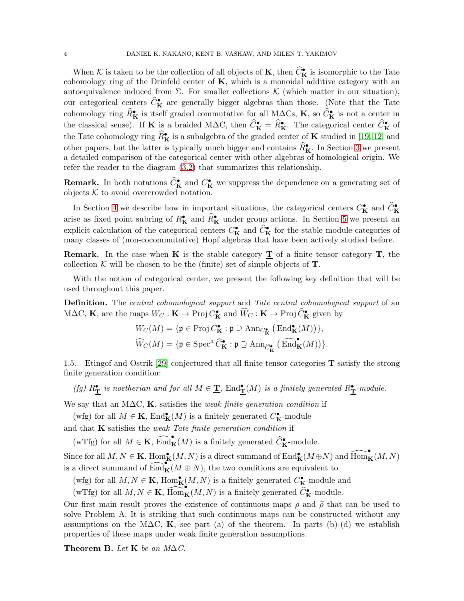When K is taken to be the collection of all objects of **K**, then  $\widehat{C}_{\mathbf{K}}^{\bullet}$  is isomorphic to the Tate cohomology ring of the Drinfeld center of  $K$ , which is a monoidal additive category with an autoequivalence induced from Σ. For smaller collections  $K$  (which matter in our situation), our categorical centers  $\hat{C}_{\mathbf{K}}^{\bullet}$  are generally bigger algebras than those. (Note that the Tate cohomology ring  $\widehat{R}_{\mathbf{K}}^{\bullet}$  is itself graded commutative for all M $\Delta \mathrm{Cs}$ ,  $\mathbf{K}$ , so  $\widehat{C}_{\mathbf{K}}^{\bullet}$  is not a center in the classical sense). If K is a braided M $\Delta C$ , then  $\widehat{C}_{\mathbf{K}}^{\bullet} = \widehat{R}_{\mathbf{K}}^{\bullet}$ . The categorical center  $\widehat{C}_{\mathbf{K}}^{\bullet}$  of the Tate cohomology ring  $\widehat{R}_{\mathbf{K}}^{\bullet}$  is a subalgebra of the graded center of  $\mathbf{K}$  studied in [\[19,](#page-36-5) [12\]](#page-36-6) and other papers, but the latter is typically much bigger and contains  $\widehat{R}_{\mathbf{K}}^{\bullet}$ . In Section [3](#page-9-0) we present a detailed comparison of the categorical center with other algebras of homological origin. We refer the reader to the diagram [\(3.2\)](#page-13-0) that summarizes this relationship.

**Remark.** In both notations  $\hat{C}_{\mathbf{K}}^{\bullet}$  and  $C_{\mathbf{K}}^{\bullet}$  we suppress the dependence on a generating set of objects  $K$  to avoid overcrowded notation.

In Section [4](#page-13-1) we describe how in important situations, the categorical centers  $C_K^{\bullet}$  and  $\widehat{C}_K^{\bullet}$ arise as fixed point subring of  $R_K^{\bullet}$  and  $\widehat{R}_K^{\bullet}$  under group actions. In Section [5](#page-15-0) we present an explicit calculation of the categorical centers  $C_K^{\bullet}$  and  $\hat{C}_K^{\bullet}$  for the stable module categories of many classes of (non-cocommutative) Hopf algebras that have been actively studied before.

**Remark.** In the case when **K** is the stable category  $\mathbf{T}$  of a finite tensor category  $\mathbf{T}$ , the collection K will be chosen to be the (finite) set of simple objects of  $T$ .

With the notion of categorical center, we present the following key definition that will be used throughout this paper.

Definition. The central cohomological support and Tate central cohomological support of an M∆C, **K**, are the maps  $W_C : \mathbf{K} \to \text{Proj } C^{\bullet}_{\mathbf{K}}$  and  $\widetilde{W}_C : \mathbf{K} \to \text{Proj } \widetilde{C}^{\bullet}_{\mathbf{K}}$  given by

$$
W_C(M) = \{ \mathfrak{p} \in \operatorname{Proj} C_{\mathbf{K}}^{\bullet} : \mathfrak{p} \supseteq \operatorname{Ann}_{C_{\mathbf{K}}^{\bullet}} \big( \operatorname{End}_{\mathbf{K}}^{\bullet}(M) \big) \},
$$
  

$$
\widehat{W}_C(M) = \{ \mathfrak{p} \in \operatorname{Spec}^{\text{h}} \widehat{C}_{\mathbf{K}}^{\bullet} : \mathfrak{p} \supseteq \operatorname{Ann}_{\widehat{C}_{\mathbf{K}}^{\bullet}} \big( \operatorname{End}_{\mathbf{K}}^{\bullet}(M) \big) \}.
$$

<span id="page-3-0"></span>1.5. Etingof and Ostrik [\[29\]](#page-37-4) conjectured that all finite tensor categories T satisfy the strong finite generation condition:

(fg)  $R_{\underline{\mathbf{T}}}^{\bullet}$  is noetherian and for all  $M \in \underline{\mathbf{T}}$ ,  $\text{End}_{\underline{\mathbf{T}}}^{\bullet}(M)$  is a finitely generated  $R_{\underline{\mathbf{T}}}^{\bullet}$ -module.

We say that an M $\Delta C$ , K, satisfies the *weak finite generation condition* if

(wfg) for all  $M \in \mathbf{K}$ ,  $\text{End}_{\mathbf{K}}^{\bullet}(M)$  is a finitely generated  $C_{\mathbf{K}}^{\bullet}$ -module

and that  $\bf{K}$  satisfies the weak Tate finite generation condition if

(wTfg) for all  $M \in \mathbf{K}$ ,  $\widehat{\text{End}}_{\mathbf{K}}^{\bullet}(M)$  is a finitely generated  $\widehat{C}_{\mathbf{K}}^{\bullet}$ -module.

Since for all  $M, N \in \mathbf{K}$ ,  $\text{Hom}_\mathbf{K}^{\bullet}(M, N)$  is a direct summand of  $\text{End}_\mathbf{K}^{\bullet}(M \oplus N)$  and  $\widehat{\text{Hom}}_\mathbf{K}^{\bullet}(M, N)$ is a direct summand of  $\widehat{\text{End}}_{\mathbf{K}}^{\bullet}(M \oplus N)$ , the two conditions are equivalent to

(wfg) for all  $M, N \in \mathbf{K}$ ,  $\text{Hom}_{\mathbf{K}}^{\bullet}(M, N)$  is a finitely generated  $C^{\bullet}_{\mathbf{K}}$ -module and

(wTfg) for all  $M, N \in \mathbf{K}$ ,  $\widehat{Hom}_{\mathbf{K}}(M, N)$  is a finitely generated  $\widehat{C}_{\mathbf{K}}^{\bullet}$ -module.

Our first main result proves the existence of continuous maps  $\rho$  and  $\hat{\rho}$  that can be used to solve Problem A. It is striking that such continuous maps can be constructed without any assumptions on the M $\Delta C$ , K, see part (a) of the theorem. In parts (b)-(d) we establish properties of these maps under weak finite generation assumptions.

Theorem B. Let K be an  $M\Delta C$ .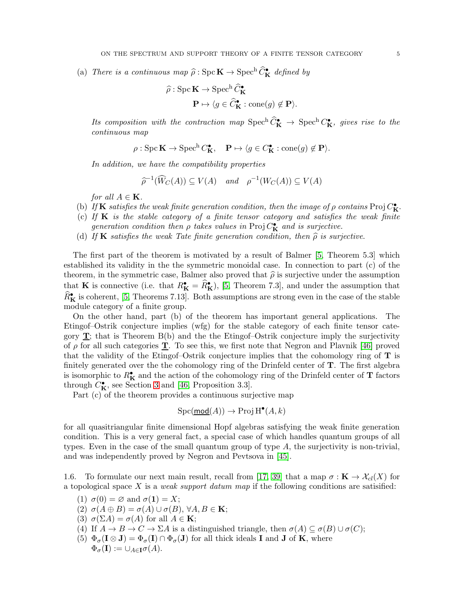(a) There is a continuous map  $\hat{\rho}$  : Spc  $\mathbf{K} \to \text{Spec}^{\text{h}} \hat{C}_{\mathbf{K}}^{\bullet}$  defined by

$$
\hat{\rho}: \operatorname{Spec} \mathbf{K} \to \operatorname{Spec}^{\mathrm{h}} \widehat{C}_{\mathbf{K}}^{\bullet}
$$

$$
\mathbf{P} \mapsto \langle g \in \widehat{C}_{\mathbf{K}}^{\bullet} : \operatorname{cone}(g) \notin \mathbf{P} \rangle.
$$

Its composition with the contraction map  $\text{Spec}^{\text{h}} \tilde{C}_{\mathbf{K}}^{\bullet} \to \text{Spec}^{\text{h}} C_{\mathbf{K}}^{\bullet}$ , gives rise to the continuous map

$$
\rho: \operatorname{Spc} \mathbf{K} \to \operatorname{Spec}^{\mathbf{h}} C_{\mathbf{K}}^{\bullet}, \quad \mathbf{P} \mapsto \langle g \in C_{\mathbf{K}}^{\bullet} : \operatorname{cone}(g) \notin \mathbf{P} \rangle.
$$

In addition, we have the compatibility properties

$$
\widehat{\rho}^{-1}(\widehat{W}_C(A)) \subseteq V(A) \quad and \quad \rho^{-1}(W_C(A)) \subseteq V(A)
$$

for all  $A \in \mathbf{K}$ .

- (b) If K satisfies the weak finite generation condition, then the image of  $\rho$  contains Proj  $C_K^{\bullet}$ .
- (c) If  $K$  is the stable category of a finite tensor category and satisfies the weak finite generation condition then  $\rho$  takes values in Proj  $C_K^{\bullet}$  and is surjective.
- (d) If **K** satisfies the weak Tate finite generation condition, then  $\hat{\rho}$  is surjective.

The first part of the theorem is motivated by a result of Balmer [\[5,](#page-36-1) Theorem 5.3] which established its validity in the the symmetric monoidal case. In connection to part (c) of the theorem, in the symmetric case, Balmer also proved that  $\hat{\rho}$  is surjective under the assumption that **K** is connective (i.e. that  $R_K^{\bullet} = \widehat{R}_K^{\bullet}$ ), [\[5,](#page-36-1) Theorem 7.3], and under the assumption that  $\widehat{R}_{\mathbf{K}}^{\bullet}$  is coherent, [\[5,](#page-36-1) Theorems 7.13]. Both assumptions are strong even in the case of the stable module category of a finite group.

On the other hand, part (b) of the theorem has important general applications. The Etingof–Ostrik conjecture implies (wfg) for the stable category of each finite tensor category  $\mathbf{T}$ ; that is Theorem B(b) and the the Etingof-Ostrik conjecture imply the surjectivity of  $\rho$  for all such categories **T**. To see this, we first note that Negron and Plavnik [\[46\]](#page-37-5) proved that the validity of the Etingof–Ostrik conjecture implies that the cohomology ring of  $T$  is finitely generated over the the cohomology ring of the Drinfeld center of T. The first algebra is isomorphic to  $R_K^{\bullet}$  and the action of the cohomology ring of the Drinfeld center of **T** factors through  $C_K^{\bullet}$ , see Section [3](#page-9-0) and [\[46,](#page-37-5) Proposition 3.3].

Part (c) of the theorem provides a continuous surjective map

$$
\operatorname{Spc}(\underline{\operatorname{mod}}(A)) \to \operatorname{Proj} \operatorname{H}^\bullet(A,k)
$$

for all quasitriangular finite dimensional Hopf algebras satisfying the weak finite generation condition. This is a very general fact, a special case of which handles quantum groups of all types. Even in the case of the small quantum group of type  $A$ , the surjectivity is non-trivial, and was independently proved by Negron and Pevtsova in [\[45\]](#page-37-6).

<span id="page-4-0"></span>1.6. To formulate our next main result, recall from [\[17,](#page-36-4) [39\]](#page-37-3) that a map  $\sigma : \mathbf{K} \to \mathcal{X}_{cl}(X)$  for a topological space X is a *weak support datum map* if the following conditions are satisified:

- (1)  $\sigma(0) = \varnothing$  and  $\sigma(1) = X$ ;
- (2)  $\sigma(A \oplus B) = \sigma(A) \cup \sigma(B), \forall A, B \in \mathbf{K};$
- (3)  $\sigma(\Sigma A) = \sigma(A)$  for all  $A \in \mathbf{K}$ ;
- (4) If  $A \to B \to C \to \Sigma A$  is a distinguished triangle, then  $\sigma(A) \subseteq \sigma(B) \cup \sigma(C)$ ;
- (5)  $\Phi_{\sigma}(\mathbf{I} \otimes \mathbf{J}) = \Phi_{\sigma}(\mathbf{I}) \cap \Phi_{\sigma}(\mathbf{J})$  for all thick ideals **I** and **J** of **K**, where  $\Phi_{\sigma}(\mathbf{I}) := \cup_{A \in \mathbf{I}} \sigma(A).$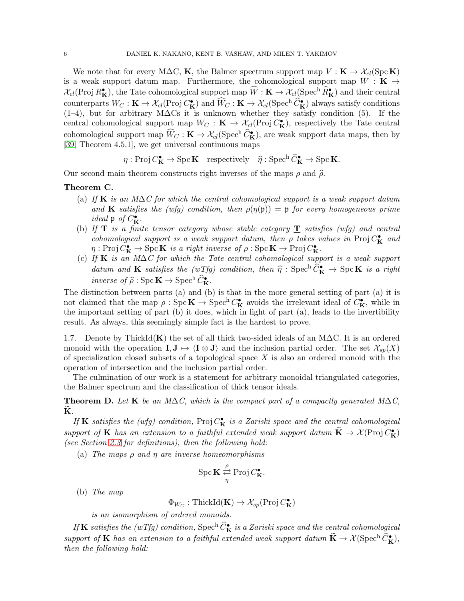We note that for every M $\Delta C$ , K, the Balmer spectrum support map  $V : K \to \mathcal{X}_{cl}(\text{Spc K})$ is a weak support datum map. Furthermore, the cohomological support map  $W : K \rightarrow$  $\mathcal{X}_{cl}(\text{Proj } R_{\mathbf{K}}^{\bullet}),$  the Tate cohomological support map  $\widehat{W}: \mathbf{K} \to \mathcal{X}_{cl}(\text{Spec}^{\text{h}} \widehat{R}_{\mathbf{K}}^{\bullet})$  and their central counterparts  $W_C : \mathbf{K} \to \mathcal{X}_{cl}(\text{Proj } C_{\mathbf{K}}^{\bullet})$  and  $\widehat{W}_C : \mathbf{K} \to \mathcal{X}_{cl}(\text{Spec}^{\text{h}} \widehat{C}_{\mathbf{K}}^{\bullet})$  always satisfy conditions (1–4), but for arbitrary M∆Cs it is unknown whether they satisfy condition (5). If the central cohomological support map  $W_C : \mathbf{K} \to \mathcal{X}_{cl}(\text{Proj } \mathcal{C}_{\mathbf{K}}^{\bullet})$ , respectively the Tate central cohomological support map  $\widetilde{W}_C : \mathbf{K} \to \mathcal{X}_{cl}(\mathbf{Spec}^{\text{h}} \widetilde{C}_\mathbf{K}^{\bullet})$ , are weak support data maps, then by [\[39,](#page-37-3) Theorem 4.5.1], we get universal continuous maps

 $\eta : \text{Proj } C^{\bullet}_{\mathbf{K}} \to \text{Spec } \mathbf{K} \quad \text{respectively} \quad \widehat{\eta} : \text{Spec}^{\text{h}} \widehat{C}^{\bullet}_{\mathbf{K}} \to \text{Spec } \mathbf{K}.$ 

Our second main theorem constructs right inverses of the maps  $\rho$  and  $\hat{\rho}$ .

### Theorem C.

- (a) If K is an M $\Delta C$  for which the central cohomological support is a weak support datum and **K** satisfies the (wfg) condition, then  $\rho(\eta(\mathfrak{p})) = \mathfrak{p}$  for every homogeneous prime ideal  $\mathfrak{p}$  of  $C_{\mathbf{K}}^{\bullet}$ .
- (b) If  $T$  is a finite tensor category whose stable category  $T$  satisfies (wfg) and central cohomological support is a weak support datum, then  $\rho$  takes values in Proj  $C_K^{\bullet}$  and  $\eta: \text{Proj } C^{\bullet}_{\mathbf{K}} \to \text{Spec } \mathbf{K}$  is a right inverse of  $\rho: \text{Spec } \mathbf{K} \to \text{Proj } C^{\bullet}_{\mathbf{K}}$ .
- (c) If K is an M∆C for which the Tate central cohomological support is a weak support datum and **K** satisfies the  $(wTfg)$  condition, then  $\widehat{\eta}$  : Spech  $\widehat{C}_{\mathbf{K}}^{\bullet} \to \text{Spc } \mathbf{K}$  is a right inverse of  $\widehat{\rho}$  : Spc  $\mathbf{K} \to \text{Spec}^{\text{h}} \widehat{C}_{\mathbf{K}}^{\bullet}$ .

The distinction between parts (a) and (b) is that in the more general setting of part (a) it is not claimed that the map  $\rho : \text{Spec}^{\mathbf{K}} \to \text{Spec}^{\mathbf{h}} C_{\mathbf{K}}^{\bullet}$  avoids the irrelevant ideal of  $C_{\mathbf{K}}^{\bullet}$ , while in the important setting of part (b) it does, which in light of part (a), leads to the invertibility result. As always, this seemingly simple fact is the hardest to prove.

1.7. Denote by ThickId(K) the set of all thick two-sided ideals of an M $\Delta C$ . It is an ordered monoid with the operation  $I, J \mapsto \langle I \otimes J \rangle$  and the inclusion partial order. The set  $\mathcal{X}_{sp}(X)$ of specialization closed subsets of a topological space  $X$  is also an ordered monoid with the operation of intersection and the inclusion partial order.

The culmination of our work is a statement for arbitrary monoidal triangulated categories, the Balmer spectrum and the classification of thick tensor ideals.

**Theorem D.** Let K be an M $\Delta C$ , which is the compact part of a compactly generated M $\Delta C$ ,  $\mathbf K$ .

If **K** satisfies the (wfg) condition, Proj  $C_K^{\bullet}$  is a Zariski space and the central cohomological support of **K** has an extension to a faithful extended weak support datum  $\widetilde{\mathbf{K}} \to \mathcal{X}(\text{Proj } C_{\mathbf{K}}^{\bullet})$ (see Section [2.3](#page-9-1) for definitions), then the following hold:

(a) The maps  $\rho$  and  $\eta$  are inverse homeomorphisms

$$
\operatorname{Spc} \mathbf{K} \stackrel{\rho}{\underset{\eta}{\rightleftarrows}} \operatorname{Proj} C_{\mathbf{K}}^{\bullet}.
$$

(b) The map

 $\Phi_{W_C} : \operatorname{ThickId}(\mathbf{K}) \to \mathcal{X}_{sp}(\operatorname{Proj} C^{\bullet}_{\mathbf{K}})$ 

is an isomorphism of ordered monoids.

If  $\bf{K}$  satisfies the (wTfg) condition,  $\rm{Spec}^h$   $\widehat{C}^\bullet_{\bf{K}}$  is a Zariski space and the central cohomological support of **K** has an extension to a faithful extended weak support datum  $\widetilde{\mathbf{K}} \to \mathcal{X}(\operatorname{Spec}^{\mathbf{h}} \widetilde{C}_{\mathbf{K}}^{\bullet}),$ then the following hold: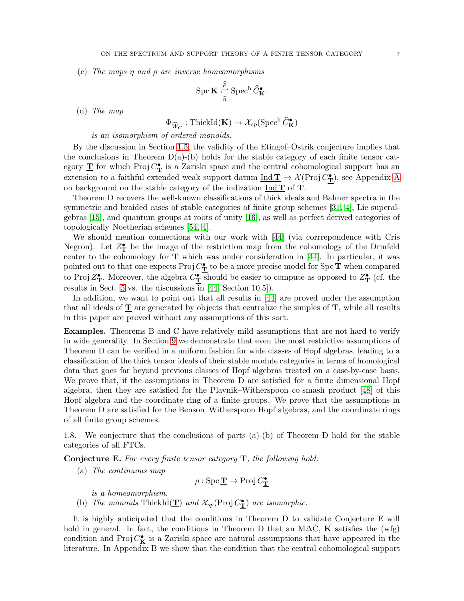(c) The maps  $\eta$  and  $\rho$  are inverse homeomorphisms

$$
\operatorname{Spc} \mathbf{K} \stackrel{\widehat{\rho}}{\underset{\widehat{\eta}}{\rightleftarrows}} \operatorname{Spec}^h \widehat{C}_{\mathbf{K}}^{\bullet}.
$$

(d) The map

$$
\Phi_{\widehat W_C}:\text{ThickId}(\mathbf K)\to \mathcal X_{\!}(\text{Spec}^{\text{h}} \, \widehat C^\bullet_{\mathbf K})
$$

is an isomorphism of ordered monoids.

By the discussion in Section [1.5,](#page-3-0) the validity of the Etingof–Ostrik conjecture implies that the conclusions in Theorem  $D(a)$ -(b) holds for the stable category of each finite tensor category  $\underline{T}$  for which Proj  $C^{\bullet}_{\underline{T}}$  is a Zariski space and the central cohomological support has an extension to a faithful extended weak support datum  $\underline{\mathrm{Ind}\,} T \to \mathcal{X}(\mathrm{Proj}\, C^\bullet_T)$ , see [A](#page-31-0)ppendix A on background on the stable category of the indization  $\underline{\text{Ind }T}$  of T.

Theorem D recovers the well-known classifications of thick ideals and Balmer spectra in the symmetric and braided cases of stable categories of finite group schemes [\[31,](#page-37-2) [4\]](#page-36-0), Lie superalgebras [\[15\]](#page-36-7), and quantum groups at roots of unity [\[16\]](#page-36-8), as well as perfect derived categories of topologically Noetherian schemes [\[54,](#page-38-1) [4\]](#page-36-0).

We should mention connections with our work with [\[44\]](#page-37-7) (via corrrepondence with Cris Negron). Let  $Z_{\mathbf{T}}^{\bullet}$  be the image of the restriction map from the cohomology of the Drinfeld center to the cohomology for  $T$  which was under consideration in [\[44\]](#page-37-7). In particular, it was pointed out to that one expects Proj  $C_{\bf T}^{\bullet}$  to be a more precise model for Spc **T** when compared to Proj  $\mathbb{Z}_{\mathbf{T}}^{\bullet}$ . Moreover, the algebra  $C_{\mathbf{T}}^{\bullet}$  should be easier to compute as opposed to  $\mathbb{Z}_{\mathbf{T}}^{\bullet}$  (cf. the results in Sect. [5](#page-15-0) vs. the discussions in [\[44,](#page-37-7) Section 10.5]).

In addition, we want to point out that all results in [\[44\]](#page-37-7) are proved under the assumption that all ideals of  $T$  are generated by objects that centralize the simples of  $T$ , while all results in this paper are proved without any assumptions of this sort.

Examples. Theorems B and C have relatively mild assumptions that are not hard to verify in wide generality. In Section [9](#page-29-0) we demonstrate that even the most restrictive assumptions of Theorem D can be verified in a uniform fashion for wide classes of Hopf algebras, leading to a classification of the thick tensor ideals of their stable module categories in terms of homological data that goes far beyond previous classes of Hopf algebras treated on a case-by-case basis. We prove that, if the assumptions in Theorem D are satisfied for a finite dimensional Hopf algebra, then they are satisfied for the Plavnik–Witherspoon co-smash product [\[48\]](#page-37-8) of this Hopf algebra and the coordinate ring of a finite groups. We prove that the assumptions in Theorem D are satisfied for the Benson–Witherspoon Hopf algebras, and the coordinate rings of all finite group schemes.

1.8. We conjecture that the conclusions of parts (a)-(b) of Theorem D hold for the stable categories of all FTCs.

**Conjecture E.** For every finite tensor category  $T$ , the following hold:

(a) The continuous map

$$
\rho: \operatorname{Spc} \mathbf{\underline{T}} \to \operatorname{Proj} C^{\bullet}_{\mathbf{\underline{T}}}
$$

is a homeomorphism.

(b) The monoids  $\text{ThickId}(\underline{\mathbf{T}})$  and  $\mathcal{X}_{sp}(\text{Proj } C_{\underline{\mathbf{T}}})$  are isomorphic.

It is highly anticipated that the conditions in Theorem D to validate Conjecture E will hold in general. In fact, the conditions in Theorem D that an M $\Delta C$ , K satisfies the (wfg) condition and Proj  $C_K^{\bullet}$  is a Zariski space are natural assumptions that have appeared in the literature. In Appendix B we show that the condition that the central cohomological support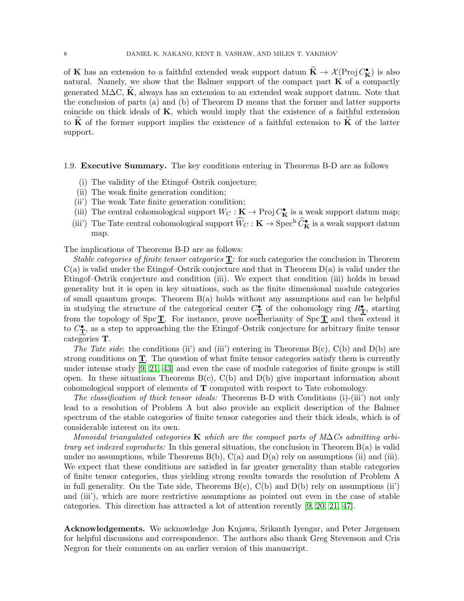of K has an extension to a faithful extended weak support datum  $\tilde{K} \to \mathcal{X}(\text{Proj } C_{\mathbf{K}}^{\bullet})$  is also natural. Namely, we show that the Balmer support of the compact part  $\bf{K}$  of a compactly generated M $\Delta C$ , K, always has an extension to an extended weak support datum. Note that the conclusion of parts (a) and (b) of Theorem D means that the former and latter supports coincide on thick ideals of  $K$ , which would imply that the existence of a faithful extension to  $\bf{K}$  of the former support implies the existence of a faithful extension to  $\bf{K}$  of the latter support.

#### 1.9. Executive Summary. The key conditions entering in Theorems B-D are as follows

- (i) The validity of the Etingof–Ostrik conjecture;
- (ii) The weak finite generation condition;
- (ii') The weak Tate finite generation condition;
- (iii) The central cohomological support  $W_C : \mathbf{K} \to \text{Proj } C_{\mathbf{K}}^{\bullet}$  is a weak support datum map;
- (iii') The Tate central cohomological support  $\widehat{W}_C : \mathbf{K} \to \text{Spec}^{\text{h}} \widehat{C}_{\mathbf{K}}^{\bullet}$  is a weak support datum map.

The implications of Theorems B-D are as follows:

Stable categories of finite tensor categories  $T$ : for such categories the conclusion in Theorem  $C(a)$  is valid under the Etingof-Ostrik conjecture and that in Theorem  $D(a)$  is valid under the Etingof–Ostrik conjecture and condition (iii). We expect that condition (iii) holds in broad generality but it is open in key situations, such as the finite dimensional module categories of small quantum groups. Theorem B(a) holds without any assumptions and can be helpful in studying the structure of the categorical center  $C^{\bullet}_{\mathbf{T}}$  of the cohomology ring  $R^{\bullet}_{\mathbf{T}}$ , starting from the topology of Spc  $\underline{T}$ . For instance, prove noetherianity of Spc  $\underline{T}$  and then extend it to  $C_{\mathbf{T}}^{\bullet}$ , as a step to approaching the the Etingof-Ostrik conjecture for arbitrary finite tensor categories T.

The Tate side: the conditions (ii) and (iii) entering in Theorems  $B(c)$ ,  $C(b)$  and  $D(b)$  are strong conditions on  $\underline{T}$ . The question of what finite tensor categories satisfy them is currently under intense study [\[9,](#page-36-9) [21,](#page-36-10) [43\]](#page-37-9) and even the case of module categories of finite groups is still open. In these situations Theorems  $B(c)$ ,  $C(b)$  and  $D(b)$  give important information about cohomological support of elements of T computed with respect to Tate cohomology.

The classification of thick tensor ideals: Theorems B-D with Conditions (i)-(iii') not only lead to a resolution of Problem A but also provide an explicit description of the Balmer spectrum of the stable categories of finite tensor categories and their thick ideals, which is of considerable interest on its own.

Monoidal triangulated categories K which are the compact parts of  $M\Delta C$ s admitting arbitrary set indexed coproducts: In this general situation, the conclusion in Theorem B(a) is valid under no assumptions, while Theorems  $B(b)$ ,  $C(a)$  and  $D(a)$  rely on assumptions (ii) and (iii). We expect that these conditions are satisfied in far greater generality than stable categories of finite tensor categories, thus yielding strong results towards the resolution of Problem A in full generality. On the Tate side, Theorems  $B(c)$ ,  $C(b)$  and  $D(b)$  rely on assumptions (ii') and (iii'), which are more restrictive assumptions as pointed out even in the case of stable categories. This direction has attracted a lot of attention recently [\[9,](#page-36-9) [20,](#page-36-11) [21,](#page-36-10) [47\]](#page-37-10).

Acknowledgements. We acknowledge Jon Kujawa, Srikanth Iyengar, and Peter Jørgensen for helpful discussions and correspondence. The authors also thank Greg Stevenson and Cris Negron for their comments on an earlier version of this manuscript.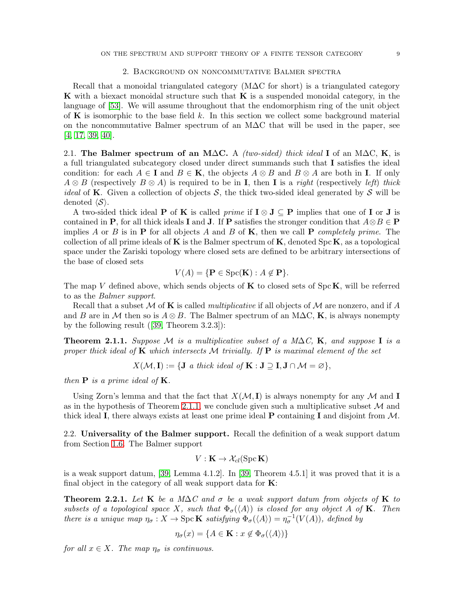### 2. Background on noncommutative Balmer spectra

<span id="page-8-0"></span>Recall that a monoidal triangulated category  $(M\Delta C)$  for short) is a triangulated category K with a biexact monoidal structure such that K is a suspended monoidal category, in the language of [\[53\]](#page-38-0). We will assume throughout that the endomorphism ring of the unit object of  $\bf{K}$  is isomorphic to the base field k. In this section we collect some background material on the noncommutative Balmer spectrum of an M∆C that will be used in the paper, see [\[4,](#page-36-0) [17,](#page-36-4) [39,](#page-37-3) [40\]](#page-37-11).

2.1. The Balmer spectrum of an M∆C. A (two-sided) thick ideal I of an M∆C, K, is a full triangulated subcategory closed under direct summands such that I satisfies the ideal condition: for each  $A \in I$  and  $B \in K$ , the objects  $A \otimes B$  and  $B \otimes A$  are both in I. If only  $A \otimes B$  (respectively  $B \otimes A$ ) is required to be in **I**, then **I** is a *right* (respectively *left)* thick *ideal* of **K**. Given a collection of objects  $S$ , the thick two-sided ideal generated by  $S$  will be denoted  $\langle S \rangle$ .

A two-sided thick ideal **P** of **K** is called *prime* if  $I \otimes J \subseteq P$  implies that one of **I** or **J** is contained in P, for all thick ideals I and J. If P satisfies the stronger condition that  $A \otimes B \in \mathbf{P}$ implies A or B is in **P** for all objects A and B of **K**, then we call **P** completely prime. The collection of all prime ideals of **K** is the Balmer spectrum of **K**, denoted  $\text{Spc } K$ , as a topological space under the Zariski topology where closed sets are defined to be arbitrary intersections of the base of closed sets

$$
V(A) = \{ \mathbf{P} \in \text{Spc}(\mathbf{K}) : A \notin \mathbf{P} \}.
$$

The map V defined above, which sends objects of  $\bf{K}$  to closed sets of  $Spc\bf{K}$ , will be referred to as the Balmer support.

Recall that a subset M of **K** is called *multiplicative* if all objects of M are nonzero, and if A and B are in M then so is  $A \otimes B$ . The Balmer spectrum of an M $\Delta C$ , K, is always nonempty by the following result([\[39,](#page-37-3) Theorem 3.2.3]):

<span id="page-8-1"></span>**Theorem 2.1.1.** Suppose M is a multiplicative subset of a M $\Delta C$ , **K**, and suppose **I** is a proper thick ideal of K which intersects M trivially. If  $P$  is maximal element of the set

 $X(\mathcal{M}, \mathbf{I}) := \{ \mathbf{J} \text{ a thick ideal of } \mathbf{K} : \mathbf{J} \supseteq \mathbf{I}, \mathbf{J} \cap \mathcal{M} = \varnothing \},\$ 

then  $P$  is a prime ideal of  $K$ .

Using Zorn's lemma and that the fact that  $X(\mathcal{M}, I)$  is always nonempty for any M and I as in the hypothesis of Theorem [2.1.1,](#page-8-1) we conclude given such a multiplicative subset  $\mathcal M$  and thick ideal I, there always exists at least one prime ideal P containing I and disjoint from  $M$ .

2.2. Universality of the Balmer support. Recall the definition of a weak support datum from Section [1.6.](#page-4-0) The Balmer support

$$
V: \mathbf{K} \to \mathcal{X}_{cl}(\text{Spc }\mathbf{K})
$$

is a weak support datum, [\[39,](#page-37-3) Lemma 4.1.2]. In [\[39,](#page-37-3) Theorem 4.5.1] it was proved that it is a final object in the category of all weak support data for  $K$ :

<span id="page-8-2"></span>**Theorem 2.2.1.** Let K be a M $\Delta C$  and  $\sigma$  be a weak support datum from objects of K to subsets of a topological space X, such that  $\Phi_{\sigma}(\langle A \rangle)$  is closed for any object A of **K**. Then there is a unique map  $\eta_{\sigma}: X \to \text{Spc } \mathbf{K}$  satisfying  $\Phi_{\sigma}(\langle A \rangle) = \eta_{\sigma}^{-1}(V(A))$ , defined by

$$
\eta_{\sigma}(x) = \{ A \in \mathbf{K} : x \notin \Phi_{\sigma}(\langle A \rangle) \}
$$

for all  $x \in X$ . The map  $\eta_{\sigma}$  is continuous.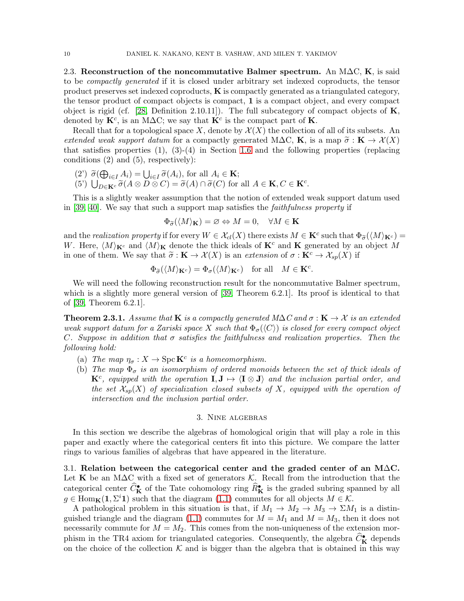<span id="page-9-1"></span>2.3. Reconstruction of the noncommutative Balmer spectrum. An M $\Delta C$ , K, is said to be compactly generated if it is closed under arbitrary set indexed coproducts, the tensor product preserves set indexed coproducts,  $\bf{K}$  is compactly generated as a triangulated category, the tensor product of compact objects is compact, 1 is a compact object, and every compact object is rigid (cf. [\[28,](#page-37-12) Definition 2.10.11]). The full subcategory of compact objects of  $\mathbf{K}$ , denoted by  $\mathbf{K}^c$ , is an M $\Delta C$ ; we say that  $\mathbf{K}^c$  is the compact part of **K**.

Recall that for a topological space X, denote by  $\mathcal{X}(X)$  the collection of all of its subsets. An extended weak support datum for a compactly generated M $\Delta C$ , K, is a map  $\widetilde{\sigma}: K \to \mathcal{X}(X)$ that satisfies properties  $(1), (3)-(4)$  in Section [1.6](#page-4-0) and the following properties (replacing conditions (2) and (5), respectively):

 $(2')\ \widetilde{\sigma}(\bigoplus_{i\in I}A_i)=\bigcup_{i\in I}\widetilde{\sigma}(A_i),$  for all  $A_i\in \mathbf{K};$ (5')  $\bigcup_{D \in \mathbf{K}^c} \widetilde{\sigma}(A \otimes D \otimes C) = \widetilde{\sigma}(A) \cap \widetilde{\sigma}(C)$  for all  $A \in \mathbf{K}, C \in \mathbf{K}^c$ .

This is a slightly weaker assumption that the notion of extended weak support datum used in [\[39,](#page-37-3) [40\]](#page-37-11). We say that such a support map satisfies the faithfulness property if

$$
\Phi_{\widetilde{\sigma}}(\langle M \rangle_{\mathbf{K}}) = \varnothing \Leftrightarrow M = 0, \quad \forall M \in \mathbf{K}
$$

and the realization property if for every  $W \in \mathcal{X}_{cl}(X)$  there exists  $M \in \mathbf{K}^c$  such that  $\Phi_{\widetilde{\sigma}}(\langle M \rangle_{\mathbf{K}^c}) =$ W. Here,  $\langle M \rangle_{\mathbf{K}^c}$  and  $\langle M \rangle_{\mathbf{K}}$  denote the thick ideals of  $\mathbf{K}^c$  and  $\mathbf{K}$  generated by an object M in one of them. We say that  $\tilde{\sigma}: \mathbf{K} \to \mathcal{X}(X)$  is an extension of  $\sigma: \mathbf{K}^c \to \mathcal{X}_{\text{sp}}(X)$  if

$$
\Phi_{\widetilde{\sigma}}(\langle M \rangle_{\mathbf{K}^c}) = \Phi_{\sigma}(\langle M \rangle_{\mathbf{K}^c}) \quad \text{for all} \quad M \in \mathbf{K}^c.
$$

We will need the following reconstruction result for the noncommutative Balmer spectrum, which is a slightly more general version of [\[39,](#page-37-3) Theorem 6.2.1]. Its proof is identical to that of [\[39,](#page-37-3) Theorem 6.2.1].

<span id="page-9-2"></span>**Theorem 2.3.1.** Assume that **K** is a compactly generated  $M\Delta C$  and  $\sigma : \mathbf{K} \to \mathcal{X}$  is an extended weak support datum for a Zariski space X such that  $\Phi_{\sigma}(\langle C \rangle)$  is closed for every compact object C. Suppose in addition that  $\sigma$  satisfies the faithfulness and realization properties. Then the following hold:

- (a) The map  $\eta_{\sigma}: X \to \text{Spc } \mathbf{K}^c$  is a homeomorphism.
- (b) The map  $\Phi_{\sigma}$  is an isomorphism of ordered monoids between the set of thick ideals of  $\mathbf{K}^c$ , equipped with the operation  $\mathbf{I}, \mathbf{J} \mapsto \langle \mathbf{I} \otimes \mathbf{J} \rangle$  and the inclusion partial order, and the set  $\mathcal{X}_{sp}(X)$  of specialization closed subsets of X, equipped with the operation of intersection and the inclusion partial order.

### 3. Nine algebras

<span id="page-9-0"></span>In this section we describe the algebras of homological origin that will play a role in this paper and exactly where the categorical centers fit into this picture. We compare the latter rings to various families of algebras that have appeared in the literature.

3.1. Relation between the categorical center and the graded center of an M $\Delta$ C. Let K be an M $\Delta C$  with a fixed set of generators K. Recall from the introduction that the categorical center  $\widehat{C}_{\mathbf{K}}^{\bullet}$  of the Tate cohomology ring  $\widehat{R}_{\mathbf{K}}^{\bullet}$  is the graded subring spanned by all  $g \in \text{Hom}_{\mathbf{K}}(1, \Sigma^i 1)$  such that the diagram  $(1.1)$  commutes for all objects  $M \in \mathcal{K}$ .

A pathological problem in this situation is that, if  $M_1 \to M_2 \to M_3 \to \Sigma M_1$  is a distin-guished triangle and the diagram [\(1.1\)](#page-2-0) commutes for  $M = M_1$  and  $M = M_3$ , then it does not necessarily commute for  $M = M_2$ . This comes from the non-uniqueness of the extension morphism in the TR4 axiom for triangulated categories. Consequently, the algebra  $\widehat{C}_{\mathbf{K}}^{\bullet}$  depends on the choice of the collection  $K$  and is bigger than the algebra that is obtained in this way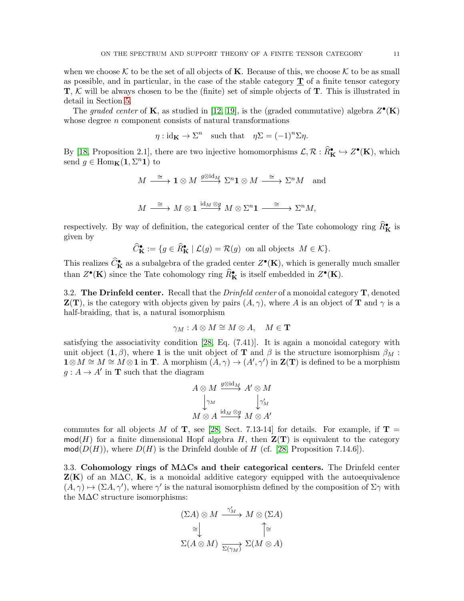when we choose K to be the set of all objects of K. Because of this, we choose K to be as small as possible, and in particular, in the case of the stable category  $\bf{T}$  of a finite tensor category  $T, K$  will be always chosen to be the (finite) set of simple objects of  $T$ . This is illustrated in detail in Section [5.](#page-15-0)

The graded center of **K**, as studied in [\[12,](#page-36-6) [19\]](#page-36-5), is the (graded commutative) algebra  $Z^{\bullet}(\mathbf{K})$ whose degree  $n$  component consists of natural transformations

$$
\eta : id_{\mathbf{K}} \to \Sigma^n
$$
 such that  $\eta \Sigma = (-1)^n \Sigma \eta$ .

By [\[18,](#page-36-3) Proposition 2.1], there are two injective homomorphisms  $\mathcal{L}, \mathcal{R} : \hat{R}_{\mathbf{K}}^{\bullet} \hookrightarrow Z^{\bullet}(\mathbf{K})$ , which send  $g \in \text{Hom}_{\mathbf{K}}(1, \Sigma^n 1)$  to

$$
M \xrightarrow{\cong} \mathbf{1} \otimes M \xrightarrow{g \otimes id_M} \Sigma^n \mathbf{1} \otimes M \xrightarrow{\cong} \Sigma^n M \text{ and}
$$
  

$$
M \xrightarrow{\cong} M \otimes \mathbf{1} \xrightarrow{id_M \otimes g} M \otimes \Sigma^n \mathbf{1} \xrightarrow{\cong} \Sigma^n M,
$$

respectively. By way of definition, the categorical center of the Tate cohomology ring  $\widehat{R}_{\mathbf{K}}^{\bullet}$  is given by

$$
\widehat{C}_{\mathbf{K}}^{\bullet} := \{ g \in \widehat{R}_{\mathbf{K}}^{\bullet} \mid \mathcal{L}(g) = \mathcal{R}(g) \text{ on all objects } M \in \mathcal{K} \}.
$$

This realizes  $\widehat{C}_{\mathbf{K}}^{\bullet}$  as a subalgebra of the graded center  $Z^{\bullet}(\mathbf{K})$ , which is generally much smaller than  $Z^{\bullet}(\mathbf{K})$  since the Tate cohomology ring  $\widehat{R}_{\mathbf{K}}^{\bullet}$  is itself embedded in  $Z^{\bullet}(\mathbf{K})$ .

3.2. The Drinfeld center. Recall that the *Drinfeld center* of a monoidal category  $\mathbf{T}$ , denoted  $\mathbf{Z}(\mathbf{T})$ , is the category with objects given by pairs  $(A, \gamma)$ , where A is an object of **T** and  $\gamma$  is a half-braiding, that is, a natural isomorphism

$$
\gamma_M: A \otimes M \cong M \otimes A, \quad M \in \mathbf{T}
$$

satisfying the associativity condition  $[28, Eq. (7.41)]$ . It is again a monoidal category with unit object  $(1, \beta)$ , where 1 is the unit object of T and  $\beta$  is the structure isomorphism  $\beta_M$ :  $\mathbf{1} \otimes M \cong M \cong M \otimes \mathbf{1}$  in **T**. A morphism  $(A, \gamma) \to (A', \gamma')$  in **Z(T)** is defined to be a morphism  $g: A \to A'$  in **T** such that the diagram

$$
A\otimes M \xrightarrow{g\otimes \mathrm{id}_M} A'\otimes M
$$
  

$$
\downarrow^{\gamma_M} \qquad \qquad \downarrow^{\gamma'_M}
$$
  

$$
M\otimes A \xrightarrow{\mathrm{id}_M\otimes g} M\otimes A'
$$

commutes for all objects M of T, see [\[28,](#page-37-12) Sect. 7.13-14] for details. For example, if  $T =$  $mod(H)$  for a finite dimensional Hopf algebra H, then  $\mathbf{Z}(\mathbf{T})$  is equivalent to the category  $mod(D(H))$ , where  $D(H)$  is the Drinfeld double of H (cf. [\[28,](#page-37-12) Proposition 7.14.6]).

3.3. Cohomology rings of M∆Cs and their categorical centers. The Drinfeld center  $\mathbf{Z}(\mathbf{K})$  of an M $\Delta C$ , **K**, is a monoidal additive category equipped with the autoequivalence  $(A, \gamma) \mapsto (\Sigma A, \gamma')$ , where  $\gamma'$  is the natural isomorphism defined by the composition of  $\Sigma \gamma$  with the M∆C structure isomorphisms:

$$
(\Sigma A) \otimes M \xrightarrow{\gamma'_M} M \otimes (\Sigma A)
$$

$$
\cong \bigcup_{\Sigma(A \otimes M)} \bigcap_{\Sigma(\gamma_M)}^{\gamma'_M} \Sigma(M \otimes A)
$$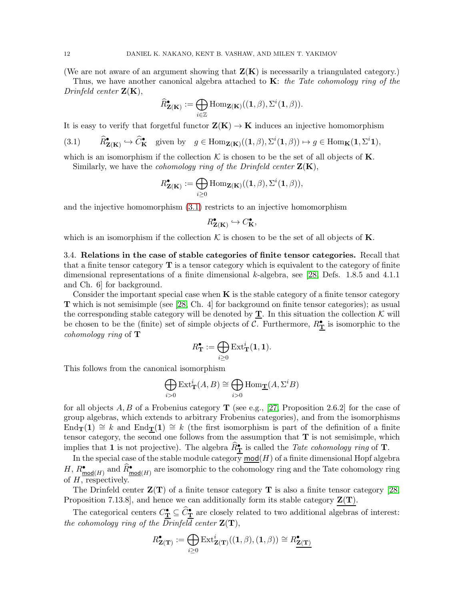(We are not aware of an argument showing that  $\mathbf{Z}(\mathbf{K})$  is necessarily a triangulated category.)

Thus, we have another canonical algebra attached to  $\mathbf{K}$ : the Tate cohomology ring of the Drinfeld center  $\mathbf{Z}(\mathbf{K}),$ 

$$
\widehat{R}^\bullet_{\mathbf{Z}(\mathbf{K})} := \bigoplus_{i \in \mathbb{Z}} \mathrm{Hom}_{\mathbf{Z}(\mathbf{K})}((\mathbf{1}, \beta), \Sigma^i(\mathbf{1}, \beta)).
$$

It is easy to verify that forgetful functor  $\mathbf{Z}(\mathbf{K}) \to \mathbf{K}$  induces an injective homomorphism

<span id="page-11-0"></span>(3.1) 
$$
\widehat{R}_{\mathbf{Z}(\mathbf{K})}^{\bullet} \hookrightarrow \widehat{C}_{\mathbf{K}}^{\bullet}
$$
 given by  $g \in \text{Hom}_{\mathbf{Z}(\mathbf{K})}((1,\beta),\Sigma^{i}(1,\beta)) \mapsto g \in \text{Hom}_{\mathbf{K}}(1,\Sigma^{i}1),$ 

which is an isomorphism if the collection  $K$  is chosen to be the set of all objects of **K**. Similarly, we have the *cohomology ring of the Drinfeld center*  $\mathbf{Z}(\mathbf{K})$ ,

$$
R_{\mathbf{Z}(\mathbf{K})}^{\bullet} := \bigoplus_{i \geq 0} \mathrm{Hom}_{\mathbf{Z}(\mathbf{K})}((\mathbf{1}, \beta), \Sigma^{i}(\mathbf{1}, \beta)),
$$

and the injective homomorphism [\(3.1\)](#page-11-0) restricts to an injective homomorphism

$$
R^\bullet_{\mathbf{Z}(\mathbf{K})} \hookrightarrow C^\bullet_{\mathbf{K}},
$$

which is an isomorphism if the collection  $\mathcal K$  is chosen to be the set of all objects of **K**.

3.4. Relations in the case of stable categories of finite tensor categories. Recall that that a finite tensor category  $\mathbf T$  is a tensor category which is equivalent to the category of finite dimensional representations of a finite dimensional k-algebra, see [\[28,](#page-37-12) Defs. 1.8.5 and 4.1.1 and Ch. 6] for background.

Consider the important special case when  $\bf{K}$  is the stable category of a finite tensor category T which is not semisimple (see [\[28,](#page-37-12) Ch. 4] for background on finite tensor categories); as usual the corresponding stable category will be denoted by  $\underline{T}$ . In this situation the collection K will be chosen to be the (finite) set of simple objects of  $C$ . Furthermore,  $R_{\mathbf{T}}^{\bullet}$  is isomorphic to the cohomology ring of T

$$
R_{\mathbf{T}}^{\bullet} := \bigoplus_{i \geq 0} \mathrm{Ext}_{\mathbf{T}}^{i}(\mathbf{1}, \mathbf{1}).
$$

This follows from the canonical isomorphism

$$
\bigoplus_{i>0} \text{Ext}_{\mathbf{T}}^{i}(A, B) \cong \bigoplus_{i>0} \text{Hom}_{\mathbf{T}}(A, \Sigma^{i}B)
$$

for all objects  $A, B$  of a Frobenius category **T** (see e.g., [\[27,](#page-37-13) Proposition 2.6.2] for the case of group algebras, which extends to arbitrary Frobenius categories), and from the isomorphisms End<sub>T</sub>(1)  $\cong$  k and End<sub>T</sub>(1)  $\cong$  k (the first isomorphism is part of the definition of a finite tensor category, the second one follows from the assumption that  $T$  is not semisimple, which implies that 1 is not projective). The algebra  $\widehat{R}_{\bf T}^{\bullet}$  is called the *Tate cohomology ring* of **T**.

In the special case of the stable module category  $\overline{\text{mod}(H)}$  of a finite dimensional Hopf algebra  $H, R_{\text{mod}(H)}^{\bullet}$  and  $\widehat{R}_{\text{mod}(H)}^{\bullet}$  are isomorphic to the cohomology ring and the Tate cohomology ring of  $H$ , respectively.

The Drinfeld center  $\mathbf{Z}(\mathbf{T})$  of a finite tensor category T is also a finite tensor category [\[28,](#page-37-12) Proposition 7.13.8], and hence we can additionally form its stable category  $\mathbf{Z}(\mathbf{T})$ .

The categorical centers  $C_{\mathbf{\underline{T}}}^{\bullet} \subseteq \widehat{C}_{\mathbf{\underline{T}}}^{\bullet}$  are closely related to two additional algebras of interest: the cohomology ring of the Drinfeld center  $Z(T)$ ,

$$
R_{\mathbf{Z}(\mathbf{T})}^{\bullet} := \bigoplus_{i \geq 0} \mathrm{Ext}^{i}_{\mathbf{Z}(\mathbf{T})}((\mathbf{1}, \beta), (\mathbf{1}, \beta)) \cong R^{\bullet}_{\mathbf{Z}(\mathbf{T})}
$$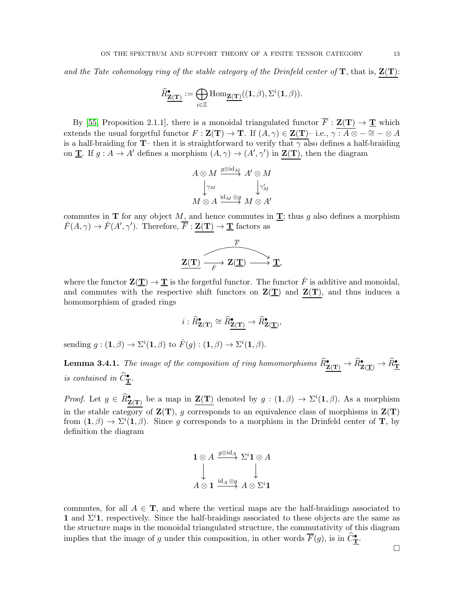and the Tate cohomology ring of the stable category of the Drinfeld center of  $T$ , that is,  $Z(T)$ :

$$
\widehat{R}^\bullet_{\underline{\mathbf{Z}(\mathbf{T})}} := \bigoplus_{i \in \mathbb{Z}} \mathrm{Hom}_{\underline{\mathbf{Z}(\mathbf{T})}}((\mathbf{1}, \beta), \Sigma^i(\mathbf{1}, \beta)).
$$

By [\[55,](#page-38-2) Proposition 2.1.1], there is a monoidal triangulated functor  $\overline{F}$  :  $\mathbf{Z}(\mathbf{T}) \to \underline{\mathbf{T}}$  which extends the usual forgetful functor  $F : \mathbf{Z(T)} \to \mathbf{T}$ . If  $(A, \gamma) \in \mathbf{Z(T)}$ – i.e.,  $\gamma : A \otimes - \cong - \otimes A$ is a half-braiding for  $T$ – then it is straightforward to verify that  $\gamma$  also defines a half-braiding on **T**. If  $g : A \to A'$  defines a morphism  $(A, \gamma) \to (A', \gamma')$  in **Z(T)**, then the diagram

$$
A \otimes M \xrightarrow{g \otimes id_M} A' \otimes M
$$
  

$$
\downarrow^{\gamma_M} \qquad \qquad \downarrow^{\gamma'_M}
$$
  

$$
M \otimes A \xrightarrow{id_M \otimes g} M \otimes A'
$$

commutes in **T** for any object M, and hence commutes in **T**; thus g also defines a morphism  $\check{F}(A,\gamma) \to \check{F}(A',\gamma')$ . Therefore,  $\overline{F} : \mathbf{Z(T)} \to \mathbf{T}$  factors as

$$
\overbrace{\mathbf{Z}(\mathbf{T}) \xrightarrow[\check{F}]{} \mathbf{Z}(\mathbf{T}) \longrightarrow \mathbf{T}}^{\overline{F}},
$$

where the functor  $\mathbf{Z}(\mathbf{T}) \to \mathbf{T}$  is the forgetful functor. The functor  $\check{F}$  is additive and monoidal, and commutes with the respective shift functors on  $\mathbf{Z}(\mathbf{T})$  and  $\mathbf{Z}(\mathbf{T})$ , and thus induces a homomorphism of graded rings

$$
i: \widehat{R}^{\bullet}_{\mathbf{Z}(\mathbf{T})} \cong \widehat{R}^{\bullet}_{\mathbf{Z}(\mathbf{T})} \to \widehat{R}^{\bullet}_{\mathbf{Z}(\mathbf{T})},
$$

sending  $g: (\mathbf{1}, \beta) \to \Sigma^{i}(\mathbf{1}, \beta)$  to  $\check{F}(g): (\mathbf{1}, \beta) \to \Sigma^{i}(\mathbf{1}, \beta)$ .

**Lemma 3.4.1.** The image of the composition of ring homomorphisms  $\widehat{R}^{\bullet}_{\mathbf{Z(T)}} \to \widehat{R}^{\bullet}_{\mathbf{Z(\mathbf{T})}} \to \widehat{R}^{\bullet}_{\mathbf{Y}}$ is contained in  $\widehat{C}_{\mathbf{T}}^{\bullet}$ .

*Proof.* Let  $g \in \widehat{R}^{\bullet}_{\mathbf{Z}(\mathbf{T})}$  be a map in  $\underline{\mathbf{Z}(\mathbf{T})}$  denoted by  $g : (\mathbf{1}, \beta) \to \Sigma^{i}(\mathbf{1}, \beta)$ . As a morphism in the stable category of  $\mathbf{Z}(\mathbf{T})$ , g corresponds to an equivalence class of morphisms in  $\mathbf{Z}(\mathbf{T})$ from  $(1, \beta) \rightarrow \Sigma^{i}(1, \beta)$ . Since g corresponds to a morphism in the Drinfeld center of **T**, by definition the diagram

$$
\begin{array}{ccc}\n\mathbf{1} \otimes A & \xrightarrow{g \otimes id_A} \Sigma^i \mathbf{1} \otimes A \\
\downarrow & & \downarrow \\
A \otimes \mathbf{1} & \xrightarrow{id_A \otimes g} A \otimes \Sigma^i \mathbf{1}\n\end{array}
$$

commutes, for all  $A \in \mathbf{T}$ , and where the vertical maps are the half-braidings associated to 1 and  $\Sigma^i$ 1, respectively. Since the half-braidings associated to these objects are the same as the structure maps in the monoidal triangulated structure, the commutativity of this diagram implies that the image of g under this composition, in other words  $\overline{F}(g)$ , is in  $\widehat{C}_{\bf T}^{\bullet}$ .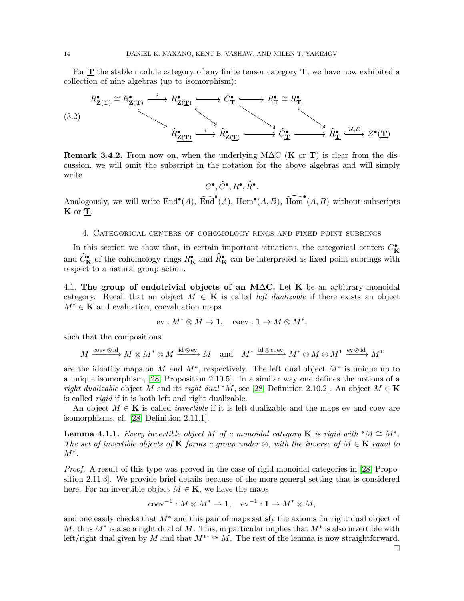For  $T$  the stable module category of any finite tensor category  $T$ , we have now exhibited a collection of nine algebras (up to isomorphism):

<span id="page-13-0"></span>

Remark 3.4.2. From now on, when the underlying M $\Delta C$  (K or T) is clear from the discussion, we will omit the subscript in the notation for the above algebras and will simply write

 $C^\bullet, \widehat{C}^\bullet, R^\bullet, \widehat{R}^\bullet.$ 

Analogously, we will write  $\text{End}^{\bullet}(A)$ ,  $\widehat{\text{End}}^{\bullet}(A)$ ,  $\text{Hom}^{\bullet}(A, B)$ ,  $\widehat{\text{Hom}}^{\bullet}(A, B)$  without subscripts  $\mathbf K$  or  $\underline{\mathbf T}$ .

### <span id="page-13-1"></span>4. Categorical centers of cohomology rings and fixed point subrings

In this section we show that, in certain important situations, the categorical centers  $C_K^{\bullet}$ and  $\widehat{C}_{\mathbf{K}}^{\bullet}$  of the cohomology rings  $R_{\mathbf{K}}^{\bullet}$  and  $\widehat{R}_{\mathbf{K}}^{\bullet}$  can be interpreted as fixed point subrings with respect to a natural group action.

4.1. The group of endotrivial objects of an M $\Delta$ C. Let K be an arbitrary monoidal category. Recall that an object  $M \in \mathbf{K}$  is called *left dualizable* if there exists an object  $M^* \in \mathbf{K}$  and evaluation, coevaluation maps

$$
\text{ev}: M^*\otimes M\to \mathbf{1},\quad \text{coev}: \mathbf{1}\to M\otimes M^*,
$$

such that the compositions

$$
M\xrightarrow{\text{coev}\otimes\text{id}}M\otimes M^*\otimes M\xrightarrow{\text{id}\otimes\text{ev}}M\quad\text{and}\quad M^*\xrightarrow{\text{id}\otimes\text{coev}}M^*\otimes M\otimes M^*\xrightarrow{\text{ev}\otimes\text{id}}M^*
$$

are the identity maps on M and  $M^*$ , respectively. The left dual object  $M^*$  is unique up to a unique isomorphism, [\[28,](#page-37-12) Proposition 2.10.5]. In a similar way one defines the notions of a right dualizable object M and its right dual \*M, see [\[28,](#page-37-12) Definition 2.10.2]. An object  $M \in \mathbf{K}$ is called rigid if it is both left and right dualizable.

An object  $M \in \mathbf{K}$  is called *invertible* if it is left dualizable and the maps ev and coev are isomorphisms, cf. [\[28,](#page-37-12) Definition 2.11.1].

**Lemma 4.1.1.** Every invertible object M of a monoidal category **K** is rigid with  $^*M \cong M^*$ . The set of invertible objects of **K** forms a group under  $\otimes$ , with the inverse of  $M \in \mathbf{K}$  equal to  $M^*$ .

Proof. A result of this type was proved in the case of rigid monoidal categories in [\[28,](#page-37-12) Proposition 2.11.3]. We provide brief details because of the more general setting that is considered here. For an invertible object  $M \in \mathbf{K}$ , we have the maps

$$
coev^{-1}: M \otimes M^* \to \mathbf{1}, \quad ev^{-1}: \mathbf{1} \to M^* \otimes M,
$$

and one easily checks that  $M^*$  and this pair of maps satisfy the axioms for right dual object of M; thus  $M^*$  is also a right dual of M. This, in particular implies that  $M^*$  is also invertible with left/right dual given by M and that  $M^{**} \cong M$ . The rest of the lemma is now straightforward.  $\Box$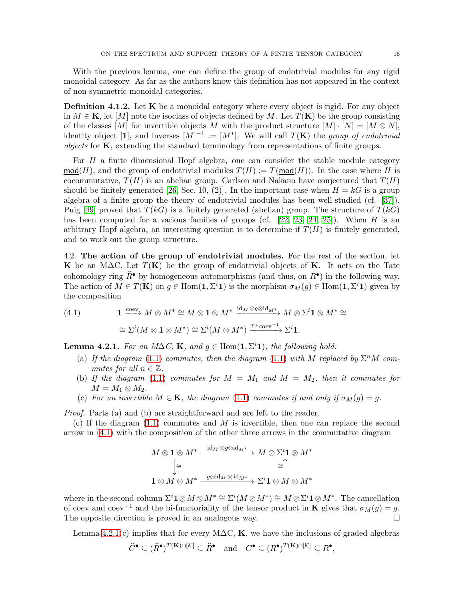With the previous lemma, one can define the group of endotrivial modules for any rigid monoidal category. As far as the authors know this definition has not appeared in the context of non-symmetric monoidal categories.

Definition 4.1.2. Let K be a monoidal category where every object is rigid. For any object in  $M \in \mathbf{K}$ , let  $[M]$  note the isoclass of objects defined by M. Let  $T(\mathbf{K})$  be the group consisting of the classes [M] for invertible objects M with the product structure  $[M] \cdot [N] = [M \otimes N]$ , identity object [1], and inverses  $[M]^{-1} := [M^*]$ . We will call  $T(\mathbf{K})$  the group of endotrivial objects for  $\bf{K}$ , extending the standard terminology from representations of finite groups.

For  $H$  a finite dimensional Hopf algebra, one can consider the stable module category  $\text{mod}(H)$ , and the group of endotrivial modules  $T(H) := T(\text{mod}(H))$ . In the case where H is cocommutative,  $T(H)$  is an abelian group. Carlson and Nakano have conjectured that  $T(H)$ should be finitely generated [\[26,](#page-37-14) Sec. 10, (2)]. In the important case when  $H = kG$  is a group algebra of a finite group the theory of endotrivial modules has been well-studied (cf. [\[37\]](#page-37-15)). Puig [\[49\]](#page-37-16) proved that  $T(kG)$  is a finitely generated (abelian) group. The structure of  $T(kG)$ has been computed for a various families of groups (cf.  $[22, 23, 24, 25]$  $[22, 23, 24, 25]$  $[22, 23, 24, 25]$  $[22, 23, 24, 25]$ ). When H is an arbitrary Hopf algebra, an interesting question is to determine if  $T(H)$  is finitely generated, and to work out the group structure.

4.2. The action of the group of endotrivial modules. For the rest of the section, let K be an M $\Delta C$ . Let  $T(K)$  be the group of endotrivial objects of K. It acts on the Tate cohomology ring  $\widehat{R}^{\bullet}$  by homogeneous automorphisms (and thus, on  $R^{\bullet}$ ) in the following way. The action of  $M \in T(\mathbf{K})$  on  $g \in \text{Hom}(\mathbf{1}, \Sigma^i \mathbf{1})$  is the morphism  $\sigma_M(g) \in \text{Hom}(\mathbf{1}, \Sigma^i \mathbf{1})$  given by the composition

<span id="page-14-0"></span>(4.1) 
$$
\mathbf{1} \xrightarrow{\text{coev}} M \otimes M^* \cong M \otimes \mathbf{1} \otimes M^* \xrightarrow{\text{id}_M \otimes g \otimes \text{id}_{M^*}} M \otimes \Sigma^i \mathbf{1} \otimes M^* \cong
$$

$$
\cong \Sigma^i (M \otimes \mathbf{1} \otimes M^*) \cong \Sigma^i (M \otimes M^*) \xrightarrow{\Sigma^i \text{coev}^{-1}} \Sigma^i \mathbf{1}.
$$

<span id="page-14-1"></span>**Lemma 4.2.1.** For an M $\Delta C$ , **K**, and  $g \in \text{Hom}(\mathbf{1}, \Sigma^i \mathbf{1})$ , the following hold:

- (a) If the diagram [\(1.1\)](#page-2-0) commutes, then the diagram (1.1) with M replaced by  $\Sigma^n M$  commutes for all  $n \in \mathbb{Z}$ .
- (b) If the diagram [\(1.1\)](#page-2-0) commutes for  $M = M_1$  and  $M = M_2$ , then it commutes for  $M = M_1 \otimes M_2.$
- (c) For an invertible  $M \in \mathbf{K}$ , the diagram [\(1.1\)](#page-2-0) commutes if and only if  $\sigma_M(g) = g$ .

Proof. Parts (a) and (b) are straightforward and are left to the reader.

(c) If the diagram  $(1.1)$  commutes and M is invertible, then one can replace the second arrow in [\(4.1\)](#page-14-0) with the composition of the other three arrows in the commutative diagram

$$
M \otimes \mathbf{1} \otimes M^* \xrightarrow{\operatorname{id}_M \otimes g \otimes \operatorname{id}_{M^*}} M \otimes \Sigma^i \mathbf{1} \otimes M^* \\
\downarrow \cong \qquad \qquad \cong \qquad \qquad \cong \qquad \qquad \cong \qquad \qquad \cong \qquad \qquad \cong \qquad \qquad \cong \qquad \qquad \cong
$$
\n
$$
\mathbf{1} \otimes M \otimes M^* \xrightarrow{g \otimes \operatorname{id}_M \otimes \operatorname{id}_{M^*}} \Sigma^i \mathbf{1} \otimes M \otimes M^*
$$

where in the second column  $\Sigma^i \mathbf{1} \otimes M \otimes M^* \cong \Sigma^i(M \otimes M^*) \cong M \otimes \Sigma^i \mathbf{1} \otimes M^*$ . The cancellation of coev and coev<sup>-1</sup> and the bi-functoriality of the tensor product in **K** gives that  $\sigma_M(g) = g$ . The opposite direction is proved in an analogous way.  $\Box$ 

Lemma [4.2.1\(](#page-14-1)c) implies that for every M $\Delta C$ , K, we have the inclusions of graded algebras

$$
\widehat{C}^{\bullet} \subseteq (\widehat{R}^{\bullet})^{T(\mathbf{K}) \cap [\mathcal{K}]} \subseteq \widehat{R}^{\bullet} \quad \text{and} \quad C^{\bullet} \subseteq (R^{\bullet})^{T(\mathbf{K}) \cap [\mathcal{K}]} \subseteq R^{\bullet},
$$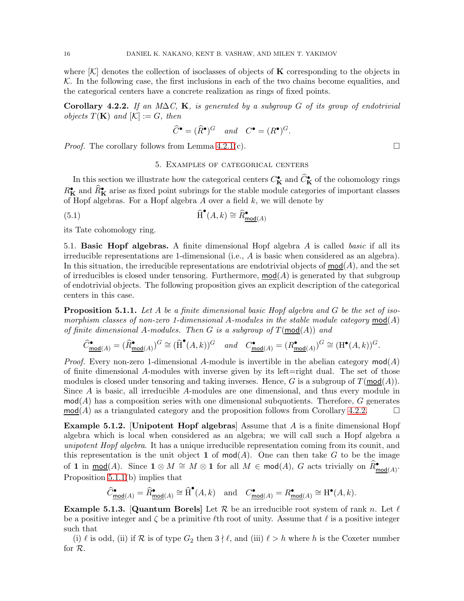where  $\mathcal{K}$  denotes the collection of isoclasses of objects of **K** corresponding to the objects in  $K$ . In the following case, the first inclusions in each of the two chains become equalities, and the categorical centers have a concrete realization as rings of fixed points.

<span id="page-15-1"></span>Corollary 4.2.2. If an M $\Delta C$ , K, is generated by a subgroup G of its group of endotrivial objects  $T(\mathbf{K})$  and  $[\mathcal{K}] := G$ , then

$$
\widehat{C}^{\bullet} = (\widehat{R}^{\bullet})^G \quad and \quad C^{\bullet} = (R^{\bullet})^G.
$$

<span id="page-15-0"></span>*Proof.* The corollary follows from Lemma [4.2.1\(](#page-14-1)c).  $\Box$ 

### 5. Examples of categorical centers

In this section we illustrate how the categorical centers  $C_K^{\bullet}$  and  $\widehat{C}_K^{\bullet}$  of the cohomology rings  $R_K^{\bullet}$  and  $\widehat{R}_K^{\bullet}$  arise as fixed point subrings for the stable module categories of important classes of Hopf algebras. For a Hopf algebra  $A$  over a field  $k$ , we will denote by

(5.1) 
$$
\widehat{\mathrm{H}}^{\bullet}(A,k) \cong \widehat{R}_{\mathrm{mod}(A)}^{\bullet}
$$

its Tate cohomology ring.

5.1. Basic Hopf algebras. A finite dimensional Hopf algebra A is called basic if all its irreducible representations are 1-dimensional (i.e., A is basic when considered as an algebra). In this situation, the irreducible representations are endotrivial objects of  $mod(A)$ , and the set of irreducibles is closed under tensoring. Furthermore,  $mod(A)$  is generated by that subgroup of endotrivial objects. The following proposition gives an explicit description of the categorical centers in this case.

<span id="page-15-2"></span>**Proposition 5.1.1.** Let A be a finite dimensional basic Hopf algebra and G be the set of isomorphism classes of non-zero 1-dimensional A-modules in the stable module category  $mod(A)$ of finite dimensional A-modules. Then G is a subgroup of  $T(\text{mod}(A))$  and

$$
\widehat{C}^\bullet_{\mathrm{mod}(A)}=(\widehat{R}^\bullet_{\mathrm{mod}(A)})^G\cong (\widehat{\operatorname{H}}^\bullet(A,k))^G\quad\text{and}\quad C^\bullet_{\mathrm{mod}(A)}=(R^\bullet_{\mathrm{mod}(A)})^G\cong (\operatorname{H}^\bullet(A,k))^G.
$$

*Proof.* Every non-zero 1-dimensional A-module is invertible in the abelian category  $mod(A)$ of finite dimensional A-modules with inverse given by its left=right dual. The set of those modules is closed under tensoring and taking inverses. Hence, G is a subgroup of  $T(\text{mod}(A))$ . Since A is basic, all irreducible A-modules are one dimensional, and thus every module in  $mod(A)$  has a composition series with one dimensional subquotients. Therefore, G generates  $mod(A)$  as a triangulated category and the proposition follows from Corollary [4.2.2.](#page-15-1)

<span id="page-15-4"></span>**Example 5.1.2.** [Unipotent Hopf algebras] Assume that  $A$  is a finite dimensional Hopf algebra which is local when considered as an algebra; we will call such a Hopf algebra a unipotent Hopf algebra. It has a unique irreducible representation coming from its counit, and this representation is the unit object 1 of  $mod(A)$ . One can then take G to be the image of 1 in  $\underline{\text{mod}}(A)$ . Since  $1 \otimes M \cong M \otimes 1$  for all  $M \in \text{mod}(A)$ , G acts trivially on  $\widehat{R}_{\text{mod}(A)}^{\bullet}$ . Proposition [5.1.1\(](#page-15-2)b) implies that

$$
\widehat{C}^\bullet_{\underline{\mathsf{mod}}(A)}=\widehat{R}^\bullet_{\underline{\mathsf{mod}}(A)}\cong \widehat{\operatorname{H}}^\bullet(A,k)\quad\text{and}\quad C^\bullet_{\underline{\mathsf{mod}}(A)}=R^\bullet_{\underline{\mathsf{mod}}(A)}\cong \operatorname{H}^\bullet(A,k).
$$

<span id="page-15-3"></span>**Example 5.1.3.** [Quantum Borels] Let R be an irreducible root system of rank n. Let  $\ell$ be a positive integer and  $\zeta$  be a primitive  $\ell$ th root of unity. Assume that  $\ell$  is a positive integer such that

(i)  $\ell$  is odd, (ii) if  $\mathcal R$  is of type  $G_2$  then  $3 \nmid \ell$ , and (iii)  $\ell > h$  where h is the Coxeter number for R.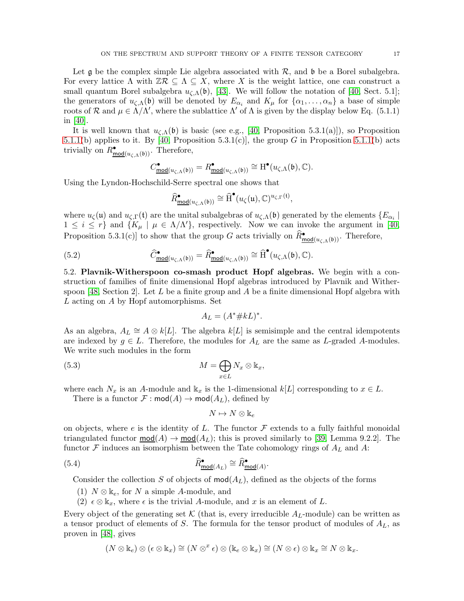Let  $\mathfrak g$  be the complex simple Lie algebra associated with  $\mathcal R$ , and  $\mathfrak b$  be a Borel subalgebra. For every lattice  $\Lambda$  with  $\mathbb{Z}\mathcal{R} \subseteq \Lambda \subseteq X$ , where X is the weight lattice, one can construct a small quantum Borel subalgebra  $u_{\zeta,\Lambda}(\mathfrak{b})$ , [\[43\]](#page-37-9). We will follow the notation of [\[40,](#page-37-11) Sect. 5.1]; the generators of  $u_{\zeta,\Lambda}(\mathfrak{b})$  will be denoted by  $E_{\alpha_i}$  and  $K_\mu$  for  $\{\alpha_1,\ldots,\alpha_n\}$  a base of simple roots of R and  $\mu \in \Lambda/\Lambda'$ , where the sublattice  $\Lambda'$  of  $\Lambda$  is given by the display below Eq. (5.1.1) in [\[40\]](#page-37-11).

It is well known that  $u_{\zeta,\Lambda}(\mathfrak{b})$  is basic (see e.g., [\[40,](#page-37-11) Proposition 5.3.1(a)]), so Proposition [5.1.1\(](#page-15-2)b) applies to it. By [\[40,](#page-37-11) Proposition 5.3.1(c)], the group G in Proposition [5.1.1\(](#page-15-2)b) acts trivially on  $R^{\bullet}_{\text{mod}(u_{\zeta,\Lambda}(\mathfrak{b}))}$ . Therefore,

$$
C^{\bullet}_{\underline{\textup{mod}}(u_{\zeta,\Lambda}(\mathfrak{b}))}=R^{\bullet}_{\underline{\textup{mod}}(u_{\zeta,\Lambda}(\mathfrak{b}))}\cong \mathrm{H}^{\bullet}(u_{\zeta,\Lambda}(\mathfrak{b}),\mathbb{C}).
$$

Using the Lyndon-Hochschild-Serre spectral one shows that

$$
\widehat{R}_{\underline{\mathsf{mod}}(u_{\zeta,\Lambda}(\mathfrak{b}))}^{\bullet}\cong \widehat{\operatorname{H}}^{\bullet}(u_{\zeta}(\mathfrak{u}),\mathbb{C})^{u_{\zeta,\Gamma}(\mathfrak{t})}
$$

,

where  $u_{\zeta}(\mathfrak{u})$  and  $u_{\zeta,\Gamma}(\mathfrak{t})$  are the unital subalgebras of  $u_{\zeta,\Lambda}(\mathfrak{b})$  generated by the elements  $\{E_{\alpha_i}\mid \zeta_{\zeta,\Lambda}(\mathfrak{b})\}$  $1 \leq i \leq r$  and  $\{K_{\mu} \mid \mu \in \Lambda/\Lambda'\}$ , respectively. Now we can invoke the argument in [\[40,](#page-37-11) Proposition 5.3.1(c)] to show that the group G acts trivially on  $\widehat{R}_{\text{mod}(u_{\zeta,\Lambda}(\mathfrak{b}))}^{\bullet}$ . Therefore,

(5.2) 
$$
\widehat{C}^{\bullet}_{\text{mod}(u_{\zeta,\Lambda}(\mathfrak{b}))} = \widehat{R}^{\bullet}_{\text{mod}(u_{\zeta,\Lambda}(\mathfrak{b}))} \cong \widehat{\mathrm{H}}^{\bullet}(u_{\zeta,\Lambda}(\mathfrak{b}), \mathbb{C}).
$$

<span id="page-16-1"></span>5.2. Plavnik-Witherspoon co-smash product Hopf algebras. We begin with a construction of families of finite dimensional Hopf algebras introduced by Plavnik and Wither-spoon [\[48,](#page-37-8) Section 2]. Let L be a finite group and A be a finite dimensional Hopf algebra with L acting on A by Hopf automorphisms. Set

<span id="page-16-2"></span>
$$
A_L = (A^* \# kL)^*.
$$

As an algebra,  $A_L \cong A \otimes k[L]$ . The algebra  $k[L]$  is semisimple and the central idempotents are indexed by  $g \in L$ . Therefore, the modules for  $A_L$  are the same as L-graded A-modules. We write such modules in the form

(5.3) 
$$
M = \bigoplus_{x \in L} N_x \otimes \mathbb{k}_x,
$$

where each  $N_x$  is an A-module and  $k_x$  is the 1-dimensional  $k[L]$  corresponding to  $x \in L$ .

There is a functor  $\mathcal F$  : mod $(A) \to \text{mod}(A_L)$ , defined by

<span id="page-16-0"></span>
$$
N \mapsto N \otimes \Bbbk_e
$$

on objects, where e is the identity of L. The functor  $\mathcal F$  extends to a fully faithful monoidal triangulated functor  $mod(A) \rightarrow mod(A_L)$ ; this is proved similarly to [\[39,](#page-37-3) Lemma 9.2.2]. The functor  $\mathcal F$  induces an isomorphism between the Tate cohomology rings of  $A_L$  and  $A$ :

(5.4) 
$$
\widehat{R}^{\bullet}_{\text{mod}(A_L)} \cong \widehat{R}^{\bullet}_{\text{mod}(A)}.
$$

Consider the collection S of objects of  $mod(A_L)$ , defined as the objects of the forms

- (1)  $N \otimes \mathbb{k}_e$ , for N a simple A-module, and
- (2)  $\epsilon \otimes \mathbb{k}_x$ , where  $\epsilon$  is the trivial A-module, and x is an element of L.

Every object of the generating set  $\mathcal K$  (that is, every irreducible  $A_L$ -module) can be written as a tensor product of elements of S. The formula for the tensor product of modules of  $A_L$ , as proven in [\[48\]](#page-37-8), gives

$$
(N \otimes \mathbb{k}_e) \otimes (\epsilon \otimes \mathbb{k}_x) \cong (N \otimes^x \epsilon) \otimes (\mathbb{k}_e \otimes \mathbb{k}_x) \cong (N \otimes \epsilon) \otimes \mathbb{k}_x \cong N \otimes \mathbb{k}_x.
$$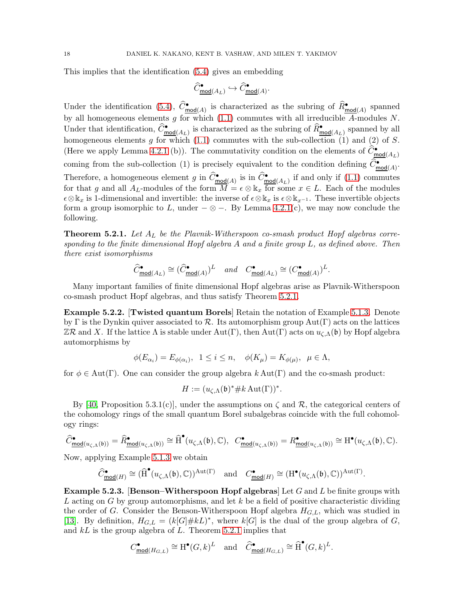This implies that the identification [\(5.4\)](#page-16-0) gives an embedding

$$
\widehat{C}^\bullet_{\underline{\mathrm{mod}}(A_L)} \hookrightarrow \widehat{C}^\bullet_{\underline{\mathrm{mod}}(A)}.
$$

Under the identification [\(5.4\)](#page-16-0),  $\widehat{C}^{\bullet}_{mod(A)}$  is characterized as the subring of  $\widehat{R}^{\bullet}_{mod(A)}$  spanned by all homogeneous elements g for which  $(1.1)$  commutes with all irreducible A-modules N. Under that identification,  $\widehat{C}^{\bullet}_{\text{mod}(A_L)}$  is characterized as the subring of  $\widehat{R}^{\bullet}_{\text{mod}(A_L)}$  spanned by all homogeneous elements g for which  $(1.1)$  commutes with the sub-collection  $(1)$  and  $(2)$  of S. (Here we apply Lemma [4.2.1](#page-14-1) (b)). The commutativity condition on the elements of  $\widehat{C}_{\text{mod}(A_L)}^{\bullet}$ coming from the sub-collection (1) is precisely equivalent to the condition defining  $\widehat{C}^{\bullet}_{mod(A)}$ . Therefore, a homogeneous element g in  $\widehat{C}^{\bullet}_{\text{mod}(A)}$  is in  $\widehat{C}^{\bullet}_{\text{mod}(A_L)}$  if and only if [\(1.1\)](#page-2-0) commutes for that g and all  $A_L$ -modules of the form  $M = \epsilon \otimes \mathbb{k}_x$  for some  $x \in L$ . Each of the modules  $\epsilon \otimes \Bbbk_x$  is 1-dimensional and invertible: the inverse of  $\epsilon \otimes \Bbbk_x$  is  $\epsilon \otimes \Bbbk_{x-1}$ . These invertible objects form a group isomorphic to L, under  $-\otimes -$ . By Lemma [4.2.1\(](#page-14-1)c), we may now conclude the following.

<span id="page-17-0"></span>**Theorem 5.2.1.** Let  $A_L$  be the Plavnik-Witherspoon co-smash product Hopf algebras corresponding to the finite dimensional Hopf algebra A and a finite group  $L$ , as defined above. Then there exist isomorphisms

$$
\widehat{C}^{\bullet}_{\underline{\text{mod}}(A_L)} \cong (\widehat{C}^{\bullet}_{\underline{\text{mod}}(A)})^L \quad \text{and} \quad C^{\bullet}_{\underline{\text{mod}}(A_L)} \cong (C^{\bullet}_{\underline{\text{mod}}(A)})^L.
$$

Many important families of finite dimensional Hopf algebras arise as Plavnik-Witherspoon co-smash product Hopf algebras, and thus satisfy Theorem [5.2.1.](#page-17-0)

Example 5.2.2. [Twisted quantum Borels] Retain the notation of Example [5.1.3.](#page-15-3) Denote by Γ is the Dynkin quiver associated to R. Its automorphism group  $Aut(Γ)$  acts on the lattices  $\mathbb{Z}\mathcal{R}$  and X. If the lattice  $\Lambda$  is stable under Aut(Γ), then Aut(Γ) acts on  $u_{\zeta,\Lambda}(\mathfrak{b})$  by Hopf algebra automorphisms by

$$
\phi(E_{\alpha_i}) = E_{\phi(\alpha_i)}, \ \ 1 \leq i \leq n, \quad \phi(K_\mu) = K_{\phi(\mu)}, \ \ \mu \in \Lambda,
$$

for  $\phi \in Aut(\Gamma)$ . One can consider the group algebra k Aut(Γ) and the co-smash product:

$$
H := (u_{\zeta,\Lambda}(\mathfrak{b})^* \# k \operatorname{Aut}(\Gamma))^*.
$$

By [\[40,](#page-37-11) Proposition 5.3.1(c)], under the assumptions on  $\zeta$  and  $\mathcal{R}$ , the categorical centers of the cohomology rings of the small quantum Borel subalgebras coincide with the full cohomology rings:

$$
\widehat{C}^\bullet_\mathrm{mod}(u_{\zeta,\Lambda}(\mathfrak b))=\widehat{R}^\bullet_\mathrm{mod}(u_{\zeta,\Lambda}(\mathfrak b))\cong\widehat{\mathrm{H}}^\bullet(u_{\zeta,\Lambda}(\mathfrak b),\mathbb{C}),\quad C^\bullet_\mathrm{mod}(u_{\zeta,\Lambda}(\mathfrak b))=R^\bullet_\mathrm{mod}(u_{\zeta,\Lambda}(\mathfrak b))\cong\mathrm{H}^\bullet(u_{\zeta,\Lambda}(\mathfrak b),\mathbb{C}).
$$

Now, applying Example [5.1.3](#page-15-3) we obtain

$$
\widehat{C}^{\bullet}_{\underline{\mathsf{mod}}(H)} \cong (\widehat{\operatorname{H}}^{\bullet}(u_{\zeta,\Lambda}(\mathfrak{b}),\mathbb{C}))^{\operatorname{Aut}(\Gamma)} \quad \text{and} \quad C^{\bullet}_{\underline{\mathsf{mod}}(H)} \cong (\operatorname{H}^{\bullet}(u_{\zeta,\Lambda}(\mathfrak{b}),\mathbb{C}))^{\operatorname{Aut}(\Gamma)}.
$$

<span id="page-17-1"></span>**Example 5.2.3.** [Benson–Witherspoon Hopf algebras] Let G and L be finite groups with L acting on G by group automorphisms, and let  $k$  be a field of positive characteristic dividing the order of G. Consider the Benson-Witherspoon Hopf algebra  $H_{G,L}$ , which was studied in [\[13\]](#page-36-12). By definition,  $H_{G,L} = (k[G]\# kL)^*$ , where  $k[G]$  is the dual of the group algebra of G, and  $kL$  is the group algebra of L. Theorem [5.2.1](#page-17-0) implies that

$$
C^\bullet_{\underline{\textup{mod}}(H_{G,L})}\cong \mathrm{H}^\bullet(G,k)^L\quad\text{and}\quad \widehat{C}^\bullet_{\underline{\textup{mod}}(H_{G,L})}\cong \widehat{\mathrm{H}}^\bullet(G,k)^L.
$$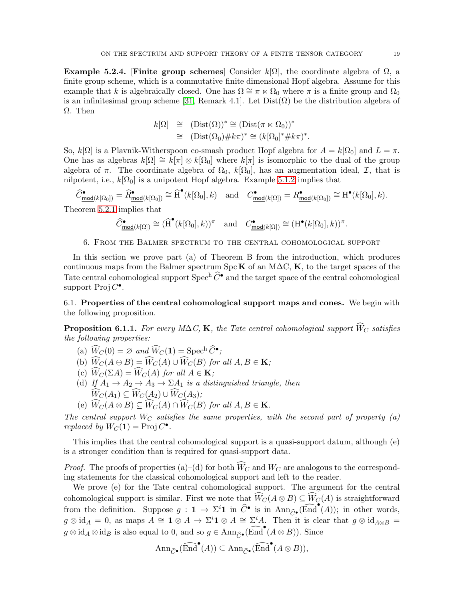Example 5.2.4. [Finite group schemes] Consider  $k[\Omega]$ , the coordinate algebra of  $\Omega$ , a finite group scheme, which is a commutative finite dimensional Hopf algebra. Assume for this example that k is algebraically closed. One has  $\Omega \cong \pi \ltimes \Omega_0$  where  $\pi$  is a finite group and  $\Omega_0$ is an infinitesimal group scheme [\[31,](#page-37-2) Remark 4.1]. Let  $Dist(\Omega)$  be the distribution algebra of Ω. Then

$$
k[\Omega] \cong (\text{Dist}(\Omega))^* \cong (\text{Dist}(\pi \ltimes \Omega_0))^*
$$
  
\n
$$
\cong (\text{Dist}(\Omega_0) \# k\pi)^* \cong (k[\Omega_0]^* \# k\pi)^*.
$$

So,  $k[\Omega]$  is a Plavnik-Witherspoon co-smash product Hopf algebra for  $A = k[\Omega_0]$  and  $L = \pi$ . One has as algebras  $k[\Omega] \cong k[\pi] \otimes k[\Omega_0]$  where  $k[\pi]$  is isomorphic to the dual of the group algebra of  $\pi$ . The coordinate algebra of  $\Omega_0$ ,  $k[\Omega_0]$ , has an augmentation ideal,  $\mathcal{I}$ , that is nilpotent, i.e.,  $k[\Omega_0]$  is a unipotent Hopf algebra. Example [5.1.2](#page-15-4) implies that

 $\widehat{C}^{\bullet}_{\text{mod}(k[\Omega_0])} = \widehat{R}^{\bullet}_{\text{mod}(k[\Omega_0])} \cong \widehat{H}^{\bullet}(k[\Omega_0], k) \text{ and } C^{\bullet}_{\text{mod}(k[\Omega])} = R^{\bullet}_{\text{mod}(k[\Omega_0])} \cong H^{\bullet}(k[\Omega_0], k).$ Theorem [5.2.1](#page-17-0) implies that

$$
\widehat{C}^{\bullet}_{\underline{\text{mod}}(k[\Omega])} \cong (\widehat{\text{H}}^{\bullet}(k[\Omega_0], k))^{\pi} \quad \text{and} \quad C^{\bullet}_{\underline{\text{mod}}(k[\Omega])} \cong (\text{H}^{\bullet}(k[\Omega_0], k))^{\pi}.
$$

6. From the Balmer spectrum to the central cohomological support

In this section we prove part (a) of Theorem B from the introduction, which produces continuous maps from the Balmer spectrum SpcK of an M $\Delta C$ , K, to the target spaces of the Tate central cohomological support  $\operatorname{Spec}^h \widehat{C}^{\bullet}$  and the target space of the central cohomological support  $\text{Proj } C^{\bullet}$ .

6.1. Properties of the central cohomological support maps and cones. We begin with the following proposition.

<span id="page-18-0"></span>**Proposition 6.1.1.** For every M∆C, **K**, the Tate central cohomological support  $\widehat{W}_C$  satisfies the following properties:

- (a)  $\widetilde{W}_C(0) = \varnothing$  and  $\widetilde{W}_C(1) = \operatorname{Spec}^{\text{h}} \widetilde{C}^{\bullet}$ ;
- (b)  $\widehat{W}_C(A \oplus B) = \widehat{W}_C(A) \cup \widehat{W}_C(B)$  for all  $A, B \in \mathbf{K}$ ;
- (c)  $\widehat{W}_C(\Sigma A) = \widehat{W}_C(A)$  for all  $A \in \mathbf{K}$ ;
- (d) If  $A_1 \rightarrow A_2 \rightarrow A_3 \rightarrow \Sigma A_1$  is a distinguished triangle, then  $\widehat{W}_C(A_1) \subseteq \widehat{W}_C(A_2) \cup \widehat{W}_C(A_3);$
- (e)  $\widehat{W}_C(A \otimes B) \subseteq \widehat{W}_C(A) \cap \widehat{W}_C(B)$  for all  $A, B \in \mathbf{K}$ .

The central support  $W_C$  satisfies the same properties, with the second part of property (a) replaced by  $W_C(\mathbf{1}) = \text{Proj } C^{\bullet}$ .

This implies that the central cohomological support is a quasi-support datum, although (e) is a stronger condition than is required for quasi-support data.

*Proof.* The proofs of properties (a)–(d) for both  $\widehat{W}_C$  and  $W_C$  are analogous to the corresponding statements for the classical cohomological support and left to the reader.

We prove (e) for the Tate central cohomological support. The argument for the central cohomological support is similar. First we note that  $\widehat{W}_C(A \otimes B) \subseteq \widehat{W}_C(A)$  is straightforward from the definition. Suppose  $g: \mathbf{1} \to \Sigma^{i} \mathbf{1}$  in  $\widehat{C}^{\bullet}$  is in Ann $_{\widehat{C}^{\bullet}}(\widehat{\text{End}}^{\bullet}(A))$ ; in other words,  $g \otimes id_A = 0$ , as maps  $A \cong \mathbf{1} \otimes A \to \Sigma^i \mathbf{1} \otimes A \cong \Sigma^i A$ . Then it is clear that  $g \otimes id_{A \otimes B} =$  $g \otimes id_A \otimes id_B$  is also equal to 0, and so  $g \in Ann_{\widehat{C}\bullet}(\widehat{\text{End}}^{\bullet}(A \otimes B))$ . Since

$$
\mathrm{Ann}_{\widehat{C}\bullet}(\widehat{\mathrm{End}}^\bullet(A))\subseteq \mathrm{Ann}_{\widehat{C}\bullet}(\widehat{\mathrm{End}}^\bullet(A\otimes B)),
$$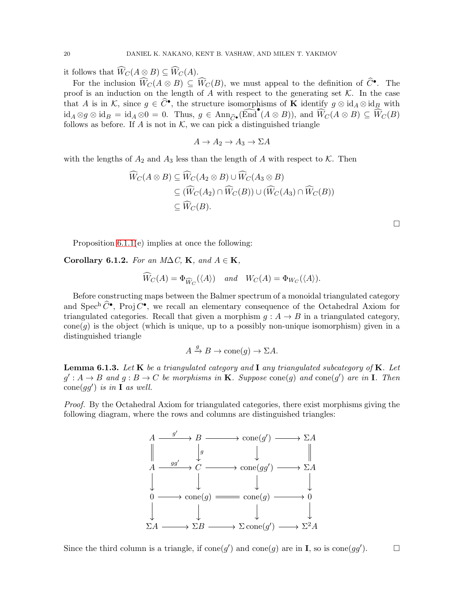it follows that  $\widehat{W}_C(A \otimes B) \subseteq \widehat{W}_C(A)$ .

For the inclusion  $\widehat{W}_C(A \otimes B) \subseteq \widehat{W}_C(B)$ , we must appeal to the definition of  $\widehat{C}^{\bullet}$ . The proof is an induction on the length of  $\overrightarrow{A}$  with respect to the generating set  $\mathcal{K}$ . In the case that A is in K, since  $g \in \widehat{C}^{\bullet}$ , the structure isomorphisms of K identify  $g \otimes id_A \otimes id_B$  with  $id_A \otimes g \otimes id_B = id_A \otimes 0 = 0.$  Thus,  $g \in Ann_{\widehat{C}^{\bullet}}(\widehat{\text{End}}^{\bullet}(A \otimes B))$ , and  $\widetilde{W}_C(A \otimes B) \subseteq \widetilde{\widetilde{W}}_C(B)$ follows as before. If A is not in  $K$ , we can pick a distinguished triangle

$$
A \to A_2 \to A_3 \to \Sigma A
$$

with the lengths of  $A_2$  and  $A_3$  less than the length of A with respect to K. Then

$$
\widehat{W}_C(A \otimes B) \subseteq \widehat{W}_C(A_2 \otimes B) \cup \widehat{W}_C(A_3 \otimes B)
$$
  
\n
$$
\subseteq (\widehat{W}_C(A_2) \cap \widehat{W}_C(B)) \cup (\widehat{W}_C(A_3) \cap \widehat{W}_C(B))
$$
  
\n
$$
\subseteq \widehat{W}_C(B).
$$

 $\Box$ 

Proposition [6.1.1\(](#page-18-0)e) implies at once the following:

<span id="page-19-1"></span>Corollary 6.1.2. For an M $\Delta C$ , K, and  $A \in K$ ,

$$
\widetilde{W}_C(A) = \Phi_{\widehat{W}_C}(\langle A \rangle) \quad \text{and} \quad W_C(A) = \Phi_{W_C}(\langle A \rangle).
$$

Before constructing maps between the Balmer spectrum of a monoidal triangulated category and  $Spec^h \widehat{C}^{\bullet}$ , Proj  $C^{\bullet}$ , we recall an elementary consequence of the Octahedral Axiom for triangulated categories. Recall that given a morphism  $g : A \rightarrow B$  in a triangulated category,  $cone(q)$  is the object (which is unique, up to a possibly non-unique isomorphism) given in a distinguished triangle

$$
A \xrightarrow{g} B \to \text{cone}(g) \to \Sigma A.
$$

<span id="page-19-0"></span>**Lemma 6.1.3.** Let  $\bf{K}$  be a triangulated category and  $\bf{I}$  any triangulated subcategory of  $\bf{K}$ . Let  $g': A \rightarrow B$  and  $g: B \rightarrow C$  be morphisms in **K**. Suppose cone(g) and cone(g') are in **I**. Then  $cone(gg')$  is in **I** as well.

Proof. By the Octahedral Axiom for triangulated categories, there exist morphisms giving the following diagram, where the rows and columns are distinguished triangles:



Since the third column is a triangle, if  $cone(g')$  and  $cone(g)$  are in I, so is  $cone(gg')$  $\Box$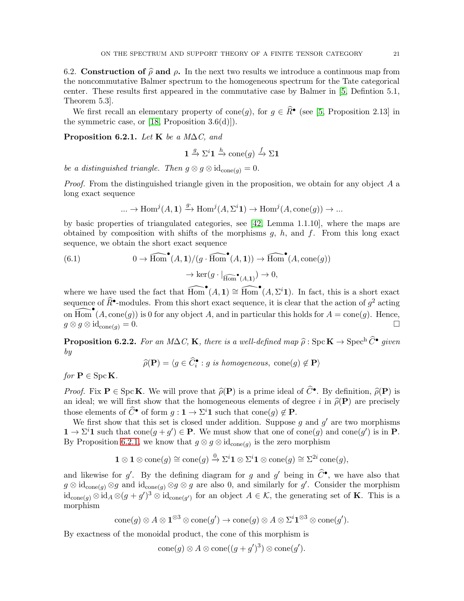6.2. Construction of  $\hat{\rho}$  and  $\rho$ . In the next two results we introduce a continuous map from the noncommutative Balmer spectrum to the homogeneous spectrum for the Tate categorical center. These results first appeared in the commutative case by Balmer in [\[5,](#page-36-1) Defintion 5.1, Theorem 5.3].

We first recall an elementary property of cone(g), for  $g \in \hat{R}^{\bullet}$  (see [\[5,](#page-36-1) Proposition 2.13] in the symmetric case, or  $[18,$  Proposition 3.6(d)]).

<span id="page-20-0"></span>Proposition 6.2.1. Let K be a M $\Delta C$ , and

$$
\mathbf{1} \xrightarrow{g} \Sigma^i \mathbf{1} \xrightarrow{h} \text{cone}(g) \xrightarrow{f} \Sigma \mathbf{1}
$$

be a distinguished triangle. Then  $g \otimes g \otimes id_{cone(q)} = 0$ .

*Proof.* From the distinguished triangle given in the proposition, we obtain for any object  $A$  a long exact sequence

<span id="page-20-1"></span>
$$
\dots \to \operatorname{Hom}^j(A, \mathbf{1}) \xrightarrow{g} \operatorname{Hom}^j(A, \Sigma^i \mathbf{1}) \to \operatorname{Hom}^j(A, \operatorname{cone}(g)) \to \dots
$$

by basic properties of triangulated categories, see [\[42,](#page-37-21) Lemma 1.1.10], where the maps are obtained by composition with shifts of the morphisms  $g, h$ , and  $f$ . From this long exact sequence, we obtain the short exact sequence

(6.1) 
$$
0 \to \widehat{Hom}^{\bullet}(A, 1) / (g \cdot \widehat{Hom}^{\bullet}(A, 1)) \to \widehat{Hom}^{\bullet}(A, cone(g))
$$

$$
\to ker(g \cdot |_{\widehat{Hom}^{\bullet}(A, 1)}) \to 0,
$$

where we have used the fact that  $\widehat{Hom}^{\bullet}(A,1) \cong \widehat{Hom}^{\bullet}(A,\Sigma^{i}1)$ . In fact, this is a short exact sequence of  $\widehat{R}^{\bullet}$ -modules. From this short exact sequence, it is clear that the action of  $g^2$  acting on  $\widehat{Hom}^{\bullet}(A, \text{cone}(g))$  is 0 for any object A, and in particular this holds for  $A = \text{cone}(g)$ . Hence,  $g \otimes g \otimes \mathrm{id}_{\mathrm{cone}(q)} = 0.$ 

**Proposition 6.2.2.** For an M∆C, **K**, there is a well-defined map  $\widehat{\rho}$ : Spc **K**  $\rightarrow$  Spec<sup>h</sup>  $\widehat{C}^{\bullet}$  given by

$$
\widehat{\rho}(\mathbf{P}) = \langle g \in \widehat{C}_i^{\bullet} : g \text{ is homogeneous, cone}(g) \notin \mathbf{P} \rangle
$$

for  $P \in \text{Spc } K$ .

*Proof.* Fix  $P \in \text{Spc } K$ . We will prove that  $\hat{\rho}(P)$  is a prime ideal of  $\hat{C}^{\bullet}$ . By definition,  $\hat{\rho}(P)$  is an ideal; we will first show that the homogeneous elements of degree i in  $\hat{\rho}(\mathbf{P})$  are precisely those elements of  $\widehat{C}^{\bullet}$  of form  $g: \mathbf{1} \to \Sigma^{i} \mathbf{1}$  such that cone $(g) \notin \mathbf{P}$ .

We first show that this set is closed under addition. Suppose  $g$  and  $g'$  are two morphisms  $\mathbf{1} \to \Sigma^{i} \mathbf{1}$  such that  $cone(g + g') \in \mathbf{P}$ . We must show that one of  $cone(g)$  and  $cone(g')$  is in  $\mathbf{P}$ . By Proposition [6.2.1,](#page-20-0) we know that  $g \otimes g \otimes id_{cone(g)}$  is the zero morphism

$$
\mathbf{1} \otimes \mathbf{1} \otimes \mathrm{cone}(g) \cong \mathrm{cone}(g) \stackrel{0}{\to} \Sigma^i \mathbf{1} \otimes \Sigma^i \mathbf{1} \otimes \mathrm{cone}(g) \cong \Sigma^{2i} \mathrm{cone}(g),
$$

and likewise for g'. By the defining diagram for g and g' being in  $\hat{C}^{\bullet}$ , we have also that  $g \otimes id_{cone(g)} \otimes g$  and  $id_{cone(g)} \otimes g \otimes g$  are also 0, and similarly for  $g'$ . Consider the morphism  $\mathrm{id}_{\mathrm{cone}(g)} \otimes \mathrm{id}_A \otimes (g+g')^3 \otimes \mathrm{id}_{\mathrm{cone}(g')}$  for an object  $A \in \mathcal{K}$ , the generating set of **K**. This is a morphism

$$
\mathrm{cone}(g) \otimes A \otimes \mathbf{1}^{\otimes 3} \otimes \mathrm{cone}(g') \to \mathrm{cone}(g) \otimes A \otimes \Sigma^{i} \mathbf{1}^{\otimes 3} \otimes \mathrm{cone}(g').
$$

By exactness of the monoidal product, the cone of this morphism is

$$
\mathrm{cone}(g) \otimes A \otimes \mathrm{cone}((g+g')^3) \otimes \mathrm{cone}(g').
$$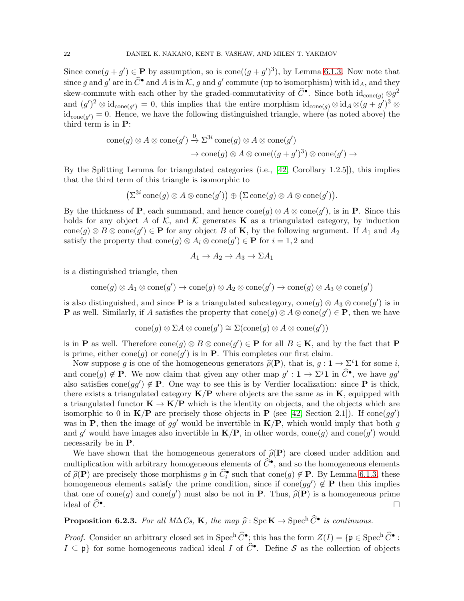Since  $cone(g + g') \in \mathbf{P}$  by assumption, so is  $cone((g + g')^3)$ , by Lemma [6.1.3.](#page-19-0) Now note that since g and g' are in  $\widehat{C}^{\bullet}$  and A is in K, g and g' commute (up to isomorphism) with  $\mathrm{id}_A$ , and they skew-commute with each other by the graded-commutativity of  $\widehat{C}^{\bullet}$ . Since both  $\mathrm{id}_{\mathrm{cone}(g)} \otimes g^2$ and  $(g')^2 \otimes id_{\text{cone}(g')} = 0$ , this implies that the entire morphism  $id_{\text{cone}(g)} \otimes id_A \otimes (g + g')^3 \otimes$  $\mathrm{id}_{\mathrm{cone}(g')} = 0.$  Hence, we have the following distinguished triangle, where (as noted above) the third term is in P:

$$
\begin{aligned} \operatorname{cone}(g) \otimes A \otimes \operatorname{cone}(g') &\xrightarrow{0} \Sigma^{3i} \operatorname{cone}(g) \otimes A \otimes \operatorname{cone}(g') \\ &\to \operatorname{cone}(g) \otimes A \otimes \operatorname{cone}((g+g')^3) \otimes \operatorname{cone}(g') \to \end{aligned}
$$

By the Splitting Lemma for triangulated categories (i.e., [\[42,](#page-37-21) Corollary 1.2.5]), this implies that the third term of this triangle is isomorphic to

$$
\left(\Sigma^{3i}\,\mathrm{cone}(g)\otimes A\otimes \mathrm{cone}(g')\right)\oplus \left(\Sigma\,\mathrm{cone}(g)\otimes A\otimes \mathrm{cone}(g')\right).
$$

By the thickness of **P**, each summand, and hence  $cone(g) \otimes A \otimes cone(g')$ , is in **P**. Since this holds for any object A of K, and K generates **K** as a triangulated category, by induction  $cone(g) \otimes B \otimes cone(g') \in \mathbf{P}$  for any object B of **K**, by the following argument. If  $A_1$  and  $A_2$ satisfy the property that  $cone(g) \otimes A_i \otimes cone(g') \in \mathbf{P}$  for  $i = 1, 2$  and

$$
A_1 \to A_2 \to A_3 \to \Sigma A_1
$$

is a distinguished triangle, then

$$
\text{cone}(g) \otimes A_1 \otimes \text{cone}(g') \to \text{cone}(g) \otimes A_2 \otimes \text{cone}(g') \to \text{cone}(g) \otimes A_3 \otimes \text{cone}(g')
$$

is also distinguished, and since **P** is a triangulated subcategory,  $cone(g) \otimes A_3 \otimes cone(g')$  is in **P** as well. Similarly, if A satisfies the property that  $\text{cone}(g) \otimes A \otimes \text{cone}(g') \in \mathbf{P}$ , then we have

$$
\text{cone}(g) \otimes \Sigma A \otimes \text{cone}(g') \cong \Sigma(\text{cone}(g) \otimes A \otimes \text{cone}(g'))
$$

is in **P** as well. Therefore  $cone(g) \otimes B \otimes cone(g') \in \mathbf{P}$  for all  $B \in \mathbf{K}$ , and by the fact that **P** is prime, either cone $(g)$  or cone $(g')$  is in **P**. This completes our first claim.

Now suppose g is one of the homogeneous generators  $\hat{\rho}(\mathbf{P})$ , that is,  $g : \mathbf{1} \to \Sigma^{i} \mathbf{1}$  for some i, and cone(g)  $\notin$  **P**. We now claim that given any other map  $g' : \mathbf{1} \to \Sigma^j \mathbf{1}$  in  $\widehat{C}^{\bullet}$ , we have gg' also satisfies cone(gg')  $\notin$  **P**. One way to see this is by Verdier localization: since **P** is thick, there exists a triangulated category  $K/P$  where objects are the same as in  $K$ , equipped with a triangulated functor  $\mathbf{K} \to \mathbf{K}/\mathbf{P}$  which is the identity on objects, and the objects which are isomorphic to 0 in  $K/P$  are precisely those objects in P (see [\[42,](#page-37-21) Section 2.1]). If cone(gg') was in P, then the image of  $gg'$  would be invertible in  $K/P$ , which would imply that both g and g' would have images also invertible in  $K/P$ , in other words, cone(g) and cone(g') would necessarily be in P.

We have shown that the homogeneous generators of  $\hat{\rho}(\mathbf{P})$  are closed under addition and multiplication with arbitrary homogeneous elements of  $\widehat{C}^{\bullet}$ , and so the homogeneous elements of  $\widehat{\rho}(\mathbf{P})$  are precisely those morphisms g in  $\widehat{C}_{i}^{\bullet}$  such that cone(g)  $\notin \mathbf{P}$ . By Lemma [6.1.3,](#page-19-0) these homogeneous elements satisfy the prime condition, since if cone( $gg'$ )  $\notin$  **P** then this implies that one of cone(g) and cone(g') must also be not in **P**. Thus,  $\hat{\rho}(\mathbf{P})$  is a homogeneous prime ideal of  $\widehat{C}^{\bullet}$ . .<br>1990 - Johann Barnett, fransk politiker († 1905)

<span id="page-21-0"></span>**Proposition 6.2.3.** For all  $M\Delta C_s$ , **K**, the map  $\hat{\rho}$ : Spc**K**  $\rightarrow$  Spec<sup>h</sup>  $\hat{C}^{\bullet}$  is continuous.

*Proof.* Consider an arbitrary closed set in Spec<sup>h</sup>  $\hat{C}^{\bullet}$ ; this has the form  $Z(I) = \{ \mathfrak{p} \in \text{Spec}^{\text{h}} \hat{C}^{\bullet} :$  $I \subseteq \mathfrak{p}$  for some homogeneous radical ideal I of  $\widehat{C}^{\bullet}$ . Define S as the collection of objects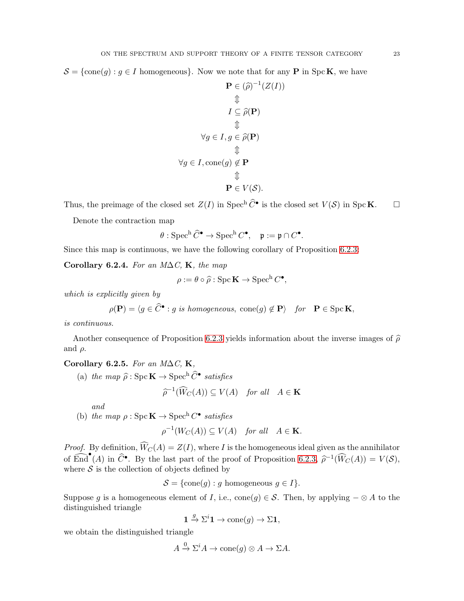$\mathcal{S} = \{\text{cone}(g) : g \in I \text{ homogeneous}\}.$  Now we note that for any **P** in Spc **K**, we have

$$
\mathbf{P} \in (\widehat{\rho})^{-1}(Z(I))
$$
  
\n
$$
\updownarrow
$$
  
\n
$$
I \subseteq \widehat{\rho}(\mathbf{P})
$$
  
\n
$$
\updownarrow
$$
  
\n
$$
\forall g \in I, g \in \widehat{\rho}(\mathbf{P})
$$
  
\n
$$
\updownarrow
$$
  
\n
$$
\forall g \in I, \text{cone}(g) \notin \mathbf{P}
$$
  
\n
$$
\updownarrow
$$
  
\n
$$
\mathbf{P} \in V(\mathcal{S}).
$$

Thus, the preimage of the closed set  $Z(I)$  in Spec<sup>h</sup>  $\widehat{C}^{\bullet}$  is the closed set  $V(S)$  in SpcK.  $\Box$ 

Denote the contraction map

$$
\theta: \operatorname{Spec}^{\mathrm{h}} \widehat{C}^{\bullet} \to \operatorname{Spec}^{\mathrm{h}} C^{\bullet}, \quad \mathfrak{p} := \mathfrak{p} \cap C^{\bullet}.
$$

Since this map is continuous, we have the following corollary of Proposition [6.2.3:](#page-21-0)

Corollary 6.2.4. For an  $M\Delta C$ , K, the map

$$
\rho := \theta \circ \widehat{\rho} : \mathrm{Spc} \mathbf{K} \to \mathrm{Spec}^{\mathrm{h}} C^{\bullet},
$$

which is explicitly given by

$$
\rho(\mathbf{P}) = \langle g \in \widehat{C}^{\bullet} : g \text{ is homogeneous, cone}(g) \notin \mathbf{P} \rangle \quad \text{for} \quad \mathbf{P} \in \text{Spc } \mathbf{K},
$$

is continuous.

Another consequence of Proposition [6.2.3](#page-21-0) yields information about the inverse images of  $\hat{\rho}$ and  $\rho$ .

Corollary 6.2.5. For an  $M\Delta C$ , K,

(a) the map  $\widehat{\rho}$  : Spc  $\mathbf{K} \to \text{Spec}^{\text{h}} \widehat{C}^{\bullet}$  satisfies

$$
\widehat{\rho}^{-1}(\widehat{W}_C(A)) \subseteq V(A) \quad \text{for all} \quad A \in \mathbf{K}
$$

and

(b) the map  $\rho : \text{Spec}^{\mathbf{K}} \to \text{Spec}^{\mathbf{h}} C^{\bullet}$  satisfies

$$
\rho^{-1}(W_C(A)) \subseteq V(A) \quad \text{for all} \quad A \in \mathbf{K}.
$$

*Proof.* By definition,  $\widehat{W}_C(A) = Z(I)$ , where I is the homogeneous ideal given as the annihilator of  $\widehat{\text{End}}^{\bullet}(A)$  in  $\widehat{C}^{\bullet}$ . By the last part of the proof of Proposition [6.2.3,](#page-21-0)  $\widehat{\rho}^{-1}(\widehat{W}_C(A)) = V(S)$ , where  $S$  is the collection of objects defined by

$$
S = \{\text{cone}(g) : g \text{ homogeneous } g \in I\}.
$$

Suppose g is a homogeneous element of I, i.e., cone(g)  $\in \mathcal{S}$ . Then, by applying  $-\otimes A$  to the distinguished triangle

$$
\mathbf{1} \xrightarrow{g} \Sigma^i \mathbf{1} \to \mathrm{cone}(g) \to \Sigma \mathbf{1},
$$

we obtain the distinguished triangle

$$
A \xrightarrow{0} \Sigma^i A \to \text{cone}(g) \otimes A \to \Sigma A.
$$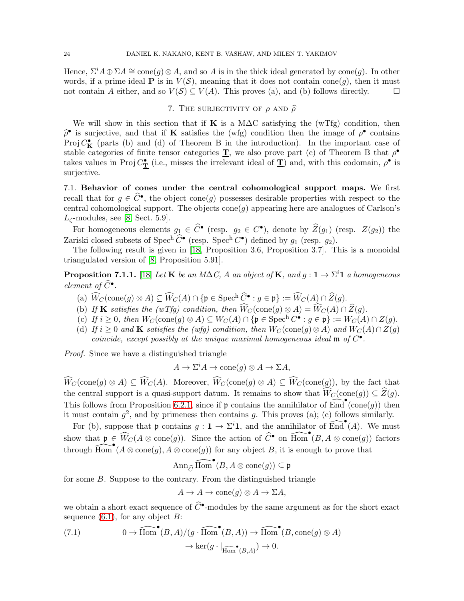Hence,  $\Sigma^i A \oplus \Sigma A \cong \text{cone}(g) \otimes A$ , and so A is in the thick ideal generated by cone $(g)$ . In other words, if a prime ideal **P** is in  $V(S)$ , meaning that it does not contain cone(g), then it must not contain A either, and so  $V(S) \subseteq V(A)$ . This proves (a), and (b) follows directly. not contain A either, and so  $V(S) \subseteq V(A)$ . This proves (a), and (b) follows directly.

## 7. The surjectivity of  $\rho$  and  $\hat{\rho}$

<span id="page-23-2"></span>We will show in this section that if K is a M $\Delta C$  satisfying the (wTfg) condition, then  $\hat{\rho}^{\bullet}$  is surjective, and that if **K** satisfies the (wfg) condition then the image of  $\rho^{\bullet}$  contains Proj  $C_K^{\bullet}$  (parts (b) and (d) of Theorem B in the introduction). In the important case of stable categories of finite tensor categories  $\underline{T}$ , we also prove part (c) of Theorem B that  $\rho^{\bullet}$ takes values in Proj  $C^{\bullet}_{\mathbf{T}}$  (i.e., misses the irrelevant ideal of  $\mathbf{T}$ ) and, with this codomain,  $\rho^{\bullet}$  is surjective.

7.1. Behavior of cones under the central cohomological support maps. We first recall that for  $g \in \widehat{C}^{\bullet}$ , the object cone(g) possesses desirable properties with respect to the central cohomological support. The objects  $cone(q)$  appearing here are analogues of Carlson's  $L_{\zeta}$ -modules, see [\[8,](#page-36-13) Sect. 5.9].

For homogeneous elements  $g_1 \in \hat{C}^{\bullet}$  (resp.  $g_2 \in C^{\bullet}$ ), denote by  $\hat{Z}(g_1)$  (resp.  $Z(g_2)$ ) the Zariski closed subsets of Spec<sup>h</sup>  $\widehat{C}^{\bullet}$  (resp. Spec<sup>h</sup>  $C^{\bullet}$ ) defined by  $g_1$  (resp.  $g_2$ ).

The following result is given in [\[18,](#page-36-3) Proposition 3.6, Proposition 3.7]. This is a monoidal triangulated version of [\[8,](#page-36-13) Proposition 5.91].

<span id="page-23-1"></span>**Proposition 7.1.1.** [\[18\]](#page-36-3) Let **K** be an M $\Delta C$ , A an object of **K**, and  $g: \mathbf{1} \to \Sigma^{i} \mathbf{1}$  a homogeneous element of  $\widehat{C}^{\bullet}$ .

- (a)  $\widehat{W}_C(\text{cone}(g) \otimes A) \subseteq \widehat{W}_C(A) \cap \{ \mathfrak{p} \in \text{Spec}^h \widehat{C}^{\bullet} : g \in \mathfrak{p} \} := \widehat{W}_C(A) \cap \widehat{Z}(g).$
- (b) If **K** satisfies the (wTfg) condition, then  $\widehat{W}_C(\text{cone}(g) \otimes A) = \widehat{W}_C(A) \cap \widehat{Z}(g)$ .
- (c) If  $i \geq 0$ , then  $W_C(\text{cone}(g) \otimes A) \subseteq W_C(A) \cap \{ \mathfrak{p} \in \text{Spec}^{\mathbf{h}} C^{\bullet} : g \in \mathfrak{p} \} := W_C(A) \cap Z(g)$ .
- (d) If  $i \geq 0$  and **K** satisfies the (wfg) condition, then  $W_C(\text{cone}(g) \otimes A)$  and  $W_C(A) \cap Z(g)$ coincide, except possibly at the unique maximal homogeneous ideal  $\mathfrak{m}$  of  $C^{\bullet}$ .

Proof. Since we have a distinguished triangle

$$
A \to \Sigma^i A \to \text{cone}(g) \otimes A \to \Sigma A,
$$

 $\widehat{W}_C(\text{cone}(g) \otimes A) \subseteq \widehat{W}_C(A)$ . Moreover,  $\widehat{W}_C(\text{cone}(g) \otimes A) \subseteq \widehat{W}_C(\text{cone}(g))$ , by the fact that the central support is a quasi-support datum. It remains to show that  $\widehat{W}_C(\text{cone}(g)) \subseteq \widehat{Z}(g)$ . This follows from Proposition [6.2.1,](#page-20-0) since if  $\mathfrak p$  contains the annihilator of  $\widehat{\text{End}}^{\bullet}(\text{cone}(g))$  then it must contain  $g^2$ , and by primeness then contains g. This proves (a); (c) follows similarly.

For (b), suppose that  $\mathfrak{p}$  contains  $g: \mathbf{1} \to \Sigma^{i} \mathbf{1}$ , and the annihilator of  $\widehat{\text{End}}^{\bullet}(A)$ . We must show that  $\mathfrak{p} \in \widehat{W}_C(A \otimes \text{cone}(g))$ . Since the action of  $\widehat{C}^{\bullet}$  on  $\widehat{\text{Hom}}^{\bullet}(B, A \otimes \text{cone}(g))$  factors through  $\widehat{Hom}^{\bullet}(A \otimes cone(g), A \otimes cone(g))$  for any object B, it is enough to prove that

$$
\mathrm{Ann}_{\widehat{C}}\,\widehat{\mathrm{Hom}}^\bullet(B,A\otimes \mathrm{cone}(g))\subseteq \mathfrak{p}
$$

for some B. Suppose to the contrary. From the distinguished triangle

$$
A \to A \to \text{cone}(g) \otimes A \to \Sigma A,
$$

we obtain a short exact sequence of  $\widehat{C}^{\bullet}$ -modules by the same argument as for the short exact sequence  $(6.1)$ , for any object B:

<span id="page-23-0"></span>(7.1) 
$$
0 \to \widehat{Hom}^{\bullet}(B, A)/(g \cdot \widehat{Hom}^{\bullet}(B, A)) \to \widehat{Hom}^{\bullet}(B, cone(g) \otimes A) \to ker(g \cdot |_{\widehat{Hom}^{\bullet}(B, A)}) \to 0.
$$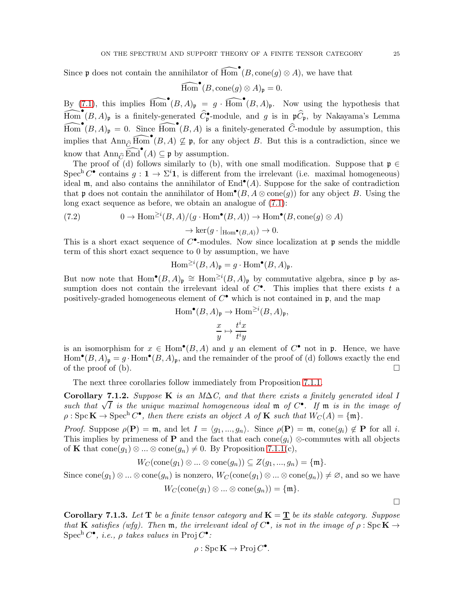Since  $\mathfrak p$  does not contain the annihilator of  $\widehat{Hom}^\bullet(B,\mathrm{cone}(g)\otimes A)$ , we have that

$$
\widehat{\mathrm{Hom}}^\bullet(B,\mathrm{cone}(g)\otimes A)_{\mathfrak{p}}=0.
$$

By  $(7.1)$ , this implies  $\widehat{Hom}^{\bullet}(B, A)_{\mathfrak{p}} = g \cdot \widehat{Hom}^{\bullet}(B, A)_{\mathfrak{p}}$ . Now using the hypothesis that  $\widehat{\text{Hom}}^\bullet(B,A)$ <sub>p</sub> is a finitely-generated  $\widehat{C}^\bullet_{\mathfrak{p}}$ -module, and g is in  $\mathfrak{p}\widehat{C}_\mathfrak{p}$ , by Nakayama's Lemma  $\widehat{\text{Hom}}^\bullet(B, A)_{\mathfrak{p}} = 0$ . Since  $\widehat{\text{Hom}}^\bullet(B, A)$  is a finitely-generated  $\widehat{C}$ -module by assumption, this implies that  $\text{Ann}_{\widehat{C}}\widehat{\text{Hom}}^{\bullet}(B, A) \nsubseteq \mathfrak{p}$ , for any object B. But this is a contradiction, since we know that  $\text{Ann}_{\widehat{C}} \widehat{\text{End}}^{\bullet}(A) \subseteq \mathfrak{p}$  by assumption.

The proof of (d) follows similarly to (b), with one small modification. Suppose that  $\mathfrak{p} \in$ Spec<sup>h</sup> C<sup>•</sup> contains  $g: \mathbf{1} \to \Sigma^i \mathbf{1}$ , is different from the irrelevant (i.e. maximal homogeneous) ideal  $\mathfrak{m}$ , and also contains the annihilator of  $\text{End}^{\bullet}(A)$ . Suppose for the sake of contradiction that **p** does not contain the annihilator of  $Hom^{\bullet}(B, A \otimes cone(g))$  for any object B. Using the long exact sequence as before, we obtain an analogue of [\(7.1\)](#page-23-0):

(7.2) 
$$
0 \to \text{Hom}^{\geq i}(B, A)/(g \cdot \text{Hom}^{\bullet}(B, A)) \to \text{Hom}^{\bullet}(B, \text{cone}(g) \otimes A)
$$

$$
\to \text{ker}(g \cdot |_{\text{Hom}^{\bullet}(B, A)}) \to 0.
$$

This is a short exact sequence of  $C^{\bullet}$ -modules. Now since localization at p sends the middle term of this short exact sequence to 0 by assumption, we have

$$
\operatorname{Hom}^{\geq i}(B,A)_{\mathfrak{p}} = g \cdot \operatorname{Hom}^{\bullet}(B,A)_{\mathfrak{p}}.
$$

But now note that  $\text{Hom}^{\bullet}(B,A)_{\mathfrak{p}} \cong \text{Hom}^{\geq i}(B,A)_{\mathfrak{p}}$  by commutative algebra, since  $\mathfrak{p}$  by assumption does not contain the irrelevant ideal of  $C^{\bullet}$ . This implies that there exists t a positively-graded homogeneous element of  $C^{\bullet}$  which is not contained in  $\mathfrak{p}$ , and the map

$$
\text{Hom}^{\bullet}(B, A)_{\mathfrak{p}} \to \text{Hom}^{\geq i}(B, A)_{\mathfrak{p}},
$$

$$
\frac{x}{y} \mapsto \frac{t^{i}x}{t^{i}y}
$$

is an isomorphism for  $x \in \text{Hom}^{\bullet}(B, A)$  and y an element of  $C^{\bullet}$  not in p. Hence, we have  $\text{Hom}^{\bullet}(B,A)_{\mathfrak{p}}=g\cdot\text{Hom}^{\bullet}(B,A)_{\mathfrak{p}},$  and the remainder of the proof of (d) follows exactly the end of the proof of (b).  $\Box$ 

The next three corollaries follow immediately from Proposition [7.1.1.](#page-23-1)

<span id="page-24-0"></span>Corollary 7.1.2. Suppose K is an M $\Delta C$ , and that there exists a finitely generated ideal I such that  $\sqrt{I}$  is the unique maximal homogeneous ideal  $\mathfrak{m}$  of  $C^{\bullet}$ . If  $\mathfrak{m}$  is in the image of  $\rho : \operatorname{Spc} \mathbf{K} \to \operatorname{Spec}^{\text{h}} C^{\bullet}$ , then there exists an object A of **K** such that  $W_C(A) = \{ \mathfrak{m} \}.$ 

*Proof.* Suppose  $\rho(\mathbf{P}) = \mathfrak{m}$ , and let  $I = \langle g_1, ..., g_n \rangle$ . Since  $\rho(\mathbf{P}) = \mathfrak{m}$ , cone $(g_i) \notin \mathbf{P}$  for all i. This implies by primeness of **P** and the fact that each cone $(q_i)$  ⊗-commutes with all objects of K that  $cone(g_1) \otimes ... \otimes cone(g_n) \neq 0$ . By Proposition [7.1.1\(](#page-23-1)c),

$$
W_C(\text{cone}(g_1) \otimes \ldots \otimes \text{cone}(g_n)) \subseteq Z(g_1, ..., g_n) = \{\mathfrak{m}\}.
$$

Since  $cone(g_1) \otimes ... \otimes cone(g_n)$  is nonzero,  $W_C(cone(g_1) \otimes ... \otimes cone(g_n)) \neq \emptyset$ , and so we have  $W_C(\text{cone}(g_1) \otimes ... \otimes \text{cone}(g_n)) = \{\mathfrak{m}\}.$ 

<span id="page-24-1"></span>**Corollary 7.1.3.** Let  $T$  be a finite tensor category and  $K = T$  be its stable category. Suppose that **K** satisfies (wfg). Then  $\mathfrak{m}$ , the irrelevant ideal of  $C^{\bullet}$ , is not in the image of  $\rho : \text{Spc } \mathbf{K} \to$  $\operatorname{Spec}^{\text{h}} C^{\bullet}, \ i.e., \ \rho \ \text{takes values in } \operatorname{Proj} C^{\bullet}.$ 

$$
\rho: \operatorname{Spc} \mathbf{K} \to \operatorname{Proj} C^{\bullet}.
$$

 $\Box$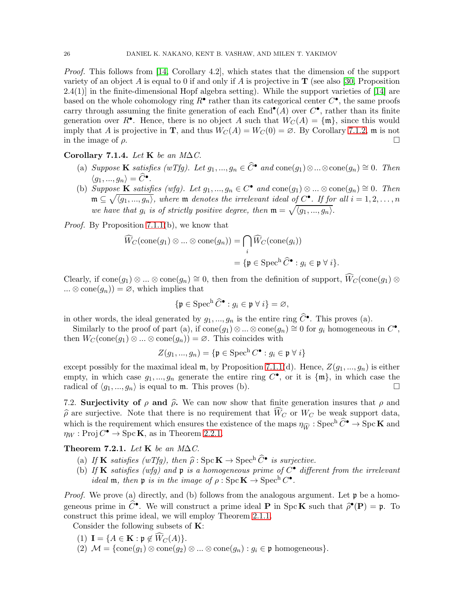Proof. This follows from [\[14,](#page-36-14) Corollary 4.2], which states that the dimension of the support variety of an object A is equal to 0 if and only if A is projective in  $\bf{T}$  (see also [\[30,](#page-37-22) Proposition  $2.4(1)$ ] in the finite-dimensional Hopf algebra setting). While the support varieties of [\[14\]](#page-36-14) are based on the whole cohomology ring  $R^{\bullet}$  rather than its categorical center  $C^{\bullet}$ , the same proofs carry through assuming the finite generation of each  $\text{End}^{\bullet}(A)$  over  $C^{\bullet}$ , rather than its finite generation over  $R^{\bullet}$ . Hence, there is no object A such that  $W_C(A) = \{\mathfrak{m}\}\)$ , since this would imply that A is projective in **T**, and thus  $W_C(A) = W_C(0) = \emptyset$ . By Corollary [7.1.2,](#page-24-0) m is not in the image of  $\rho$ .

<span id="page-25-0"></span>Corollary 7.1.4. Let K be an  $M\Delta C$ .

- (a) Suppose K satisfies (wTfg). Let  $g_1, ..., g_n \in \widehat{C}^{\bullet}$  and  $cone(g_1) \otimes ... \otimes cone(g_n) \cong 0$ . Then  $\langle g_1, ..., g_n \rangle = \widehat{C}^{\bullet}.$
- (b) Suppose K satisfies (wfg). Let  $g_1, ..., g_n \in C^{\bullet}$  and  $cone(g_1) \otimes ... \otimes cone(g_n) \cong 0$ . Then  $\mathfrak{m} \subseteq \sqrt{\langle g_1, ..., g_n \rangle}$ , where  $\mathfrak{m}$  denotes the irrelevant ideal of  $C^{\bullet}$ . If for all  $i = 1, 2, ..., n$ we have that  $g_i$  is of strictly positive degree, then  $\mathfrak{m} = \sqrt{\langle g_1, ..., g_n \rangle}$ .

Proof. By Proposition [7.1.1\(](#page-23-1)b), we know that

$$
\begin{aligned} \widehat{W}_C(\text{cone}(g_1) \otimes \dots \otimes \text{cone}(g_n)) &= \bigcap_i \widehat{W}_C(\text{cone}(g_i)) \\ &= \{ \mathfrak{p} \in \text{Spec}^{\text{h}} \widehat{C}^\bullet : g_i \in \mathfrak{p} \ \forall \ i \}. \end{aligned}
$$

Clearly, if  $cone(g_1) \otimes ... \otimes cone(g_n) \cong 0$ , then from the definition of support,  $\widehat{W}_C$ (cone( $g_1$ ) ⊗  $\ldots \otimes \text{cone}(g_n) = \varnothing$ , which implies that

$$
\{\mathfrak{p} \in \mathrm{Spec}^{\mathrm{h}} \, \widehat{C}^{\bullet} : g_i \in \mathfrak{p} \,\,\forall \,\, i\} = \varnothing,
$$

in other words, the ideal generated by  $g_1, ..., g_n$  is the entire ring  $\widehat{C}^{\bullet}$ . This proves (a).

Similarly to the proof of part (a), if  $cone(g_1) \otimes ... \otimes cone(g_n) \cong 0$  for  $g_i$  homogeneous in  $C^{\bullet}$ , then  $W_C(\text{cone}(g_1) \otimes ... \otimes \text{cone}(g_n)) = \varnothing$ . This coincides with

$$
Z(g_1, ..., g_n) = \{ \mathfrak{p} \in \mathrm{Spec}^{\mathrm{h}} C^{\bullet} : g_i \in \mathfrak{p} \ \forall \ i \}
$$

except possibly for the maximal ideal m, by Proposition [7.1.1\(](#page-23-1)d). Hence,  $Z(g_1, ..., g_n)$  is either empty, in which case  $g_1, ..., g_n$  generate the entire ring  $C^{\bullet}$ , or it is  $\{\mathfrak{m}\}\)$ , in which case the radical of  $\langle g_1, ..., g_n \rangle$  is equal to m. This proves (b).

7.2. Surjectivity of  $\rho$  and  $\hat{\rho}$ . We can now show that finite generation insures that  $\rho$  and  $\hat{\rho}$  are surjective. Note that there is no requirement that  $W_C$  or  $W_C$  be weak support data, which is the requirement which ensures the existence of the maps  $\eta_{\widehat{W}} : \text{Spec}^{\text{h}} \widehat{C}^{\bullet} \to \text{Spc } \mathbf{K}$  and  $\eta_W : \text{Proj } C^{\bullet} \to \text{Spc } \mathbf{K}, \text{ as in Theorem 2.2.1.}$  $\eta_W : \text{Proj } C^{\bullet} \to \text{Spc } \mathbf{K}, \text{ as in Theorem 2.2.1.}$  $\eta_W : \text{Proj } C^{\bullet} \to \text{Spc } \mathbf{K}, \text{ as in Theorem 2.2.1.}$ 

Theorem 7.2.1. Let K be an  $M\Delta C$ .

- (a) If **K** satisfies  $(wTfg)$ , then  $\hat{\rho}$  : Spc **K**  $\rightarrow$  Spec<sup>h</sup>  $\hat{C}^{\bullet}$  is surjective.
- (b) If **K** satisfies (wfg) and **p** is a homogeneous prime of  $C^{\bullet}$  different from the irrelevant ideal  $\mathfrak{m}$ , then  $\mathfrak{p}$  is in the image of  $\rho : \mathrm{Spc} \mathbf{K} \to \mathrm{Spec}^{\mathrm{h}} C^{\bullet}$ .

*Proof.* We prove (a) directly, and (b) follows from the analogous argument. Let  $\mathfrak{p}$  be a homogeneous prime in  $\hat{C}^{\bullet}$ . We will construct a prime ideal **P** in Spc **K** such that  $\hat{\rho}^{\bullet}(\mathbf{P}) = \mathfrak{p}$ . To construct this prime ideal, we will employ Theorem [2.1.1.](#page-8-1)

Consider the following subsets of  $K$ :

- (1)  $\mathbf{I} = \{A \in \mathbf{K} : \mathfrak{p} \notin \widehat{W}_C(A)\}.$
- (2)  $\mathcal{M} = \{\text{cone}(g_1) \otimes \text{cone}(g_2) \otimes ... \otimes \text{cone}(g_n) : g_i \in \mathfrak{p} \text{ homogeneous}\}.$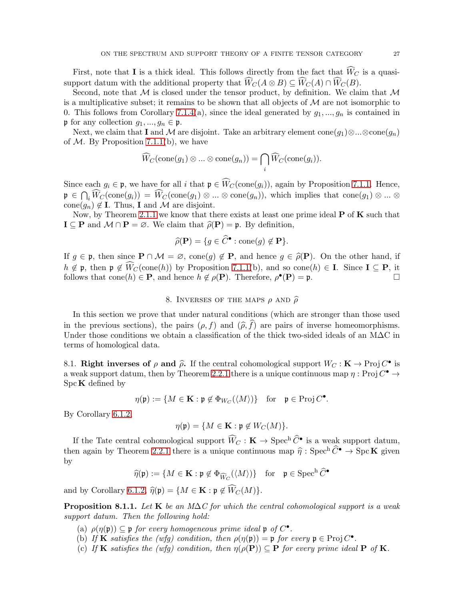First, note that **I** is a thick ideal. This follows directly from the fact that  $\widehat{W}_C$  is a quasisupport datum with the additional property that  $\hat{W}_C(A \otimes B) \subseteq \hat{W}_C(A) \cap \hat{W}_C(B)$ .

Second, note that  $M$  is closed under the tensor product, by definition. We claim that  $M$ is a multiplicative subset; it remains to be shown that all objects of  $\mathcal M$  are not isomorphic to 0. This follows from Corollary [7.1.4\(](#page-25-0)a), since the ideal generated by  $g_1, ..., g_n$  is contained in p for any collection  $g_1, ..., g_n \in \mathfrak{p}$ .

Next, we claim that I and M are disjoint. Take an arbitrary element cone $(g_1) \otimes ... \otimes \text{cone}(g_n)$ of  $M$ . By Proposition [7.1.1\(](#page-23-1)b), we have

$$
\widehat{W}_C(\mathrm{cone}(g_1) \otimes ... \otimes \mathrm{cone}(g_n)) = \bigcap_i \widehat{W}_C(\mathrm{cone}(g_i)).
$$

Since each  $g_i \in \mathfrak{p}$ , we have for all i that  $\mathfrak{p} \in \widehat{W}_C(\text{cone}(g_i))$ , again by Proposition [7.1.1.](#page-23-1) Hence,  $\mathfrak{p} \in \bigcap_i \widehat{W}_C(\text{cone}(g_i)) = \widehat{W}_C(\text{cone}(g_1) \otimes ... \otimes \text{cone}(g_n)),$  which implies that  $\text{cone}(g_1) \otimes ... \otimes$ cone $(g_n) \notin \mathbf{I}$ . Thus, **I** and M are disjoint.

Now, by Theorem [2.1.1](#page-8-1) we know that there exists at least one prime ideal  $P$  of  $K$  such that  $I \subseteq P$  and  $M \cap P = \emptyset$ . We claim that  $\widehat{\rho}(P) = \mathfrak{p}$ . By definition,

$$
\widehat{\rho}(\mathbf{P}) = \{ g \in \widehat{C}^{\bullet} : \text{cone}(g) \notin \mathbf{P} \}.
$$

If  $g \in \mathfrak{p}$ , then since  $\mathbf{P} \cap \mathcal{M} = \varnothing$ , cone $(g) \notin \mathbf{P}$ , and hence  $g \in \widehat{\rho}(\mathbf{P})$ . On the other hand, if  $h \notin \mathfrak{p}$ , then  $\mathfrak{p} \notin \widehat{W}_C(\text{cone}(h))$  by Proposition [7.1.1\(](#page-23-1)b), and so cone(h) ∈ **I**. Since **I** ⊆ **P**, it follows that cone(h) ∈ **P**, and hence  $h \notin o(P)$ . Therefore,  $o^{\bullet}(P) = \mathfrak{p}$ . follows that cone(h)  $\in \mathbf{P}$ , and hence  $h \notin \rho(\mathbf{P})$ . Therefore,  $\rho^{\bullet}(\mathbf{P}) = \mathfrak{p}$ .

8. INVERSES OF THE MAPS  $\rho$  and  $\widehat{\rho}$ 

In this section we prove that under natural conditions (which are stronger than those used in the previous sections), the pairs  $(\rho, f)$  and  $(\widehat{\rho}, \widehat{f})$  are pairs of inverse homeomorphisms. Under those conditions we obtain a classification of the thick two-sided ideals of an M∆C in terms of homological data.

8.1. Right inverses of  $\rho$  and  $\hat{\rho}$ . If the central cohomological support  $W_C : \mathbf{K} \to \text{Proj } C^{\bullet}$  is a weak support datum, then by Theorem [2.2.1](#page-8-2) there is a unique continuous map  $\eta : \text{Proj } C^{\bullet} \to$  $Spec K$  defined by

$$
\eta(\mathfrak{p}) := \{ M \in \mathbf{K} : \mathfrak{p} \notin \Phi_{W_C}(\langle M \rangle) \} \quad \text{for} \quad \mathfrak{p} \in \operatorname{Proj} C^{\bullet}.
$$

By Corollary [6.1.2,](#page-19-1)

$$
\eta(\mathfrak{p}) = \{ M \in \mathbf{K} : \mathfrak{p} \notin W_C(M) \}.
$$

If the Tate central cohomological support  $\widehat{W}_C : \mathbf{K} \to \text{Spec}^{\text{h}} \widehat{C}^{\bullet}$  is a weak support datum, then again by Theorem [2.2.1](#page-8-2) there is a unique continuous map  $\hat{\eta}$  : Spec<sup>h</sup>  $\hat{C}^{\bullet} \to \text{Spc } \mathbf{K}$  given by

$$
\widehat{\eta}(\mathfrak{p}) := \{ M \in \mathbf{K} : \mathfrak{p} \notin \Phi_{\widehat{W}_C}(\langle M \rangle) \} \quad \text{for} \quad \mathfrak{p} \in \operatorname{Spec}^{\mathrm{h}} \widehat{C}^{\bullet}
$$

and by Corollary [6.1.2,](#page-19-1)  $\widehat{\eta}(\mathfrak{p}) = \{M \in \mathbf{K} : \mathfrak{p} \notin \widehat{W}_C(M)\}.$ 

<span id="page-26-0"></span>**Proposition 8.1.1.** Let K be an M $\Delta C$  for which the central cohomological support is a weak support datum. Then the following hold:

- (a)  $\rho(\eta(\mathfrak{p})) \subseteq \mathfrak{p}$  for every homogeneous prime ideal  $\mathfrak{p}$  of  $C^{\bullet}$ .
- (b) If **K** satisfies the (wfg) condition, then  $\rho(\eta(\mathfrak{p})) = \mathfrak{p}$  for every  $\mathfrak{p} \in \text{Proj } C^{\bullet}$ .
- (c) If **K** satisfies the (wfg) condition, then  $\eta(\rho(\mathbf{P})) \subseteq \mathbf{P}$  for every prime ideal **P** of **K**.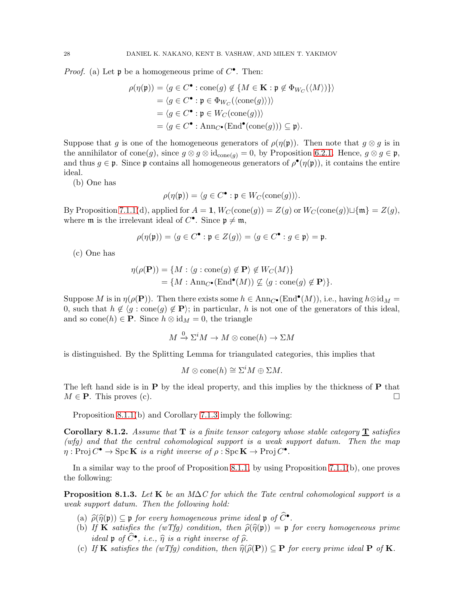*Proof.* (a) Let  $\mathfrak p$  be a homogeneous prime of  $C^{\bullet}$ . Then:

$$
\rho(\eta(\mathfrak{p})) = \langle g \in C^{\bullet} : \text{cone}(g) \notin \{ M \in \mathbf{K} : \mathfrak{p} \notin \Phi_{W_C}(\langle M \rangle) \} \rangle
$$
  
=  $\langle g \in C^{\bullet} : \mathfrak{p} \in \Phi_{W_C}(\langle \text{cone}(g) \rangle) \rangle$   
=  $\langle g \in C^{\bullet} : \mathfrak{p} \in W_C(\text{cone}(g)) \rangle$   
=  $\langle g \in C^{\bullet} : \text{Ann}_{C^{\bullet}}(\text{End}^{\bullet}(\text{cone}(g))) \subseteq \mathfrak{p} \rangle.$ 

Suppose that g is one of the homogeneous generators of  $\rho(\eta(\mathfrak{p}))$ . Then note that  $g \otimes g$  is in the annihilator of cone(g), since  $g \otimes g \otimes id_{cone(q)} = 0$ , by Proposition [6.2.1.](#page-20-0) Hence,  $g \otimes g \in \mathfrak{p}$ , and thus  $g \in \mathfrak{p}$ . Since  $\mathfrak{p}$  contains all homogeneous generators of  $\rho^{\bullet}(\eta(\mathfrak{p}))$ , it contains the entire ideal.

(b) One has

$$
\rho(\eta(\mathfrak{p})) = \langle g \in C^\bullet : \mathfrak{p} \in W_C(\mathrm{cone}(g)) \rangle.
$$

By Proposition [7.1.1\(](#page-23-1)d), applied for  $A = 1$ ,  $W_C(\text{cone}(g)) = Z(g)$  or  $W_C(\text{cone}(g)) \sqcup \{\mathfrak{m}\} = Z(g)$ , where  $\mathfrak m$  is the irrelevant ideal of  $C^{\bullet}$ . Since  $\mathfrak p \neq \mathfrak m$ ,

$$
\rho(\eta(\mathfrak{p})) = \langle g \in C^{\bullet} : \mathfrak{p} \in Z(g) \rangle = \langle g \in C^{\bullet} : g \in \mathfrak{p} \rangle = \mathfrak{p}.
$$

(c) One has

$$
\eta(\rho(\mathbf{P})) = \{ M : \langle g : \text{cone}(g) \notin \mathbf{P} \rangle \notin W_C(M) \} = \{ M : \text{Ann}_{C^{\bullet}}(\text{End}^{\bullet}(M)) \nsubseteq \langle g : \text{cone}(g) \notin \mathbf{P} \rangle \}.
$$

Suppose M is in  $\eta(\rho(\mathbf{P}))$ . Then there exists some  $h \in \text{Ann}_{C^{\bullet}}(\text{End}^{\bullet}(M))$ , i.e., having  $h \otimes id_M =$ 0, such that  $h \notin \langle g : \text{cone}(g) \notin \mathbf{P} \rangle$ ; in particular, h is not one of the generators of this ideal, and so cone(h)  $\in \mathbf{P}$ . Since  $h \otimes id_M = 0$ , the triangle

$$
M \xrightarrow{0} \Sigma^i M \to M \otimes \text{cone}(h) \to \Sigma M
$$

is distinguished. By the Splitting Lemma for triangulated categories, this implies that

$$
M\otimes \mathrm{cone}(h)\cong \Sigma^iM\oplus \Sigma M.
$$

The left hand side is in  $P$  by the ideal property, and this implies by the thickness of  $P$  that  $M \in \mathbf{P}$ . This proves (c).

Proposition [8.1.1\(](#page-26-0)b) and Corollary [7.1.3](#page-24-1) imply the following:

**Corollary 8.1.2.** Assume that  $T$  is a finite tensor category whose stable category  $T$  satisfies (wfg) and that the central cohomological support is a weak support datum. Then the map  $\eta: \text{Proj } C^{\bullet} \to \text{Spc } \mathbf{K}$  is a right inverse of  $\rho: \text{Spc } \mathbf{K} \to \text{Proj } C^{\bullet}$ .

In a similar way to the proof of Proposition [8.1.1,](#page-26-0) by using Proposition [7.1.1\(](#page-23-1)b), one proves the following:

<span id="page-27-0"></span>**Proposition 8.1.3.** Let K be an M $\Delta C$  for which the Tate central cohomological support is a weak support datum. Then the following hold:

- (a)  $\widehat{\rho}(\widehat{\eta}(\mathfrak{p})) \subseteq \mathfrak{p}$  for every homogeneous prime ideal  $\mathfrak{p}$  of  $\widehat{C}^{\bullet}$ .
- (b) If **K** satisfies the (wTfg) condition, then  $\hat{\rho}(\hat{\eta}(\mathfrak{p})) = \mathfrak{p}$  for every homogeneous prime ideal p of  $\widehat{C}^{\bullet}$ , i.e.,  $\widehat{\eta}$  is a right inverse of  $\widehat{\rho}$ .
- (c) If **K** satisfies the (wTfg) condition, then  $\hat{\eta}(\hat{\rho}(\mathbf{P})) \subseteq \mathbf{P}$  for every prime ideal  $\mathbf{P}$  of **K**.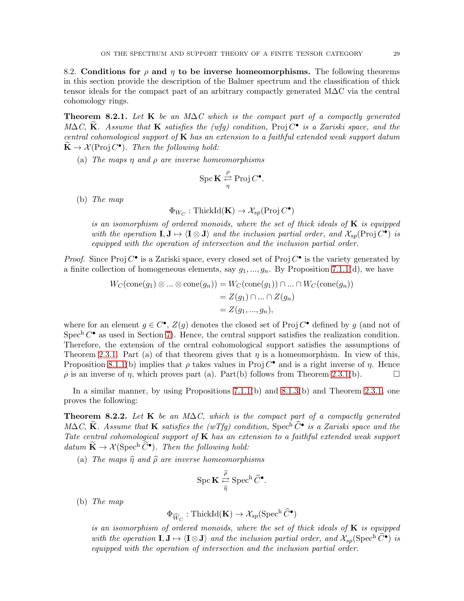8.2. Conditions for  $\rho$  and  $\eta$  to be inverse homeomorphisms. The following theorems in this section provide the description of the Balmer spectrum and the classification of thick tensor ideals for the compact part of an arbitrary compactly generated M∆C via the central cohomology rings.

<span id="page-28-0"></span>**Theorem 8.2.1.** Let K be an M $\Delta C$  which is the compact part of a compactly generated  $M\Delta C$ ,  $\widetilde{\mathbf{K}}$ . Assume that **K** satisfies the (wfg) condition, Proj  $C^{\bullet}$  is a Zariski space, and the central cohomological support of  $\bf{K}$  has an extension to a faithful extended weak support datum  $\widetilde{\mathbf{K}} \to \mathcal{X}(\operatorname{Proj} C^{\bullet})$ . Then the following hold:

(a) The maps  $\eta$  and  $\rho$  are inverse homeomorphisms

$$
\operatorname{Spc} \mathbf{K} \stackrel{\rho}{\underset{\eta}{\rightleftarrows}} \operatorname{Proj} C^{\bullet}.
$$

(b) The map

$$
\Phi_{W_C} : \operatorname{ThickId}(\mathbf{K}) \to \mathcal{X}_{sp}(\operatorname{Proj} C^{\bullet})
$$

is an isomorphism of ordered monoids, where the set of thick ideals of  $\bf{K}$  is equipped with the operation  $I, J \mapsto \langle I \otimes J \rangle$  and the inclusion partial order, and  $\mathcal{X}_{sp}(\text{Proj } C^{\bullet})$  is equipped with the operation of intersection and the inclusion partial order.

*Proof.* Since Proj  $C^{\bullet}$  is a Zariski space, every closed set of Proj  $C^{\bullet}$  is the variety generated by a finite collection of homogeneous elements, say  $g_1, ..., g_n$ . By Proposition [7.1.1\(](#page-23-1)d), we have

$$
W_C(\text{cone}(g_1) \otimes \dots \otimes \text{cone}(g_n)) = W_C(\text{cone}(g_1)) \cap \dots \cap W_C(\text{cone}(g_n))
$$
  
= Z(g\_1) \cap \dots \cap Z(g\_n)  
= Z(g\_1, ..., g\_n),

where for an element  $g \in C^{\bullet}$ ,  $Z(g)$  denotes the closed set of Proj  $C^{\bullet}$  defined by g (and not of Spec<sup>h</sup>  $C^{\bullet}$  as used in Section [7\)](#page-23-2). Hence, the central support satisfies the realization condition. Therefore, the extension of the central cohomological support satisfies the assumptions of Theorem [2.3.1.](#page-9-2) Part (a) of that theorem gives that  $\eta$  is a homeomorphism. In view of this, Proposition [8.1.1\(](#page-26-0)b) implies that  $\rho$  takes values in Proj  $C^{\bullet}$  and is a right inverse of  $\eta$ . Hence  $\rho$  is an inverse of  $\eta$ , which proves part (a). Part(b) follows from Theorem [2.3.1\(](#page-9-2)b).

In a similar manner, by using Propositions [7.1.1\(](#page-23-1)b) and [8.1.3\(](#page-27-0)b) and Theorem [2.3.1,](#page-9-2) one proves the following:

Theorem 8.2.2. Let K be an M $\Delta C$ , which is the compact part of a compactly generated  $M\Delta C$ , K. Assume that K satisfies the (wTfg) condition, Spec<sup>h</sup>  $\widehat{C}^{\bullet}$  is a Zariski space and the Tate central cohomological support of  $K$  has an extension to a faithful extended weak support datum  $\widetilde{\mathbf{K}} \to \mathcal{X}(\operatorname{Spec}^{\text{h}} \widehat{\mathcal{C}}^{\bullet})$ . Then the following hold:

(a) The maps  $\hat{\eta}$  and  $\hat{\rho}$  are inverse homeomorphisms

$$
\operatorname{Spc} \mathbf{K} \overset{\widehat{\rho}}{\underset{\widehat{\eta}}{\rightleftarrows}} \operatorname{Spec}^h \widehat{C}^\bullet.
$$

(b) The map

$$
\Phi_{\widehat{W}_C} : \operatorname{ThickId}(\mathbf{K}) \to \mathcal{X}_{sp}(\operatorname{Spec}^{\mathrm{h}} \widehat{C}^{\bullet})
$$

is an isomorphism of ordered monoids, where the set of thick ideals of  $K$  is equipped with the operation  $I, J \mapsto \langle I \otimes J \rangle$  and the inclusion partial order, and  $\mathcal{X}_{sp}(\mathrm{Spec}^{\mathrm{h}} \widehat{C}^{\bullet})$  is equipped with the operation of intersection and the inclusion partial order.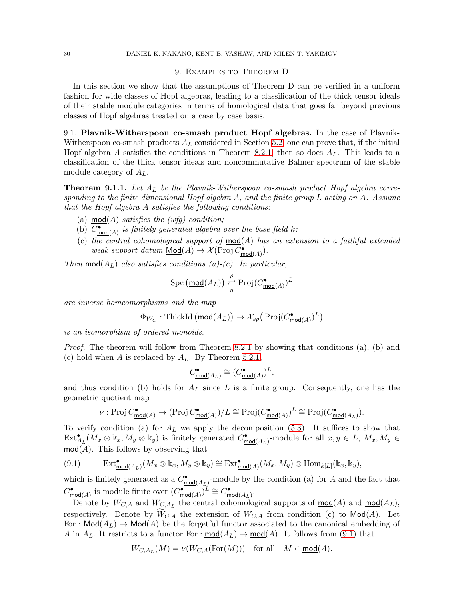#### <span id="page-29-0"></span>30 DANIEL K. NAKANO, KENT B. VASHAW, AND MILEN T. YAKIMOV

#### 9. Examples to Theorem D

In this section we show that the assumptions of Theorem D can be verified in a uniform fashion for wide classes of Hopf algebras, leading to a classification of the thick tensor ideals of their stable module categories in terms of homological data that goes far beyond previous classes of Hopf algebras treated on a case by case basis.

9.1. Plavnik-Witherspoon co-smash product Hopf algebras. In the case of Plavnik-Witherspoon co-smash products  $A_L$  considered in Section [5.2,](#page-16-1) one can prove that, if the initial Hopf algebra A satisfies the conditions in Theorem [8.2.1,](#page-28-0) then so does  $A_L$ . This leads to a classification of the thick tensor ideals and noncommutative Balmer spectrum of the stable module category of  $A_L$ .

<span id="page-29-2"></span>**Theorem 9.1.1.** Let  $A_L$  be the Plavnik-Witherspoon co-smash product Hopf algebra corresponding to the finite dimensional Hopf algebra  $A$ , and the finite group  $L$  acting on  $A$ . Assume that the Hopf algebra A satisfies the following conditions:

- (a) mod(A) satisfies the (wfg) condition;
- (b)  $C_{\text{mod}(A)}^{\bullet}$  is finitely generated algebra over the base field k;
- (c) the central cohomological support of  $mod(A)$  has an extension to a faithful extended weak support datum  $\underline{\mathsf{Mod}}(A) \to \mathcal{X}(\operatorname{Proj} \mathcal{C}_{\underline{\mathsf{mod}}(A)}^{\bullet}).$

Then  $mod(A_L)$  also satisfies conditions (a)-(c). In particular,

$$
\operatorname{Spc} \left( \underline{\text{mod}}(A_L) \right) \xrightarrow[\eta]{\rho} \operatorname{Proj} (C^{\bullet}_{\underline{\text{mod}}(A)})^L
$$

are inverse homeomorphisms and the map

$$
\Phi_{W_C} : \text{ThickId} \left( \underline{\text{mod}}(A_L) \right) \to \mathcal{X}_{sp} \left( \text{Proj}(C^{\bullet}_{\underline{\text{mod}}(A)})^L \right)
$$

is an isomorphism of ordered monoids.

Proof. The theorem will follow from Theorem [8.2.1](#page-28-0) by showing that conditions (a), (b) and (c) hold when A is replaced by  $A_L$ . By Theorem [5.2.1,](#page-17-0)

$$
C^\bullet_{\underline{\textup{mod}}(A_L)} \cong \big(C^\bullet_{\underline{\textup{mod}}(A)}\big)^L,
$$

and thus condition (b) holds for  $A_L$  since L is a finite group. Consequently, one has the geometric quotient map

$$
\nu: \operatorname{Proj} C^\bullet_{\operatorname{\mathsf{mod}} (A)} \rightarrow (\operatorname{Proj} C^\bullet_{\operatorname{\mathsf{mod}} (A)})/L \cong \operatorname{Proj} (C^\bullet_{\operatorname{\mathsf{mod}} (A)})^L \cong \operatorname{Proj} (C^\bullet_{\operatorname{\mathsf{mod}} (A_L)}).
$$

To verify condition (a) for  $A_L$  we apply the decomposition [\(5.3\)](#page-16-2). It suffices to show that  $\text{Ext}_{A_L}^{\bullet}(M_x \otimes \mathbb{k}_x, M_y \otimes \mathbb{k}_y)$  is finitely generated  $C_{\text{mod}(A_L)}^{\bullet}$ -module for all  $x, y \in L$ ,  $M_x, M_y \in$  $mod(A)$ . This follows by observing that

<span id="page-29-1"></span>(9.1) 
$$
\operatorname{Ext}^{\bullet}_{\underline{\mathsf{mod}}(A_L)}(M_x \otimes \Bbbk_x, M_y \otimes \Bbbk_y) \cong \operatorname{Ext}^{\bullet}_{\underline{\mathsf{mod}}(A)}(M_x, M_y) \otimes \operatorname{Hom}_{k[L]}(\Bbbk_x, \Bbbk_y),
$$

which is finitely generated as a  $C_{\text{mod}(A_L)}^{\bullet}$ -module by the condition (a) for A and the fact that  $C^{\bullet}_{\text{mod}(A)}$  is module finite over  $(C^{\bullet}_{\text{mod}(A)})^L \cong C^{\bullet}_{\text{mod}(A_L)}$ .

Denote by  $W_{C,A}$  and  $W_{C,A_L}$  the central cohomological supports of  $mod(A)$  and  $mod(A_L)$ , respectively. Denote by  $\widetilde{W}_{C,A}$  the extension of  $W_{C,A}$  from condition (c) to  $\text{Mod}(A)$ . Let For :  $\underline{\text{Mod}}(A_L) \rightarrow \underline{\text{Mod}}(A)$  be the forgetful functor associated to the canonical embedding of A in  $A_L$ . It restricts to a functor For :  $mod(A_L) \rightarrow mod(A)$ . It follows from [\(9.1\)](#page-29-1) that

$$
W_{C,A_L}(M)=\nu(W_{C,A}(\text{For}(M)))\quad \text{for all}\quad M\in \underline{\text{mod}}(A).
$$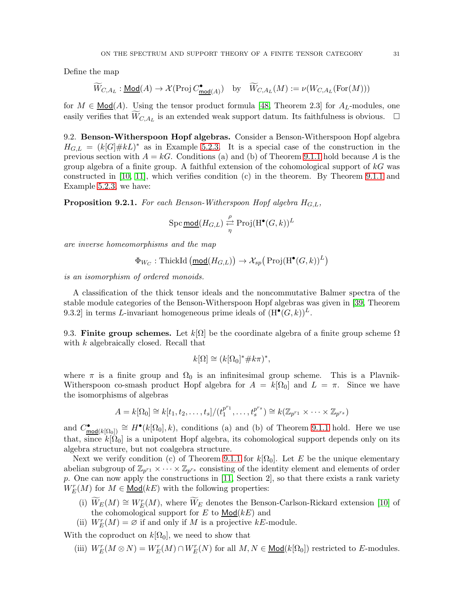Define the map

$$
\widetilde{W}_{C,A_L} : \underline{\mathsf{Mod}}(A) \to \mathcal{X}(\operatorname{Proj} C^\bullet_{\underline{\mathsf{mod}}(A)}) \quad \text{by} \quad \widetilde{W}_{C,A_L}(M) := \nu(W_{C,A_L}(\operatorname{For}(M)))
$$

for  $M \in \text{Mod}(A)$ . Using the tensor product formula [\[48,](#page-37-8) Theorem 2.3] for  $A_L$ -modules, one easily verifies that  $\widetilde{W}_{C, A_L}$  is an extended weak support datum. Its faithfulness is obvious.  $\Box$ 

9.2. Benson-Witherspoon Hopf algebras. Consider a Benson-Witherspoon Hopf algebra  $H_{G,L} = (k[G]\# kL)^*$  as in Example [5.2.3.](#page-17-1) It is a special case of the construction in the previous section with  $A = kG$ . Conditions (a) and (b) of Theorem [9.1.1](#page-29-2) hold because A is the group algebra of a finite group. A faithful extension of the cohomological support of  $kG$  was constructed in [\[10,](#page-36-15) [11\]](#page-36-16), which verifies condition (c) in the theorem. By Theorem [9.1.1](#page-29-2) and Example [5.2.3,](#page-17-1) we have:

**Proposition 9.2.1.** For each Benson-Witherspoon Hopf algebra  $H_{G,L}$ ,

$$
\operatorname{Spc} \underline{\text{mod}}(H_{G,L}) \xrightarrow[\eta]{\rho} \operatorname{Proj}(\operatorname{H}^{\bullet}(G,k))^L
$$

are inverse homeomorphisms and the map

$$
\Phi_{W_C} : \text{ThickId} \left( \underline{\text{mod}}(H_{G,L}) \right) \to \mathcal{X}_{sp} \left( \text{Proj}(\text{H}^{\bullet}(G,k))^{L} \right)
$$

is an isomorphism of ordered monoids.

A classification of the thick tensor ideals and the noncommutative Balmer spectra of the stable module categories of the Benson-Witherspoon Hopf algebras was given in [\[39,](#page-37-3) Theorem 9.3.2] in terms L-invariant homogeneous prime ideals of  $(\mathrm{H}^{\bullet}(G,k))^{L}$ .

9.3. Finite group schemes. Let  $k[\Omega]$  be the coordinate algebra of a finite group scheme  $\Omega$ with k algebraically closed. Recall that

$$
k[\Omega] \cong (k[\Omega_0]^* \# k\pi)^*,
$$

where  $\pi$  is a finite group and  $\Omega_0$  is an infinitesimal group scheme. This is a Plavnik-Witherspoon co-smash product Hopf algebra for  $A = k[\Omega_0]$  and  $L = \pi$ . Since we have the isomorphisms of algebras

$$
A = k[\Omega_0] \cong k[t_1, t_2, \ldots, t_s]/(t_1^{p^{r_1}}, \ldots, t_s^{p^{r_s}}) \cong k(\mathbb{Z}_{p^{r_1}} \times \cdots \times \mathbb{Z}_{p^{r_s}})
$$

and  $C_{\text{mod}(k[\Omega_0])}^{\bullet} \cong H^{\bullet}(k[\Omega_0], k)$ , conditions (a) and (b) of Theorem [9.1.1](#page-29-2) hold. Here we use that, since  $k[\tilde{\Omega}_0]$  is a unipotent Hopf algebra, its cohomological support depends only on its algebra structure, but not coalgebra structure.

Next we verify condition (c) of Theorem [9.1.1](#page-29-2) for  $k[\Omega_0]$ . Let E be the unique elementary abelian subgroup of  $\mathbb{Z}_{p^{r_1}} \times \cdots \times \mathbb{Z}_{p^{r_s}}$  consisting of the identity element and elements of order p. One can now apply the constructions in  $[11, \text{ Section 2}]$ , so that there exists a rank variety  $W_{E}^{r}(M)$  for  $M \in \underline{\text{Mod}}(kE)$  with the following properties:

- (i)  $\widetilde{W}_E(M) \cong W_E^r(M)$ , where  $\widetilde{W}_E$  denotes the Benson-Carlson-Rickard extension [\[10\]](#page-36-15) of the cohomological support for  $E$  to  $Mod(kE)$  and
- (ii)  $W_E^r(M) = \emptyset$  if and only if M is a projective kE-module.

With the coproduct on  $k[\Omega_0]$ , we need to show that

(iii)  $W_E^r(M \otimes N) = W_E^r(M) \cap W_E^r(N)$  for all  $M, N \in \text{Mod}(k[\Omega_0])$  restricted to E-modules.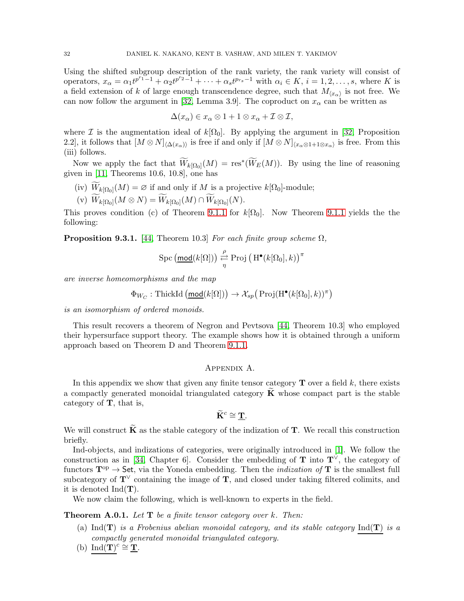Using the shifted subgroup description of the rank variety, the rank variety will consist of operators,  $x_{\alpha} = \alpha_1 t^{p^{r_1}-1} + \alpha_2 t^{p^{r_2}-1} + \cdots + \alpha_s t^{p_{r_s}-1}$  with  $\alpha_i \in K$ ,  $i = 1, 2, \ldots, s$ , where K is a field extension of k of large enough transcendence degree, such that  $M_{\langle x_\alpha \rangle}$  is not free. We can now follow the argument in [\[32,](#page-37-23) Lemma 3.9]. The coproduct on  $x_{\alpha}$  can be written as

$$
\Delta(x_{\alpha}) \in x_{\alpha} \otimes 1 + 1 \otimes x_{\alpha} + \mathcal{I} \otimes \mathcal{I},
$$

where I is the augmentation ideal of  $k[\Omega_0]$ . By applying the argument in [\[32,](#page-37-23) Proposition 2.2, it follows that  $[M \otimes N]_{\langle \Delta(x_{\alpha})\rangle}$  is free if and only if  $[M \otimes N]_{\langle x_{\alpha} \otimes 1+1 \otimes x_{\alpha} \rangle}$  is free. From this (iii) follows.

Now we apply the fact that  $\widetilde{W}_{k[\Omega_0]}(M) = \text{res}^*(\widetilde{W}_E(M))$ . By using the line of reasoning given in [\[11,](#page-36-16) Theorems 10.6, 10.8], one has

- (iv)  $W_{k[\Omega_0]}(M) = \varnothing$  if and only if M is a projective  $k[\Omega_0]$ -module;
- $(V)$   $W_{k[\Omega_0]}(M \otimes N) = W_{k[\Omega_0]}(M) \cap W_{k[\Omega_0]}(N).$

This proves condition (c) of Theorem [9.1.1](#page-29-2) for  $k[\Omega_0]$ . Now Theorem 9.1.1 yields the the following:

**Proposition 9.3.1.** [\[44,](#page-37-7) Theorem 10.3] For each finite group scheme  $\Omega$ ,

$$
\operatorname{Spc} \left( \underline{\text{mod}}(k[\Omega]) \right) \stackrel{\rho}{\underset{\eta}{\rightleftarrows}} \operatorname{Proj} \left( \operatorname{H}^{\bullet}(k[\Omega_0], k) \right)^{\pi}
$$

are inverse homeomorphisms and the map

$$
\Phi_{W_C} : \text{ThickId} \left( \underline{\text{mod}}(k[\Omega]) \right) \to \mathcal{X}_{sp} \left( \text{Proj}(\text{H}^{\bullet}(k[\Omega_0], k))^{\pi} \right)
$$

is an isomorphism of ordered monoids.

This result recovers a theorem of Negron and Pevtsova [\[44,](#page-37-7) Theorem 10.3] who employed their hypersurface support theory. The example shows how it is obtained through a uniform approach based on Theorem D and Theorem [9.1.1.](#page-29-2)

#### Appendix A.

<span id="page-31-0"></span>In this appendix we show that given any finite tensor category  $\mathbf T$  over a field k, there exists a compactly generated monoidal triangulated category  $\bf{K}$  whose compact part is the stable category of T, that is,

$$
\widetilde{\mathbf{K}}^c \cong \underline{\mathbf{T}}.
$$

We will construct  $\bf{K}$  as the stable category of the indization of  $\bf{T}$ . We recall this construction briefly.

Ind-objects, and indizations of categories, were originally introduced in [\[1\]](#page-36-17). We follow the construction as in [\[34,](#page-37-24) Chapter 6]. Consider the embedding of **T** into  $T^{\vee}$ , the category of functors  $\mathbf{T}^{\mathrm{op}} \to \mathsf{Set}$ , via the Yoneda embedding. Then the *indization of* **T** is the smallest full subcategory of  $T^{\vee}$  containing the image of T, and closed under taking filtered colimits, and it is denoted  $Ind(T)$ .

We now claim the following, which is well-known to experts in the field.

**Theorem A.0.1.** Let  $T$  be a finite tensor category over k. Then:

- (a) Ind(**T**) is a Frobenius abelian monoidal category, and its stable category Ind(**T**) is a compactly generated monoidal triangulated category.
- (b)  $\text{Ind}(\mathbf{T})^c \cong \mathbf{\underline{T}}$ .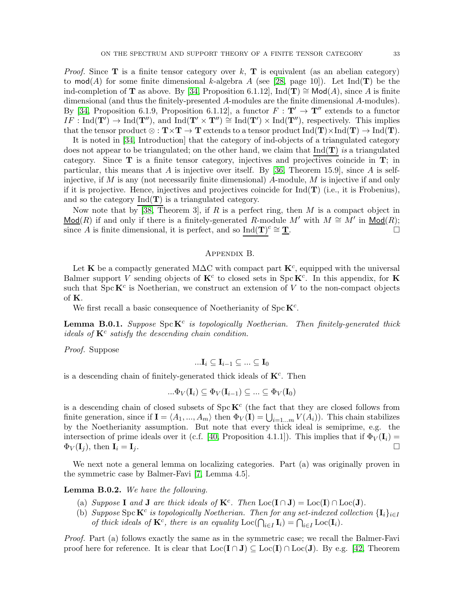*Proof.* Since **T** is a finite tensor category over k, **T** is equivalent (as an abelian category) to mod(A) for some finite dimensional k-algebra A (see [\[28,](#page-37-12) page 10]). Let Ind( $\mathbf{T}$ ) be the ind-completion of **T** as above. By [\[34,](#page-37-24) Proposition 6.1.12], Ind(**T**)  $\cong$  Mod(*A*), since *A* is finite dimensional (and thus the finitely-presented A-modules are the finite dimensional A-modules). By [\[34,](#page-37-24) Proposition 6.1.9, Proposition 6.1.12], a functor  $F : T' \to T''$  extends to a functor  $IF : \text{Ind}(\mathbf{T}') \to \text{Ind}(\mathbf{T}'')$ , and  $\text{Ind}(\mathbf{T}' \times \mathbf{T}'') \cong \text{Ind}(\mathbf{T}') \times \text{Ind}(\mathbf{T}'')$ , respectively. This implies that the tensor product  $\otimes : \mathbf{T} \times \mathbf{T} \to \mathbf{T}$  extends to a tensor product  $\text{Ind}(\mathbf{T}) \times \text{Ind}(\mathbf{T}) \to \text{Ind}(\mathbf{T})$ .

It is noted in [\[34,](#page-37-24) Introduction] that the category of ind-objects of a triangulated category does not appear to be triangulated; on the other hand, we claim that  $Ind(T)$  is a triangulated category. Since  $\bf{T}$  is a finite tensor category, injectives and projectives coincide in  $\bf{T}$ ; in particular, this means that A is injective over itself. By [\[36,](#page-37-25) Theorem 15.9], since A is selfinjective, if M is any (not necessarily finite dimensional) A-module, M is injective if and only if it is projective. Hence, injectives and projectives coincide for  $Ind(T)$  (i.e., it is Frobenius), and so the category  $Ind(T)$  is a triangulated category.

Now note that by [\[38,](#page-37-26) Theorem 3], if R is a perfect ring, then M is a compact object in Mod(R) if and only if there is a finitely-generated R-module M' with  $M \cong M'$  in Mod(R); since A is finite dimensional, it is perfect, and so  $\text{Ind}(\mathbf{T})^c \cong \mathbf{T}$ .

### Appendix B.

Let K be a compactly generated M $\Delta C$  with compact part K<sup>c</sup>, equipped with the universal Balmer support V sending objects of  $\mathbf{K}^c$  to closed sets in Spc  $\mathbf{K}^c$ . In this appendix, for  $\mathbf{K}$ such that  $Spec \, K^c$  is Noetherian, we construct an extension of V to the non-compact objects of K.

We first recall a basic consequence of Noetherianity of  $\text{Spc } \mathbf{K}^c$ .

<span id="page-32-0"></span>**Lemma B.0.1.** Suppose  $\text{Spc } \mathbf{K}^c$  is topologically Noetherian. Then finitely-generated thick ideals of  $K^c$  satisfy the descending chain condition.

Proof. Suppose

$$
\ldots \mathbf{I}_i \subseteq \mathbf{I}_{i-1} \subseteq \ldots \subseteq \mathbf{I}_0
$$

is a descending chain of finitely-generated thick ideals of  $\mathbf{K}^c$ . Then

$$
...\Phi_V(\mathbf{I}_i) \subseteq \Phi_V(\mathbf{I}_{i-1}) \subseteq ... \subseteq \Phi_V(\mathbf{I}_0)
$$

is a descending chain of closed subsets of  $Spc K<sup>c</sup>$  (the fact that they are closed follows from finite generation, since if  $\mathbf{I} = \langle A_1, ..., A_m \rangle$  then  $\Phi_V(\mathbf{I}) = \bigcup_{i=1...m} V(A_i)$ . This chain stabilizes by the Noetherianity assumption. But note that every thick ideal is semiprime, e.g. the intersection of prime ideals over it (c.f. [\[40,](#page-37-11) Proposition 4.1.1]). This implies that if  $\Phi_V(\mathbf{I}_i)$  =  $\Phi_V(\mathbf{I}_j)$ , then  $\mathbf{I}_i = \mathbf{I}_j$ .

We next note a general lemma on localizing categories. Part (a) was originally proven in the symmetric case by Balmer-Favi [\[7,](#page-36-18) Lemma 4.5].

<span id="page-32-1"></span>Lemma B.0.2. We have the following.

- (a) Suppose I and J are thick ideals of  $\mathbf{K}^c$ . Then  $\text{Loc}(\mathbf{I} \cap \mathbf{J}) = \text{Loc}(\mathbf{I}) \cap \text{Loc}(\mathbf{J})$ .
- (b) Suppose  $\operatorname{Spc}$ **K**<sup>c</sup> is topologically Noetherian. Then for any set-indexed collection  $\{I_i\}_{i\in I}$ of thick ideals of  $\mathbf{K}^c$ , there is an equality  $\text{Loc}(\bigcap_{i \in I} \mathbf{I}_i) = \bigcap_{i \in I} \text{Loc}(\mathbf{I}_i)$ .

Proof. Part (a) follows exactly the same as in the symmetric case; we recall the Balmer-Favi proof here for reference. It is clear that  $\text{Loc}(\mathbf{I} \cap \mathbf{J}) \subset \text{Loc}(\mathbf{I}) \cap \text{Loc}(\mathbf{J})$ . By e.g. [\[42,](#page-37-21) Theorem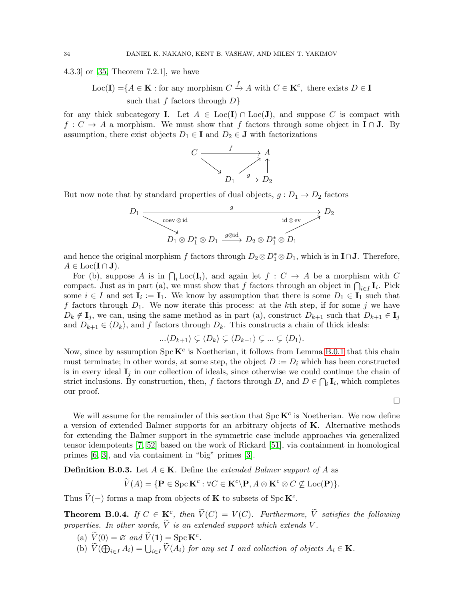4.3.3] or [\[35,](#page-37-27) Theorem 7.2.1], we have

Loc(I) = { $A \in \mathbf{K}$  : for any morphism  $C \xrightarrow{f} A$  with  $C \in \mathbf{K}^c$ , there exists  $D \in \mathbf{I}$ such that f factors through  $D$ }

for any thick subcategory **I**. Let  $A \in \text{Loc}(\mathbf{I}) \cap \text{Loc}(\mathbf{J})$ , and suppose C is compact with  $f: C \to A$  a morphism. We must show that f factors through some object in  $\mathbf{I} \cap \mathbf{J}$ . By assumption, there exist objects  $D_1 \in \mathbf{I}$  and  $D_2 \in \mathbf{J}$  with factorizations



But now note that by standard properties of dual objects,  $g: D_1 \rightarrow D_2$  factors

$$
D_1 \xrightarrow{\begin{array}{c}\n g \\
 \searrow \text{coev} \otimes \text{id} \\
 D_1 \otimes D_1^* \otimes D_1 \xrightarrow{g \otimes \text{id}} D_2 \otimes D_1^* \otimes D_1\n \end{array}} D_2
$$

and hence the original morphism f factors through  $D_2 \otimes D_1^* \otimes D_1$ , which is in **I**∩**J**. Therefore,  $A \in \text{Loc}(\mathbf{I} \cap \mathbf{J}).$ 

For (b), suppose A is in  $\bigcap_i \text{Loc}(\mathbf{I}_i)$ , and again let  $f : C \to A$  be a morphism with C compact. Just as in part (a), we must show that f factors through an object in  $\bigcap_{i\in I} I_i$ . Pick some  $i \in I$  and set  $\mathbf{I}_i := \mathbf{I}_1$ . We know by assumption that there is some  $D_1 \in \mathbf{I}_1$  such that f factors through  $D_1$ . We now iterate this process: at the kth step, if for some j we have  $D_k \notin I_j$ , we can, using the same method as in part (a), construct  $D_{k+1}$  such that  $D_{k+1} \in I_j$ and  $D_{k+1} \in \langle D_k \rangle$ , and f factors through  $D_k$ . This constructs a chain of thick ideals:

$$
...\langle D_{k+1}\rangle \subsetneq \langle D_k\rangle \subsetneq \langle D_{k-1}\rangle \subsetneq ...\subsetneq \langle D_1\rangle.
$$

Now, since by assumption  $Spec \mathbf{K}^c$  is Noetherian, it follows from Lemma [B.0.1](#page-32-0) that this chain must terminate; in other words, at some step, the object  $D := D_i$  which has been constructed is in every ideal  $I_i$  in our collection of ideals, since otherwise we could continue the chain of strict inclusions. By construction, then, f factors through D, and  $D \in \bigcap_i \mathbf{I}_i$ , which completes our proof.

 $\Box$ 

We will assume for the remainder of this section that  $\text{Spc } \mathbf{K}^c$  is Noetherian. We now define a version of extended Balmer supports for an arbitrary objects of K. Alternative methods for extending the Balmer support in the symmetric case include approaches via generalized tensor idempotents [\[7,](#page-36-18) [52\]](#page-38-3) based on the work of Rickard [\[51\]](#page-37-28), via containment in homological primes [\[6,](#page-36-19) [3\]](#page-36-20), and via contaiment in "big" primes [\[3\]](#page-36-20).

**Definition B.0.3.** Let  $A \in \mathbf{K}$ . Define the *extended Balmer support of* A as

$$
\widetilde{V}(A) = \{ \mathbf{P} \in \operatorname{Spc} \mathbf{K}^c : \forall C \in \mathbf{K}^c \setminus \mathbf{P}, A \otimes \mathbf{K}^c \otimes C \nsubseteq \operatorname{Loc}(\mathbf{P}) \}.
$$

Thus  $\widetilde{V}(-)$  forms a map from objects of **K** to subsets of Spc **K**<sup>c</sup>.

**Theorem B.0.4.** If  $C \in \mathbf{K}^c$ , then  $\tilde{V}(C) = V(C)$ . Furthermore,  $\tilde{V}$  satisfies the following properties. In other words,  $\tilde{V}$  is an extended support which extends V.

- (a)  $\widetilde{V}(0) = \varnothing$  and  $\widetilde{V}(1) = \operatorname{Spc} \mathbf{K}^c$ .
- (b)  $\widetilde{V}(\bigoplus_{i\in I} A_i) = \bigcup_{i\in I} \widetilde{V}(A_i)$  for any set I and collection of objects  $A_i \in \mathbf{K}$ .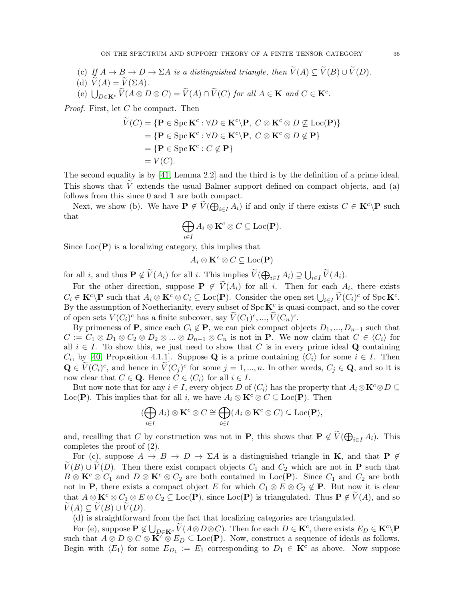- (c) If  $A \to B \to D \to \Sigma A$  is a distinguished triangle, then  $\widetilde{V}(A) \subseteq \widetilde{V}(B) \cup \widetilde{V}(D)$ .
- (d)  $\widetilde{V}(A) = \widetilde{V}(\Sigma A)$ .
- (e)  $\bigcup_{D \in \mathbf{K}^c} \widetilde{V}(A \otimes D \otimes C) = \widetilde{V}(A) \cap \widetilde{V}(C)$  for all  $A \in \mathbf{K}$  and  $C \in \mathbf{K}^c$ .

*Proof.* First, let  $C$  be compact. Then

$$
\widetilde{V}(C) = \{ \mathbf{P} \in \text{Spc } \mathbf{K}^c : \forall D \in \mathbf{K}^c \setminus \mathbf{P}, C \otimes \mathbf{K}^c \otimes D \nsubseteq \text{Loc}(\mathbf{P}) \} \n= \{ \mathbf{P} \in \text{Spc } \mathbf{K}^c : \forall D \in \mathbf{K}^c \setminus \mathbf{P}, C \otimes \mathbf{K}^c \otimes D \notin \mathbf{P} \} \n= \{ \mathbf{P} \in \text{Spc } \mathbf{K}^c : C \notin \mathbf{P} \} \n= V(C).
$$

The second equality is by [\[41,](#page-37-29) Lemma 2.2] and the third is by the definition of a prime ideal. This shows that  $\tilde{V}$  extends the usual Balmer support defined on compact objects, and (a) follows from this since 0 and 1 are both compact.

Next, we show (b). We have  $P \notin \widetilde{V}(\bigoplus_{i \in I} A_i)$  if and only if there exists  $C \in K^c \backslash P$  such that

$$
\bigoplus_{i\in I}A_i\otimes \mathbf{K}^c\otimes C\subseteq \mathrm{Loc}(\mathbf{P}).
$$

Since  $Loc(\mathbf{P})$  is a localizing category, this implies that

$$
A_i\otimes \mathbf K^c\otimes C\subseteq \mathrm{Loc}(\mathbf P)
$$

for all *i*, and thus  $\mathbf{P} \notin \widetilde{V}(A_i)$  for all *i*. This implies  $\widetilde{V}(\bigoplus_{i \in I} A_i) \supseteq \bigcup_{i \in I} \widetilde{V}(A_i)$ .

For the other direction, suppose  $P \notin V(A_i)$  for all i. Then for each  $\mathcal{A}_i$ , there exists  $C_i \in \mathbf{K}^c \backslash \mathbf{P}$  such that  $A_i \otimes \mathbf{K}^c \otimes C_i \subseteq \text{Loc}(\mathbf{P})$ . Consider the open set  $\bigcup_{i \in I} \widetilde{V}(C_i)^c$  of  $\text{Spc } \mathbf{K}^c$ . By the assumption of Noetherianity, every subset of  $\text{Spc}\,\mathbf{K}^c$  is quasi-compact, and so the cover of open sets  $V(C_i)^c$  has a finite subcover, say  $\widetilde{V}(C_1)^c, ..., \widetilde{V}(C_n)^c$ .

By primeness of P, since each  $C_i \notin \mathbf{P}$ , we can pick compact objects  $D_1, ..., D_{n-1}$  such that  $C := C_1 \otimes D_1 \otimes C_2 \otimes D_2 \otimes ... \otimes D_{n-1} \otimes C_n$  is not in **P**. We now claim that  $C \in \langle C_i \rangle$  for all  $i \in I$ . To show this, we just need to show that C is in every prime ideal Q containing  $C_i$ , by [\[40,](#page-37-11) Proposition 4.1.1]. Suppose **Q** is a prime containing  $\langle C_i \rangle$  for some  $i \in I$ . Then  $\mathbf{Q} \in \widetilde{V}(C_i)^c$ , and hence in  $\widetilde{V}(C_j)^c$  for some  $j = 1, ..., n$ . In other words,  $C_j \in \mathbf{Q}$ , and so it is now clear that  $C \in \mathbf{Q}$ . Hence  $C \in \langle C_i \rangle$  for all  $i \in I$ .

But now note that for any  $i \in I$ , every object D of  $\langle C_i \rangle$  has the property that  $A_i \otimes \mathbf{K}^c \otimes D \subseteq$ Loc(P). This implies that for all i, we have  $A_i \otimes \mathbf{K}^c \otimes C \subseteq \text{Loc}(\mathbf{P})$ . Then

$$
(\bigoplus_{i\in I} A_i)\otimes \mathbf{K}^c\otimes C\cong \bigoplus_{i\in I} (A_i\otimes \mathbf{K}^c\otimes C)\subseteq \mathrm{Loc}(\mathbf{P}),
$$

and, recalling that C by construction was not in **P**, this shows that  $P \notin \widetilde{V}(\bigoplus_{i \in I} A_i)$ . This completes the proof of (2).

For (c), suppose  $A \to B \to D \to \Sigma A$  is a distinguished triangle in **K**, and that **P**  $\notin$  $V(B) \cup V(D)$ . Then there exist compact objects  $C_1$  and  $C_2$  which are not in **P** such that  $B \otimes \mathbf{K}^c \otimes C_1$  and  $D \otimes \mathbf{K}^c \otimes C_2$  are both contained in Loc(P). Since  $C_1$  and  $C_2$  are both not in P, there exists a compact object E for which  $C_1 \otimes E \otimes C_2 \notin P$ . But now it is clear that  $A \otimes \mathbf{K}^c \otimes C_1 \otimes E \otimes C_2 \subseteq \text{Loc}(\mathbf{P})$ , since  $\text{Loc}(\mathbf{P})$  is triangulated. Thus  $\mathbf{P} \notin V(A)$ , and so  $V(A) \subseteq V(B) \cup V(D).$ 

(d) is straightforward from the fact that localizing categories are triangulated.

For (e), suppose  $P \notin \bigcup_{D \in \mathbf{K}^c} \widetilde{V}(A \otimes D \otimes C)$ . Then for each  $D \in \mathbf{K}^c$ , there exists  $E_D \in \mathbf{K}^c \backslash P$ such that  $A \otimes D \otimes C \otimes \mathbf{K}^c \otimes E_D \subseteq \text{Loc}(\mathbf{P})$ . Now, construct a sequence of ideals as follows. Begin with  $\langle E_1 \rangle$  for some  $E_{D_1} := E_1$  corresponding to  $D_1 \in \mathbf{K}^c$  as above. Now suppose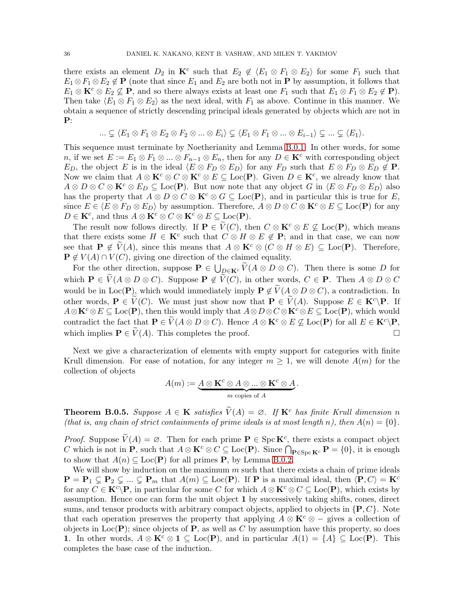there exists an element  $D_2$  in  $\mathbf{K}^c$  such that  $E_2 \notin \langle E_1 \otimes F_1 \otimes E_2 \rangle$  for some  $F_1$  such that  $E_1 \otimes F_1 \otimes E_2 \notin \mathbf{P}$  (note that since  $E_1$  and  $E_2$  are both not in **P** by assumption, it follows that  $E_1 \otimes \mathbf{K}^c \otimes E_2 \nsubseteq \mathbf{P}$ , and so there always exists at least one  $F_1$  such that  $E_1 \otimes F_1 \otimes E_2 \notin \mathbf{P}$ ). Then take  $\langle E_1 \otimes F_1 \otimes E_2 \rangle$  as the next ideal, with  $F_1$  as above. Continue in this manner. We obtain a sequence of strictly descending principal ideals generated by objects which are not in P:

$$
\ldots \subsetneq \langle E_1 \otimes F_1 \otimes E_2 \otimes F_2 \otimes \ldots \otimes E_i \rangle \subsetneq \langle E_1 \otimes F_1 \otimes \ldots \otimes E_{i-1} \rangle \subsetneq \ldots \subsetneq \langle E_1 \rangle.
$$

This sequence must terminate by Noetherianity and Lemma [B.0.1.](#page-32-0) In other words, for some n, if we set  $E := E_1 \otimes F_1 \otimes \ldots \otimes F_{n-1} \otimes E_n$ , then for any  $D \in \mathbf{K}^c$  with corresponding object  $E_D$ , the object E is in the ideal  $\langle E \otimes F_D \otimes E_D \rangle$  for any  $F_D$  such that  $E \otimes F_D \otimes E_D \notin \mathbf{P}$ . Now we claim that  $A \otimes \mathbf{K}^c \otimes C \otimes \mathbf{K}^c \otimes E \subseteq \text{Loc}(\mathbf{P})$ . Given  $D \in \mathbf{K}^c$ , we already know that  $A \otimes D \otimes C \otimes \mathbf{K}^c \otimes E_D \subseteq \text{Loc}(\mathbf{P})$ . But now note that any object G in  $\langle E \otimes F_D \otimes E_D \rangle$  also has the property that  $A \otimes D \otimes C \otimes \mathbf{K}^c \otimes G \subseteq \text{Loc}(\mathbf{P})$ , and in particular this is true for E, since  $E \in \langle E \otimes F_D \otimes E_D \rangle$  by assumption. Therefore,  $A \otimes D \otimes C \otimes \mathbf{K}^c \otimes E \subseteq \text{Loc}(\mathbf{P})$  for any  $D \in \mathbf{K}^c$ , and thus  $A \otimes \mathbf{K}^c \otimes C \otimes \mathbf{K}^c \otimes E \subseteq \text{Loc}(\mathbf{P})$ .

The result now follows directly. If  $P \in V(C)$ , then  $C \otimes K^c \otimes E \nsubseteq Loc(P)$ , which means that there exists some  $H \in \mathbf{K}^c$  such that  $C \otimes H \otimes E \notin \mathbf{P}$ ; and in that case, we can now see that  $P \notin V(A)$ , since this means that  $A \otimes \mathbf{K}^c \otimes (C \otimes H \otimes E) \subseteq \text{Loc}(\mathbf{P})$ . Therefore,  $P \notin V(A) \cap V(C)$ , giving one direction of the claimed equality.

For the other direction, suppose  $\mathbf{P} \in \bigcup_{D \in \mathbf{K}^c} \widetilde{V}(A \otimes D \otimes C)$ . Then there is some D for which  $P \in V(A \otimes D \otimes C)$ . Suppose  $P \notin V(C)$ , in other words,  $C \in P$ . Then  $A \otimes D \otimes C$ would be in Loc(P), which would immediately imply  $P \notin \widetilde{V}(A \otimes D \otimes C)$ , a contradiction. In other words,  $P \in \widetilde{V}(C)$ . We must just show now that  $P \in \widetilde{V}(A)$ . Suppose  $E \in K^c \backslash P$ . If  $A\otimes \mathbf{K}^c \otimes E \subseteq \text{Loc}(\mathbf{P})$ , then this would imply that  $A\otimes D\otimes C \otimes \mathbf{K}^c \otimes E \subseteq \text{Loc}(\mathbf{P})$ , which would contradict the fact that  $\mathbf{P} \in \widetilde{V}(A \otimes D \otimes C)$ . Hence  $A \otimes \mathbf{K}^c \otimes E \nsubseteq \text{Loc}(\mathbf{P})$  for all  $E \in \mathbf{K}^c \backslash \mathbf{P}$ , which implies  $\mathbf{P} \in \widetilde{V}(A)$ . This completes the proof. which implies  $\mathbf{P} \in V(A)$ . This completes the proof.

Next we give a characterization of elements with empty support for categories with finite Krull dimension. For ease of notation, for any integer  $m \geq 1$ , we will denote  $A(m)$  for the collection of objects

$$
A(m) := \underbrace{A \otimes \mathbf{K}^c \otimes A \otimes ... \otimes \mathbf{K}^c \otimes A}_{m \text{ copies of } A}.
$$

**Theorem B.0.5.** Suppose  $A \in \mathbf{K}$  satisfies  $\widetilde{V}(A) = \emptyset$ . If  $\mathbf{K}^c$  has finite Krull dimension n (that is, any chain of strict containments of prime ideals is at most length n), then  $A(n) = \{0\}$ .

*Proof.* Suppose  $\widetilde{V}(A) = \emptyset$ . Then for each prime  $P \in \text{Spc } \mathbf{K}^c$ , there exists a compact object C which is not in  $\mathbf{P}$ , such that  $A \otimes \mathbf{K}^c \otimes C \subseteq \text{Loc}(\mathbf{P})$ . Since  $\bigcap_{\mathbf{P} \in \text{Spec } \mathbf{K}^c} \mathbf{P} = \{0\}$ , it is enough to show that  $A(n) \subseteq Loc(P)$  for all primes **P**, by Lemma [B.0.2.](#page-32-1)

We will show by induction on the maximum  $m$  such that there exists a chain of prime ideals  ${\bf P} = {\bf P}_1 \subsetneq {\bf P}_2 \subsetneq ... \subsetneq {\bf P}_m$  that  $A(m) \subseteq \text{Loc}({\bf P})$ . If  ${\bf P}$  is a maximal ideal, then  $\langle {\bf P}, C \rangle = {\bf K}^c$ for any  $C \in \mathbf{K}^c \backslash \mathbf{P}$ , in particular for some C for which  $A \otimes \mathbf{K}^c \otimes C \subseteq \text{Loc}(\mathbf{P})$ , which exists by assumption. Hence one can form the unit object 1 by successively taking shifts, cones, direct sums, and tensor products with arbitrary compact objects, applied to objects in  $\{P, C\}$ . Note that each operation preserves the property that applying  $A \otimes \mathbf{K}^c \otimes -$  gives a collection of objects in Loc( $P$ ); since objects of P, as well as C by assumption have this property, so does 1. In other words,  $A \otimes \mathbf{K}^c \otimes 1 \subseteq \text{Loc}(\mathbf{P})$ , and in particular  $A(1) = \{A\} \subseteq \text{Loc}(\mathbf{P})$ . This completes the base case of the induction.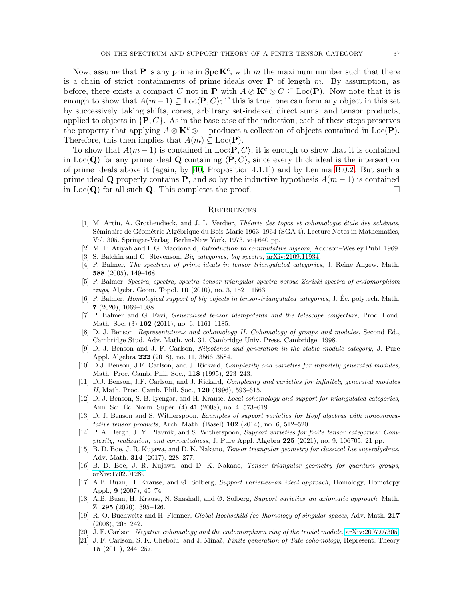Now, assume that **P** is any prime in  $\text{Spc } \mathbf{K}^c$ , with m the maximum number such that there is a chain of strict containments of prime ideals over  $P$  of length m. By assumption, as before, there exists a compact C not in **P** with  $A \otimes \mathbf{K}^c \otimes C \subseteq \text{Loc}(\mathbf{P})$ . Now note that it is enough to show that  $A(m-1) \subseteq \text{Loc}(P, C)$ ; if this is true, one can form any object in this set by successively taking shifts, cones, arbitrary set-indexed direct sums, and tensor products, applied to objects in  $\{P, C\}$ . As in the base case of the induction, each of these steps preserves the property that applying  $A \otimes \mathbf{K}^c \otimes -$  produces a collection of objects contained in Loc(P). Therefore, this then implies that  $A(m) \subseteq \text{Loc}(\mathbf{P})$ .

To show that  $A(m-1)$  is contained in Loc $\langle P, C \rangle$ , it is enough to show that it is contained in Loc( $\bf{Q}$ ) for any prime ideal  $\bf{Q}$  containing  $\langle \bf{P}, C \rangle$ , since every thick ideal is the intersection of prime ideals above it (again, by [\[40,](#page-37-11) Proposition 4.1.1]) and by Lemma [B.0.2.](#page-32-1) But such a prime ideal Q properly contains P, and so by the inductive hypothesis  $A(m-1)$  is contained<br>in Loc(Q) for all such Q. This completes the proof. in  $Loc(Q)$  for all such Q. This completes the proof.

#### **REFERENCES**

- <span id="page-36-17"></span>[1] M. Artin, A. Grothendieck, and J. L. Verdier, Théorie des topos et cohomologie étale des schémas, Séminaire de Géométrie Algébrique du Bois-Marie 1963–1964 (SGA 4). Lecture Notes in Mathematics, Vol. 305. Springer-Verlag, Berlin-New York, 1973. vi+640 pp.
- <span id="page-36-20"></span><span id="page-36-2"></span>[2] M. F. Atiyah and I. G. Macdonald, Introduction to commutative algebra, Addison–Wesley Publ. 1969.
- <span id="page-36-0"></span>[3] S. Balchin and G. Stevenson, Big categories, big spectra, [arXiv:2109.11934.](http://arxiv.org/abs/2109.11934)
- [4] P. Balmer, The spectrum of prime ideals in tensor triangulated categories, J. Reine Angew. Math. 588 (2005), 149–168.
- <span id="page-36-19"></span><span id="page-36-1"></span>[5] P. Balmer, Spectra, spectra, spectra–tensor triangular spectra versus Zariski spectra of endomorphism rings, Algebr. Geom. Topol. 10 (2010), no. 3, 1521–1563.
- [6] P. Balmer, Homological support of big objects in tensor-triangulated categories, J. Ec. polytech. Math. ´ 7 (2020), 1069–1088.
- <span id="page-36-18"></span>[7] P. Balmer and G. Favi, Generalized tensor idempotents and the telescope conjecture, Proc. Lond. Math. Soc. (3) **102** (2011), no. 6, 1161–1185.
- <span id="page-36-13"></span>[8] D. J. Benson, Representations and cohomology II. Cohomology of groups and modules, Second Ed., Cambridge Stud. Adv. Math. vol. 31, Cambridge Univ. Press, Cambridge, 1998.
- <span id="page-36-9"></span>[9] D. J. Benson and J. F. Carlson, Nilpotence and generation in the stable module category, J. Pure Appl. Algebra 222 (2018), no. 11, 3566–3584.
- <span id="page-36-15"></span>[10] D.J. Benson, J.F. Carlson, and J. Rickard, Complexity and varieties for infinitely generated modules, Math. Proc. Camb. Phil. Soc., 118 (1995), 223–243.
- <span id="page-36-16"></span>[11] D.J. Benson, J.F. Carlson, and J. Rickard, Complexity and varieties for infinitely generated modules II, Math. Proc. Camb. Phil. Soc., 120 (1996), 593–615.
- <span id="page-36-6"></span>[12] D. J. Benson, S. B. Iyengar, and H. Krause, Local cohomology and support for triangulated categories, Ann. Sci. Éc. Norm. Supér. (4) **41** (2008), no. 4, 573–619.
- <span id="page-36-12"></span>[13] D. J. Benson and S. Witherspoon, Examples of support varieties for Hopf algebras with noncommutative tensor products, Arch. Math. (Basel)  $102$  (2014), no. 6, 512–520.
- <span id="page-36-14"></span>[14] P. A. Bergh, J. Y. Plavnik, and S. Witherspoon, Support varieties for finite tensor categories: Complexity, realization, and connectedness, J. Pure Appl. Algebra 225 (2021), no. 9, 106705, 21 pp.
- <span id="page-36-7"></span>[15] B. D. Boe, J. R. Kujawa, and D. K. Nakano, Tensor triangular geometry for classical Lie superalgebras, Adv. Math. 314 (2017), 228–277.
- <span id="page-36-8"></span><span id="page-36-4"></span>[16] B. D. Boe, J. R. Kujawa, and D. K. Nakano, Tensor triangular geometry for quantum groups, [arXiv:1702.01289.](http://arxiv.org/abs/1702.01289)
- [17] A.B. Buan, H. Krause, and Ø. Solberg, Support varieties–an ideal approach, Homology, Homotopy Appl., 9 (2007), 45–74.
- <span id="page-36-3"></span>[18] A.B. Buan, H. Krause, N. Snashall, and Ø. Solberg, Support varieties–an axiomatic approach, Math. Z. 295 (2020), 395–426.
- <span id="page-36-5"></span>[19] R.-O. Buchweitz and H. Flenner, Global Hochschild (co-)homology of singular spaces, Adv. Math. 217 (2008), 205–242.
- <span id="page-36-11"></span><span id="page-36-10"></span>[20] J. F. Carlson, Negative cohomology and the endomorphism ring of the trivial module, [arXiv:2007.07305.](http://arxiv.org/abs/2007.07305)
- [21] J. F. Carlson, S. K. Chebolu, and J. Mináč, Finite generation of Tate cohomology, Represent. Theory 15 (2011), 244–257.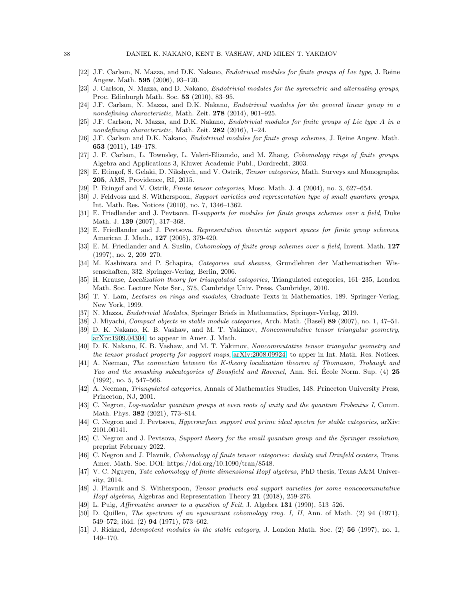- <span id="page-37-18"></span><span id="page-37-17"></span>[22] J.F. Carlson, N. Mazza, and D.K. Nakano, Endotrivial modules for finite groups of Lie type, J. Reine Angew. Math. 595 (2006), 93–120.
- <span id="page-37-19"></span>[23] J. Carlson, N. Mazza, and D. Nakano, Endotrivial modules for the symmetric and alternating groups, Proc. Edinburgh Math. Soc. 53 (2010), 83–95.
- <span id="page-37-20"></span>[24] J.F. Carlson, N. Mazza, and D.K. Nakano, Endotrivial modules for the general linear group in a nondefining characteristic, Math. Zeit. 278 (2014), 901–925.
- [25] J.F. Carlson, N. Mazza, and D.K. Nakano, Endotrivial modules for finite groups of Lie type A in a nondefining characteristic, Math. Zeit. 282 (2016), 1–24.
- <span id="page-37-14"></span>[26] J.F. Carlson and D.K. Nakano, Endotrivial modules for finite group schemes, J. Reine Angew. Math. 653 (2011), 149–178.
- <span id="page-37-13"></span>[27] J. F. Carlson, L. Townsley, L. Valeri-Elizondo, and M. Zhang, Cohomology rings of finite groups, Algebra and Applications 3, Kluwer Academic Publ., Dordrecht, 2003.
- <span id="page-37-12"></span><span id="page-37-4"></span>[28] E. Etingof, S. Gelaki, D. Nikshych, and V. Ostrik, Tensor categories, Math. Surveys and Monographs, 205, AMS, Providence, RI, 2015.
- <span id="page-37-22"></span>[29] P. Etingof and V. Ostrik, Finite tensor categories, Mosc. Math. J. 4 (2004), no. 3, 627–654.
- [30] J. Feldvoss and S. Witherspoon, Support varieties and representation type of small quantum groups, Int. Math. Res. Notices (2010), no. 7, 1346–1362.
- <span id="page-37-2"></span>[31] E. Friedlander and J. Pevtsova. Π-supports for modules for finite groups schemes over a field, Duke Math. J. 139 (2007), 317–368.
- <span id="page-37-23"></span>[32] E. Friedlander and J. Pevtsova. Representation theoretic support spaces for finite group schemes, American J. Math., 127 (2005), 379-420.
- <span id="page-37-1"></span>[33] E. M. Friedlander and A. Suslin, Cohomology of finite group schemes over a field, Invent. Math. 127 (1997), no. 2, 209–270.
- <span id="page-37-24"></span>[34] M. Kashiwara and P. Schapira, Categories and sheaves, Grundlehren der Mathematischen Wissenschaften, 332. Springer-Verlag, Berlin, 2006.
- <span id="page-37-27"></span>[35] H. Krause, Localization theory for triangulated categories, Triangulated categories, 161–235, London Math. Soc. Lecture Note Ser., 375, Cambridge Univ. Press, Cambridge, 2010.
- <span id="page-37-25"></span>[36] T. Y. Lam, Lectures on rings and modules, Graduate Texts in Mathematics, 189. Springer-Verlag, New York, 1999.
- <span id="page-37-26"></span><span id="page-37-15"></span>[37] N. Mazza, Endotrivial Modules, Springer Briefs in Mathematics, Springer-Verlag, 2019.
- <span id="page-37-3"></span>[38] J. Miyachi, Compact objects in stable module categories, Arch. Math. (Basel) 89 (2007), no. 1, 47–51.
- [39] D. K. Nakano, K. B. Vashaw, and M. T. Yakimov, Noncommutative tensor triangular geometry, [arXiv:1909.04304,](http://arxiv.org/abs/1909.04304) to appear in Amer. J. Math.
- <span id="page-37-11"></span>[40] D. K. Nakano, K. B. Vashaw, and M. T. Yakimov, Noncommutative tensor triangular geometry and the tensor product property for support maps, [arXiv:2008.09924,](http://arxiv.org/abs/2008.09924) to apper in Int. Math. Res. Notices.
- <span id="page-37-29"></span>[41] A. Neeman, The connection between the K-theory localization theorem of Thomason, Trobaugh and Yao and the smashing subcategories of Bousfield and Ravenel, Ann. Sci. Ecole Norm. Sup. (4) 25 (1992), no. 5, 547–566.
- <span id="page-37-21"></span>[42] A. Neeman, Triangulated categories, Annals of Mathematics Studies, 148. Princeton University Press, Princeton, NJ, 2001.
- <span id="page-37-9"></span>[43] C. Negron, Log-modular quantum groups at even roots of unity and the quantum Frobenius I, Comm. Math. Phys. 382 (2021), 773–814.
- <span id="page-37-7"></span><span id="page-37-6"></span>[44] C. Negron and J. Pevtsova, *Hypersurface support and prime ideal spectra for stable categories*, arXiv: 2101.00141.
- [45] C. Negron and J. Pevtsova, Support theory for the small quantum group and the Springer resolution, preprint February 2022.
- <span id="page-37-5"></span>[46] C. Negron and J. Plavnik, Cohomology of finite tensor categories: duality and Drinfeld centers, Trans. Amer. Math. Soc. DOI: https://doi.org/10.1090/tran/8548.
- <span id="page-37-10"></span>[47] V. C. Nguyen, Tate cohomology of finite dimensional Hopf algebras, PhD thesis, Texas A&M University, 2014.
- <span id="page-37-8"></span>[48] J. Plavnik and S. Witherspoon, Tensor products and support varieties for some noncocommutative Hopf algebras, Algebras and Representation Theory 21 (2018), 259-276.
- <span id="page-37-16"></span><span id="page-37-0"></span>[49] L. Puig, Affirmative answer to a question of Feit, J. Algebra  $131$  (1990), 513–526.
- [50] D. Quillen, The spectrum of an equivariant cohomology ring. I, II, Ann. of Math. (2) 94 (1971), 549–572; ibid. (2) 94 (1971), 573–602.
- <span id="page-37-28"></span>[51] J. Rickard, *Idempotent modules in the stable category*, J. London Math. Soc. (2) **56** (1997), no. 1, 149–170.